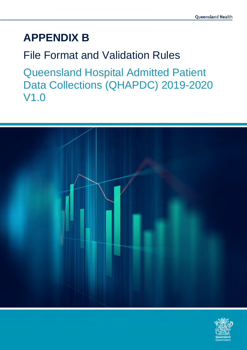# **APPENDIX B**

File Format and Validation Rules Queensland Hospital Admitted Patient Data Collections (QHAPDC) 2019-2020 V1.0



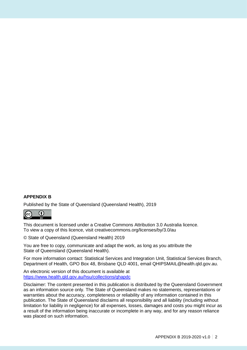#### **APPENDIX B**

Published by the State of Queensland (Queensland Health), 2019



This document is licensed under a Creative Commons Attribution 3.0 Australia licence. To view a copy of this licence, visit creativecommons.org/licenses/by/3.0/au

© State of Queensland (Queensland Health) 2019

You are free to copy, communicate and adapt the work, as long as you attribute the State of Queensland (Queensland Health).

For more information contact: Statistical Services and Integration Unit, Statistical Services Branch, Department of Health, GPO Box 48, Brisbane QLD 4001, email QHIPSMAIL@health.qld.gov.au.

An electronic version of this document is available at <https://www.health.qld.gov.au/hsu/collections/qhapdc>

Disclaimer: The content presented in this publication is distributed by the Queensland Government as an information source only. The State of Queensland makes no statements, representations or warranties about the accuracy, completeness or reliability of any information contained in this publication. The State of Queensland disclaims all responsibility and all liability (including without limitation for liability in negligence) for all expenses, losses, damages and costs you might incur as a result of the information being inaccurate or incomplete in any way, and for any reason reliance was placed on such information.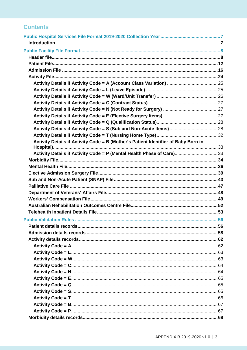### **Contents**

| Activity Details if Activity Code = B (Mother's Patient Identifier of Baby Born in |     |
|------------------------------------------------------------------------------------|-----|
| Activity Details if Activity Code = P (Mental Health Phase of Care) 33             |     |
|                                                                                    |     |
|                                                                                    |     |
|                                                                                    |     |
|                                                                                    |     |
|                                                                                    |     |
|                                                                                    |     |
|                                                                                    |     |
|                                                                                    |     |
|                                                                                    |     |
| <b>Public Validation Rules</b>                                                     | .56 |
|                                                                                    |     |
|                                                                                    |     |
|                                                                                    |     |
|                                                                                    |     |
|                                                                                    |     |
|                                                                                    |     |
|                                                                                    |     |
|                                                                                    |     |
|                                                                                    |     |
|                                                                                    |     |
|                                                                                    |     |
|                                                                                    |     |
|                                                                                    |     |
|                                                                                    |     |
|                                                                                    |     |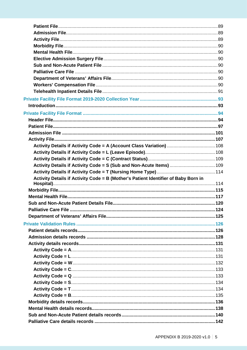| Activity Details if Activity Code = A (Account Class Variation)  108               |  |
|------------------------------------------------------------------------------------|--|
|                                                                                    |  |
|                                                                                    |  |
| Activity Details if Activity Code = S (Sub and Non-Acute Items)  109               |  |
|                                                                                    |  |
| Activity Details if Activity Code = B (Mother's Patient Identifier of Baby Born in |  |
|                                                                                    |  |
|                                                                                    |  |
|                                                                                    |  |
|                                                                                    |  |
|                                                                                    |  |
|                                                                                    |  |
|                                                                                    |  |
|                                                                                    |  |
|                                                                                    |  |
|                                                                                    |  |
|                                                                                    |  |
|                                                                                    |  |
|                                                                                    |  |
|                                                                                    |  |
|                                                                                    |  |
|                                                                                    |  |
|                                                                                    |  |
|                                                                                    |  |
|                                                                                    |  |
|                                                                                    |  |
|                                                                                    |  |
|                                                                                    |  |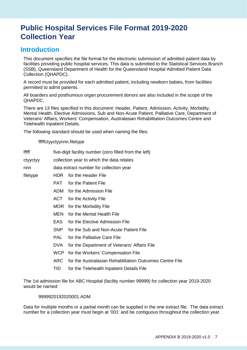# <span id="page-6-0"></span>**Public Hospital Services File Format 2019-2020 Collection Year**

### <span id="page-6-1"></span>**Introduction**

This document specifies the file format for the electronic submission of admitted patient data by facilities providing public hospital services. This data is submitted to the Statistical Services Branch (SSB), Queensland Department of Health for the Queensland Hospital Admitted Patient Data Collection (QHAPDC).

A record must be provided for each admitted patient, including newborn babies, from facilities permitted to admit patients.

All boarders and posthumous organ procurement donors are also included in the scope of the QHAPDC.

There are 13 files specified in this document: Header, Patient, Admission, Activity, Morbidity, Mental Health, Elective Admissions, Sub and Non-Acute Patient, Palliative Care, Department of Veterans' Affairs, Workers' Compensation, Australasian Rehabilitation Outcomes Centre and Telehealth Inpatient Details.

The following standard should be used when naming the files:

#### fffffctyyctyynnn.filetype

- fffff five-digit facility number (zero filled from the left)
- ctyyctyy collection year to which the data relates

nnn data extract number for collection year

- filetype HDR for the Header File
	- PAT for the Patient File
	- ADM for the Admission File
	- ACT for the Activity File
	- MOR for the Morbidity File
	- MEN for the Mental Health File
	- EAS for the Elective Admission File
	- SNP for the Sub and Non-Acute Patient File
	- PAL for the Palliative Care File
	- DVA for the Department of Veterans' Affairs File
	- WCP for the Workers' Compensation File
	- ARC for the Australasian Rehabilitation Outcomes Centre File
	- TID for the Telehealth Inpatient Details File

The 1st admission file for ABC Hospital (facility number 99999) for collection year 2019-2020 would be named:

9999920192020001.ADM

Data for multiple months or a partial month can be supplied in the one extract file. The data extract number for a collection year must begin at '001' and be contiguous throughout the collection year.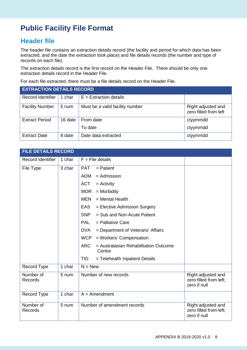# <span id="page-7-0"></span>**Public Facility File Format**

### <span id="page-7-1"></span>**Header file**

The header file contains an extraction details record (the facility and period for which data has been extracted, and the date the extraction took place) and file details records (the number and type of records on each file).

The extraction details record is the first record on the Header File. There should be only one extraction details record in the Header File.

For each file extracted, there must be a file details record on the Header File.

| <b>EXTRACTION DETAILS RECORD</b> |         |                                 |                                             |
|----------------------------------|---------|---------------------------------|---------------------------------------------|
| <b>Record Identifier</b>         | 1 char  | $E =$ Extraction details        |                                             |
| <b>Facility Number</b>           | 5 num   | Must be a valid facility number | Right adjusted and<br>zero filled from left |
| <b>Extract Period</b>            | 16 date | From date                       | ctyymmdd                                    |
|                                  |         | To date                         | ctyymmdd                                    |
| <b>Extract Date</b>              | 8 date  | Date data extracted             | ctyymmdd                                    |

| <b>FILE DETAILS RECORD</b> |        |                                                               |                                                              |
|----------------------------|--------|---------------------------------------------------------------|--------------------------------------------------------------|
| Record Identifier          | 1 char | $F =$ File details                                            |                                                              |
| File Type                  | 3 char | $=$ Patient<br><b>PAT</b>                                     |                                                              |
|                            |        | ADM<br>$=$ Admission                                          |                                                              |
|                            |        | <b>ACT</b><br>$=$ Activity                                    |                                                              |
|                            |        | <b>MOR</b><br>$=$ Morbidity                                   |                                                              |
|                            |        | <b>MEN</b><br>$=$ Mental Health                               |                                                              |
|                            |        | EAS<br>= Elective Admission Surgery                           |                                                              |
|                            |        | <b>SNP</b><br>= Sub and Non-Acute Patient                     |                                                              |
|                            |        | <b>PAL</b><br>$=$ Palliative Care                             |                                                              |
|                            |        | <b>DVA</b><br>= Department of Veterans' Affairs               |                                                              |
|                            |        | <b>WCP</b><br>= Workers' Compensation                         |                                                              |
|                            |        | <b>ARC</b><br>= Australasian Rehabilitation Outcome<br>Centre |                                                              |
|                            |        | <b>TID</b><br>= Telehealth Inpatient Details                  |                                                              |
| Record Type                | 1 char | $N = New$                                                     |                                                              |
| Number of<br>Records       | 5 num  | Number of new records                                         | Right adjusted and<br>zero filled from left;<br>zero if null |
| Record Type                | 1 char | $A =$ Amendment                                               |                                                              |
| Number of<br>Records       | 5 num  | Number of amendment records                                   | Right adjusted and<br>zero filled from left;<br>zero if null |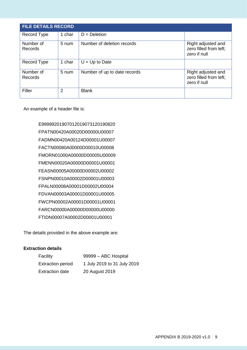| <b>FILE DETAILS RECORD</b>  |        |                              |                                                              |
|-----------------------------|--------|------------------------------|--------------------------------------------------------------|
| Record Type                 | 1 char | $D = Deletion$               |                                                              |
| Number of<br><b>Records</b> | 5 num  | Number of deletion records   | Right adjusted and<br>zero filled from left;<br>zero if null |
| Record Type                 | 1 char | $U = Up$ to Date             |                                                              |
| Number of<br>Records        | 5 num  | Number of up to date records | Right adjusted and<br>zero filled from left;<br>zero if null |
| Filler                      | 2      | <b>Blank</b>                 |                                                              |

An example of a header file is:

E99999201907012019073120190820 FPATN00420A00020D00000U00007 FADMN00420A00124D00001U00007 FACTN00080A00000D00010U00008 FMORN01000A00000D00005U00009 FMENN00020A00000D00001U00001 FEASN00005A00000D00002U00002 FSNPN00010A00002D00001U00003 FPALN00008A00001D00002U00004 FDVAN00003A00001D00001U00005 FWCPN00002A00001D00001U00001 FARCN00000A00000D00000U00000 FTIDN00007A00002D00001U00001

The details provided in the above example are:

#### **Extraction details**

| Facility                 | 99999 - ABC Hospital        |
|--------------------------|-----------------------------|
| <b>Extraction period</b> | 1 July 2019 to 31 July 2019 |
| <b>Extraction date</b>   | 20 August 2019              |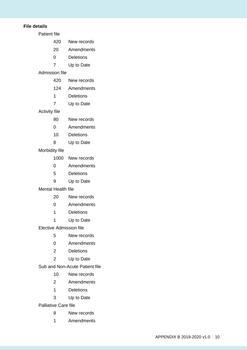#### **File details**

Patient file

- 420 New records
- 20 Amendments
- 0 Deletions
- 7 Up to Date

### Admission file

- 420 New records
- 124 Amendments
- 1 Deletions
- 7 Up to Date

#### Activity file

- 80 New records
- 0 Amendments
- 10 Deletions
- 8 Up to Date

#### Morbidity file

- 1000 New records
- 0 Amendments
- 5 Deletions
- 9 Up to Date

### Mental Health file

- 20 New records
- 0 Amendments
- 1 Deletions
- 1 Up to Date

#### Elective Admission file

- 5 New records
- 0 Amendments
- 2 Deletions
- 2 Up to Date

#### Sub and Non-Acute Patient file

- 10 New records
- 2 Amendments
- 1 Deletions
- 3 Up to Date

### Palliative Care file

- 8 New records
- 1 Amendments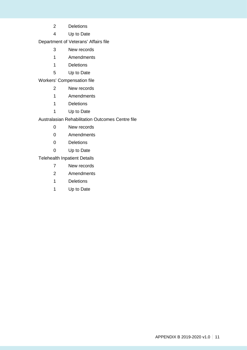- 2 Deletions
- 4 Up to Date

Department of Veterans' Affairs file

- 3 New records
- 1 Amendments
- 1 Deletions
- 5 Up to Date

Workers' Compensation file

- 2 New records
- 1 Amendments
- 1 Deletions
- 1 Up to Date

Australasian Rehabilitation Outcomes Centre file

- 0 New records
- 0 Amendments
- 0 Deletions
- 0 Up to Date

Telehealth Inpatient Details

- 7 New records
- 2 Amendments
- 1 Deletions
- 1 Up to Date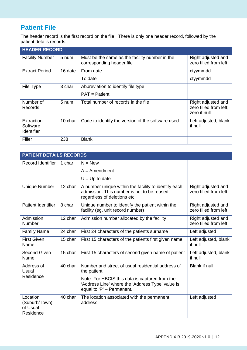# <span id="page-11-0"></span>**Patient File**

The header record is the first record on the file. There is only one header record, followed by the patient details records.

| <b>HEADER RECORD</b>                        |                 |                                                                             |                                                              |
|---------------------------------------------|-----------------|-----------------------------------------------------------------------------|--------------------------------------------------------------|
| <b>Facility Number</b>                      | $5 \text{ num}$ | Must be the same as the facility number in the<br>corresponding header file | Right adjusted and<br>zero filled from left                  |
| <b>Extract Period</b>                       | 16 date         | From date                                                                   | ctyymmdd                                                     |
|                                             |                 | To date                                                                     | ctyymmdd                                                     |
| File Type                                   | 3 char          | Abbreviation to identify file type                                          |                                                              |
|                                             |                 | $PAT =$ Patient                                                             |                                                              |
| Number of<br>Records                        | $5 \text{ num}$ | Total number of records in the file                                         | Right adjusted and<br>zero filled from left;<br>zero if null |
| Extraction<br>Software<br><b>Identifier</b> | 10 char         | Code to identify the version of the software used                           | Left adjusted, blank<br>if null                              |
| Filler                                      | 238             | <b>Blank</b>                                                                |                                                              |

| <b>PATIENT DETAILS RECORDS</b>                     |         |                                                                                                                                     |                                             |
|----------------------------------------------------|---------|-------------------------------------------------------------------------------------------------------------------------------------|---------------------------------------------|
| Record Identifier                                  | 1 char  | $N = New$                                                                                                                           |                                             |
|                                                    |         | $A =$ Amendment                                                                                                                     |                                             |
|                                                    |         | $U = Up$ to date                                                                                                                    |                                             |
| <b>Unique Number</b>                               | 12 char | A number unique within the facility to identify each<br>admission. This number is not to be reused.<br>regardless of deletions etc. | Right adjusted and<br>zero filled from left |
| <b>Patient Identifier</b>                          | 8 char  | Unique number to identify the patient within the<br>facility (eg. unit record number)                                               | Right adjusted and<br>zero filled from left |
| Admission<br>Number                                | 12 char | Admission number allocated by the facility                                                                                          | Right adjusted and<br>zero filled from left |
| <b>Family Name</b>                                 | 24 char | First 24 characters of the patients surname                                                                                         | Left adjusted                               |
| <b>First Given</b><br>Name                         | 15 char | First 15 characters of the patients first given name                                                                                | Left adjusted, blank<br>if null             |
| Second Given<br>Name                               | 15 char | First 15 characters of second given name of patient                                                                                 | Left adjusted, blank<br>if null             |
| Address of<br>Usual                                | 40 char | Number and street of usual residential address of<br>the patient                                                                    | <b>Blank if null</b>                        |
| Residence                                          |         | Note: For HBCIS this data is captured from the<br>'Address Line' where the 'Address Type' value is<br>equal to 'P' - Permanent.     |                                             |
| Location<br>(Suburb/Town)<br>of Usual<br>Residence | 40 char | The location associated with the permanent<br>address.                                                                              | Left adjusted                               |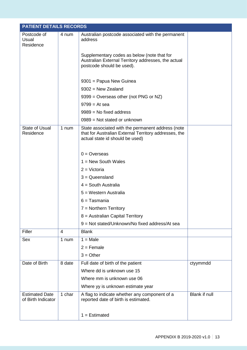| <b>PATIENT DETAILS RECORDS</b>              |                |                                                                                                                                               |                      |
|---------------------------------------------|----------------|-----------------------------------------------------------------------------------------------------------------------------------------------|----------------------|
| Postcode of<br>Usual<br>Residence           | 4 num          | Australian postcode associated with the permanent<br>address                                                                                  |                      |
|                                             |                | Supplementary codes as below (note that for<br>Australian External Territory addresses, the actual<br>postcode should be used).               |                      |
|                                             |                | 9301 = Papua New Guinea                                                                                                                       |                      |
|                                             |                | $9302$ = New Zealand                                                                                                                          |                      |
|                                             |                | 9399 = Overseas other (not PNG or NZ)                                                                                                         |                      |
|                                             |                | $9799 = At sea$                                                                                                                               |                      |
|                                             |                | $9989$ = No fixed address                                                                                                                     |                      |
|                                             |                | $0989$ = Not stated or unknown                                                                                                                |                      |
| <b>State of Usual</b><br>Residence          | 1 num          | State associated with the permanent address (note<br>that for Australian External Territory addresses, the<br>actual state id should be used) |                      |
|                                             |                |                                                                                                                                               |                      |
|                                             |                | $0 =$ Overseas                                                                                                                                |                      |
|                                             |                | $1 = New South Wales$                                                                                                                         |                      |
|                                             |                | $2 = Victoria$<br>$3 =$ Queensland                                                                                                            |                      |
|                                             |                | $4 =$ South Australia                                                                                                                         |                      |
|                                             |                | 5 = Western Australia                                                                                                                         |                      |
|                                             |                | $6 =$ Tasmania                                                                                                                                |                      |
|                                             |                | $7 =$ Northern Territory                                                                                                                      |                      |
|                                             |                | 8 = Australian Capital Territory                                                                                                              |                      |
|                                             |                | 9 = Not stated/Unknown/No fixed address/At sea                                                                                                |                      |
| Filler                                      | $\overline{4}$ | <b>Blank</b>                                                                                                                                  |                      |
| Sex                                         | 1 num          | $1 = Male$                                                                                                                                    |                      |
|                                             |                | $2 =$ Female                                                                                                                                  |                      |
|                                             |                | $3 = Other$                                                                                                                                   |                      |
| Date of Birth                               | 8 date         | Full date of birth of the patient                                                                                                             | ctyymmdd             |
|                                             |                | Where dd is unknown use 15                                                                                                                    |                      |
|                                             |                | Where mm is unknown use 06                                                                                                                    |                      |
|                                             |                | Where yy is unknown estimate year                                                                                                             |                      |
| <b>Estimated Date</b><br>of Birth Indicator | 1 char         | A flag to indicate whether any component of a<br>reported date of birth is estimated.                                                         | <b>Blank if null</b> |
|                                             |                |                                                                                                                                               |                      |
|                                             |                | $1 =$ Estimated                                                                                                                               |                      |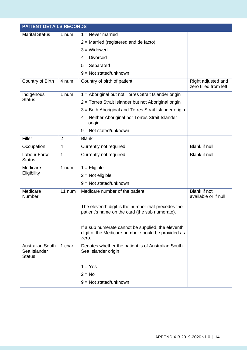| <b>PATIENT DETAILS RECORDS</b>                           |                |                                                                                                                   |                                             |
|----------------------------------------------------------|----------------|-------------------------------------------------------------------------------------------------------------------|---------------------------------------------|
| <b>Marital Status</b>                                    | 1 num          | $1 =$ Never married                                                                                               |                                             |
|                                                          |                | $2$ = Married (registered and de facto)                                                                           |                                             |
|                                                          |                | $3 = Widowed$                                                                                                     |                                             |
|                                                          |                | $4 = Divorced$                                                                                                    |                                             |
|                                                          |                | $5 =$ Separated                                                                                                   |                                             |
|                                                          |                | $9 = Not stated/unknown$                                                                                          |                                             |
| Country of Birth                                         | 4 num          | Country of birth of patient                                                                                       | Right adjusted and<br>zero filled from left |
| Indigenous                                               | 1 num          | 1 = Aboriginal but not Torres Strait Islander origin                                                              |                                             |
| <b>Status</b>                                            |                | 2 = Torres Strait Islander but not Aboriginal origin                                                              |                                             |
|                                                          |                | 3 = Both Aboriginal and Torres Strait Islander origin                                                             |                                             |
|                                                          |                | 4 = Neither Aboriginal nor Torres Strait Islander<br>origin                                                       |                                             |
|                                                          |                | $9 = Not stated/unknown$                                                                                          |                                             |
| Filler                                                   | 2              | <b>Blank</b>                                                                                                      |                                             |
| Occupation                                               | $\overline{4}$ | Currently not required                                                                                            | Blank if null                               |
| Labour Force<br><b>Status</b>                            | $\mathbf{1}$   | Currently not required                                                                                            | Blank if null                               |
| Medicare                                                 | 1 num          | $1 =$ Eligible                                                                                                    |                                             |
| Eligibility                                              |                | $2 = Not$ eligible                                                                                                |                                             |
|                                                          |                | $9 = Not stated/unknown$                                                                                          |                                             |
| Medicare<br>Number                                       | $11$ num       | Medicare number of the patient                                                                                    | <b>Blank if not</b><br>available or if null |
|                                                          |                | The eleventh digit is the number that precedes the<br>patient's name on the card (the sub numerate).              |                                             |
|                                                          |                | If a sub numerate cannot be supplied, the eleventh<br>digit of the Medicare number should be provided as<br>zero. |                                             |
| <b>Australian South</b><br>Sea Islander<br><b>Status</b> | 1 char         | Denotes whether the patient is of Australian South<br>Sea Islander origin                                         |                                             |
|                                                          |                | $1 = Yes$                                                                                                         |                                             |
|                                                          |                | $2 = No$                                                                                                          |                                             |
|                                                          |                | $9 = Not stated/unknown$                                                                                          |                                             |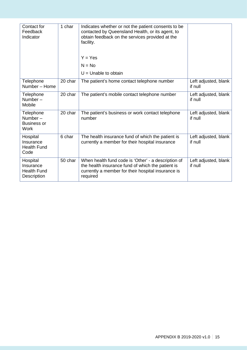| Contact for<br>Feedback<br>Indicator                       | 1 char  | Indicates whether or not the patient consents to be<br>contacted by Queensland Health, or its agent, to<br>obtain feedback on the services provided at the<br>facility.<br>$Y = Yes$<br>$N = No$<br>$U =$ Unable to obtain |                                 |
|------------------------------------------------------------|---------|----------------------------------------------------------------------------------------------------------------------------------------------------------------------------------------------------------------------------|---------------------------------|
| Telephone<br>Number - Home                                 | 20 char | The patient's home contact telephone number                                                                                                                                                                                | Left adjusted, blank<br>if null |
| Telephone<br>Number-<br>Mobile                             | 20 char | The patient's mobile contact telephone number                                                                                                                                                                              | Left adjusted, blank<br>if null |
| Telephone<br>Number $-$<br><b>Business or</b><br>Work      | 20 char | The patient's business or work contact telephone<br>number                                                                                                                                                                 | Left adjusted, blank<br>if null |
| Hospital<br>Insurance<br><b>Health Fund</b><br>Code        | 6 char  | The health insurance fund of which the patient is<br>currently a member for their hospital insurance                                                                                                                       | Left adjusted, blank<br>if null |
| Hospital<br>Insurance<br><b>Health Fund</b><br>Description | 50 char | When health fund code is 'Other' - a description of<br>the health insurance fund of which the patient is<br>currently a member for their hospital insurance is<br>required                                                 | Left adjusted, blank<br>if null |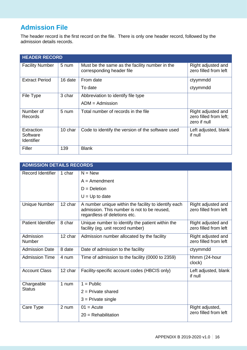# <span id="page-15-0"></span>**Admission File**

The header record is the first record on the file. There is only one header record, followed by the admission details records.

| <b>HEADER RECORD</b>                        |         |                                                                             |                                                              |
|---------------------------------------------|---------|-----------------------------------------------------------------------------|--------------------------------------------------------------|
| <b>Facility Number</b>                      | 5 num   | Must be the same as the facility number in the<br>corresponding header file | Right adjusted and<br>zero filled from left                  |
| <b>Extract Period</b>                       | 16 date | From date                                                                   | ctyymmdd                                                     |
|                                             |         | To date                                                                     | ctyymmdd                                                     |
| File Type                                   | 3 char  | Abbreviation to identify file type<br>$ADM =$ Admission                     |                                                              |
| Number of<br>Records                        | 5 num   | Total number of records in the file                                         | Right adjusted and<br>zero filled from left;<br>zero if null |
| Extraction<br>Software<br><b>Identifier</b> | 10 char | Code to identify the version of the software used                           | Left adjusted, blank<br>if null                              |
| Filler                                      | 139     | <b>Blank</b>                                                                |                                                              |

| <b>ADMISSION DETAILS RECORDS</b> |         |                                                                                                                                     |                                             |
|----------------------------------|---------|-------------------------------------------------------------------------------------------------------------------------------------|---------------------------------------------|
| Record Identifier                | 1 char  | $N = New$                                                                                                                           |                                             |
|                                  |         | $A =$ Amendment                                                                                                                     |                                             |
|                                  |         | $D = Deletion$                                                                                                                      |                                             |
|                                  |         | $U = Up$ to date                                                                                                                    |                                             |
| Unique Number                    | 12 char | A number unique within the facility to identify each<br>admission. This number is not to be reused,<br>regardless of deletions etc. | Right adjusted and<br>zero filled from left |
| Patient Identifier               | 8 char  | Unique number to identify the patient within the<br>facility (eg. unit record number)                                               | Right adjusted and<br>zero filled from left |
| Admission<br>Number              | 12 char | Admission number allocated by the facility                                                                                          | Right adjusted and<br>zero filled from left |
| <b>Admission Date</b>            | 8 date  | Date of admission to the facility                                                                                                   | ctyymmdd                                    |
| <b>Admission Time</b>            | 4 num   | Time of admission to the facility (0000 to 2359)                                                                                    | hhmm (24-hour<br>clock)                     |
| <b>Account Class</b>             | 12 char | Facility-specific account codes (HBCIS only)                                                                                        | Left adjusted, blank<br>if null             |
| Chargeable                       | 1 num   | $1 =$ Public                                                                                                                        |                                             |
| <b>Status</b>                    |         | $2$ = Private shared                                                                                                                |                                             |
|                                  |         | $3$ = Private single                                                                                                                |                                             |
| Care Type                        | 2 num   | $01 = Acute$                                                                                                                        | Right adjusted,                             |
|                                  |         | $20 =$ Rehabilitation                                                                                                               | zero filled from left                       |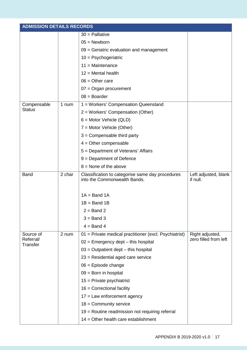| <b>ADMISSION DETAILS RECORDS</b> |        |                                                                                  |                                  |
|----------------------------------|--------|----------------------------------------------------------------------------------|----------------------------------|
|                                  |        | $30$ = Palliative                                                                |                                  |
|                                  |        | $05 =$ Newborn                                                                   |                                  |
|                                  |        | 09 = Geriatric evaluation and management                                         |                                  |
|                                  |        | $10 =$ Psychogeriatric                                                           |                                  |
|                                  |        | $11 =$ Maintenance                                                               |                                  |
|                                  |        | $12$ = Mental health                                                             |                                  |
|                                  |        | $06 =$ Other care                                                                |                                  |
|                                  |        | $07 =$ Organ procurement                                                         |                                  |
|                                  |        | $08 =$ Boarder                                                                   |                                  |
| Compensable                      | 1 num  | 1 = Workers' Compensation Queensland                                             |                                  |
| <b>Status</b>                    |        | 2 = Workers' Compensation (Other)                                                |                                  |
|                                  |        | $6 =$ Motor Vehicle (QLD)                                                        |                                  |
|                                  |        | $7 =$ Motor Vehicle (Other)                                                      |                                  |
|                                  |        | $3 =$ Compensable third party                                                    |                                  |
|                                  |        | $4 =$ Other compensable                                                          |                                  |
|                                  |        | 5 = Department of Veterans' Affairs                                              |                                  |
|                                  |        | $9 = Department of Defense$                                                      |                                  |
|                                  |        | $8 =$ None of the above                                                          |                                  |
| <b>Band</b>                      | 2 char | Classification to categorise same day procedures<br>into the Commonwealth Bands. | Left adjusted, blank<br>if null. |
|                                  |        | $1A = Band 1A$                                                                   |                                  |
|                                  |        | $1B = Band 1B$                                                                   |                                  |
|                                  |        | $2 =$ Band 2                                                                     |                                  |
|                                  |        | $3 =$ Band 3                                                                     |                                  |
|                                  |        | $4 =$ Band 4                                                                     |                                  |
| Source of                        | 2 num  | 01 = Private medical practitioner (excl. Psychiatrist)                           | Right adjusted,                  |
| Referral/                        |        | $02$ = Emergency dept – this hospital                                            | zero filled from left            |
| <b>Transfer</b>                  |        | $03$ = Outpatient dept – this hospital                                           |                                  |
|                                  |        | $23$ = Residential aged care service                                             |                                  |
|                                  |        | $06$ = Episode change                                                            |                                  |
|                                  |        | $09 =$ Born in hospital                                                          |                                  |
|                                  |        | $15$ = Private psychiatrist                                                      |                                  |
|                                  |        | $16$ = Correctional facility                                                     |                                  |
|                                  |        | $17$ = Law enforcement agency                                                    |                                  |
|                                  |        | $18 =$ Community service                                                         |                                  |
|                                  |        | 19 = Routine readmission not requiring referral                                  |                                  |
|                                  |        | $14 =$ Other health care establishment                                           |                                  |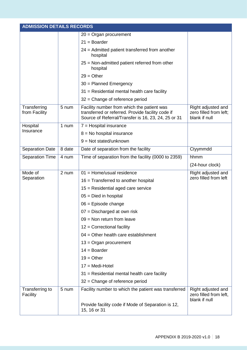| <b>ADMISSION DETAILS RECORDS</b> |        |                                                                                                                                                        |                                                               |
|----------------------------------|--------|--------------------------------------------------------------------------------------------------------------------------------------------------------|---------------------------------------------------------------|
|                                  |        | $20 =$ Organ procurement                                                                                                                               |                                                               |
|                                  |        | $21 = Boarder$                                                                                                                                         |                                                               |
|                                  |        | 24 = Admitted patient transferred from another<br>hospital                                                                                             |                                                               |
|                                  |        | $25$ = Non-admitted patient referred from other<br>hospital                                                                                            |                                                               |
|                                  |        | $29 = Other$                                                                                                                                           |                                                               |
|                                  |        | 30 = Planned Emergency                                                                                                                                 |                                                               |
|                                  |        | 31 = Residential mental health care facility                                                                                                           |                                                               |
|                                  |        | $32$ = Change of reference period                                                                                                                      |                                                               |
| Transferring<br>from Facility    | 5 num  | Facility number from which the patient was<br>transferred or referred. Provide facility code if<br>Source of Referral/Transfer is 16, 23, 24, 25 or 31 | Right adjusted and<br>zero filled from left;<br>blank if null |
| Hospital                         | 1 num  | $7 =$ Hospital insurance                                                                                                                               |                                                               |
| Insurance                        |        | $8 = No$ hospital insurance                                                                                                                            |                                                               |
|                                  |        | $9 = Not stated/unknown$                                                                                                                               |                                                               |
| <b>Separation Date</b>           | 8 date | Date of separation from the facility                                                                                                                   | Ctyymmdd                                                      |
| <b>Separation Time</b>           | 4 num  | Time of separation from the facility (0000 to 2359)                                                                                                    | hhmm                                                          |
|                                  |        |                                                                                                                                                        | (24-hour clock)                                               |
| Mode of                          | 2 num  | $01 =$ Home/usual residence                                                                                                                            | Right adjusted and                                            |
| Separation                       |        | 16 = Transferred to another hospital                                                                                                                   | zero filled from left                                         |
|                                  |        | $15$ = Residential aged care service                                                                                                                   |                                                               |
|                                  |        | $05 =$ Died in hospital                                                                                                                                |                                                               |
|                                  |        | $06$ = Episode change                                                                                                                                  |                                                               |
|                                  |        | 07 = Discharged at own risk                                                                                                                            |                                                               |
|                                  |        | $09$ = Non return from leave                                                                                                                           |                                                               |
|                                  |        | $12$ = Correctional facility                                                                                                                           |                                                               |
|                                  |        | $04 =$ Other health care establishment                                                                                                                 |                                                               |
|                                  |        | $13 =$ Organ procurement                                                                                                                               |                                                               |
|                                  |        | $14 = \text{Boarder}$                                                                                                                                  |                                                               |
|                                  |        | $19 = Other$                                                                                                                                           |                                                               |
|                                  |        | $17 = Medi-Hotel$                                                                                                                                      |                                                               |
|                                  |        | 31 = Residential mental health care facility                                                                                                           |                                                               |
|                                  |        | $32$ = Change of reference period                                                                                                                      |                                                               |
| Transferring to<br>Facility      | 5 num  | Facility number to which the patient was transferred                                                                                                   | Right adjusted and<br>zero filled from left,<br>blank if null |
|                                  |        | Provide facility code if Mode of Separation is 12,<br>15, 16 or 31                                                                                     |                                                               |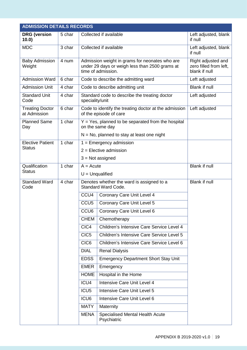| <b>ADMISSION DETAILS RECORDS</b>       |                     |                   |                                                                                                                        |                                                               |  |
|----------------------------------------|---------------------|-------------------|------------------------------------------------------------------------------------------------------------------------|---------------------------------------------------------------|--|
| <b>DRG</b> (version<br>10.0)           | 5 char              |                   | Collected if available                                                                                                 | Left adjusted, blank<br>if null                               |  |
| <b>MDC</b>                             | 3 char              |                   | Collected if available                                                                                                 | Left adjusted, blank<br>if null                               |  |
| <b>Baby Admission</b><br>Weight        | 4 num               |                   | Admission weight in grams for neonates who are<br>under 29 days or weigh less than 2500 grams at<br>time of admission. | Right adjusted and<br>zero filled from left,<br>blank if null |  |
| <b>Admission Ward</b>                  | 6 char              |                   | Code to describe the admitting ward                                                                                    | Left adjusted                                                 |  |
| <b>Admission Unit</b>                  | 4 char              |                   | Code to describe admitting unit                                                                                        | Blank if null                                                 |  |
| <b>Standard Unit</b><br>Code           | 4 char              | speciality/unit   | Standard code to describe the treating doctor                                                                          | Left adjusted                                                 |  |
| <b>Treating Doctor</b><br>at Admission | 6 char              |                   | Code to identify the treating doctor at the admission<br>of the episode of care                                        | Left adjusted                                                 |  |
| <b>Planned Same</b><br>Day             | 1 char              |                   | $Y = Yes$ , planned to be separated from the hospital<br>on the same day                                               |                                                               |  |
|                                        |                     |                   | $N = No$ , planned to stay at least one night                                                                          |                                                               |  |
| <b>Elective Patient</b>                | 1 char              |                   | $1 =$ Emergency admission                                                                                              |                                                               |  |
| <b>Status</b>                          |                     |                   | $2$ = Elective admission                                                                                               |                                                               |  |
|                                        |                     |                   | $3 = Not assigned$                                                                                                     |                                                               |  |
| Qualification<br><b>Status</b>         | $\overline{1}$ char | $A = Acute$       |                                                                                                                        | <b>Blank if null</b>                                          |  |
|                                        |                     | $U =$ Unqualified |                                                                                                                        |                                                               |  |
| <b>Standard Ward</b><br>Code           | 4 char              |                   | Denotes whether the ward is assigned to a<br>Standard Ward Code.                                                       | Blank if null                                                 |  |
|                                        |                     | CCU <sub>4</sub>  | Coronary Care Unit Level 4                                                                                             |                                                               |  |
|                                        |                     | CCU <sub>5</sub>  | Coronary Care Unit Level 5                                                                                             |                                                               |  |
|                                        |                     | CCU6              | Coronary Care Unit Level 6                                                                                             |                                                               |  |
|                                        |                     | <b>CHEM</b>       | Chemotherapy                                                                                                           |                                                               |  |
|                                        |                     | CIC4              | Children's Intensive Care Service Level 4                                                                              |                                                               |  |
|                                        |                     | CIC <sub>5</sub>  | Children's Intensive Care Service Level 5                                                                              |                                                               |  |
|                                        |                     | CIC <sub>6</sub>  | Children's Intensive Care Service Level 6                                                                              |                                                               |  |
|                                        |                     | <b>DIAL</b>       | <b>Renal Dialysis</b>                                                                                                  |                                                               |  |
|                                        |                     | <b>EDSS</b>       | <b>Emergency Department Short Stay Unit</b>                                                                            |                                                               |  |
|                                        |                     | <b>EMER</b>       | Emergency                                                                                                              |                                                               |  |
|                                        |                     | <b>HOME</b>       | Hospital in the Home                                                                                                   |                                                               |  |
|                                        |                     | ICU4              | Intensive Care Unit Level 4                                                                                            |                                                               |  |
|                                        |                     | ICU <sub>5</sub>  | Intensive Care Unit Level 5                                                                                            |                                                               |  |
|                                        |                     | ICU6              | Intensive Care Unit Level 6                                                                                            |                                                               |  |
|                                        |                     | <b>MATY</b>       | Maternity                                                                                                              |                                                               |  |
|                                        |                     | <b>MENA</b>       | <b>Specialised Mental Health Acute</b><br>Psychiatric                                                                  |                                                               |  |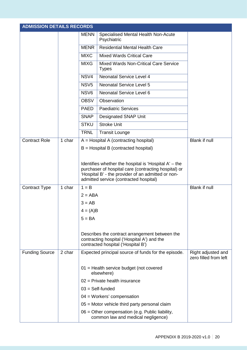| <b>ADMISSION DETAILS RECORDS</b> |        |                  |                                                                                                                                                                                                                 |                                             |
|----------------------------------|--------|------------------|-----------------------------------------------------------------------------------------------------------------------------------------------------------------------------------------------------------------|---------------------------------------------|
|                                  |        | <b>MENN</b>      | <b>Specialised Mental Health Non-Acute</b><br>Psychiatric                                                                                                                                                       |                                             |
|                                  |        | <b>MENR</b>      | <b>Residential Mental Health Care</b>                                                                                                                                                                           |                                             |
|                                  |        | <b>MIXC</b>      | <b>Mixed Wards Critical Care</b>                                                                                                                                                                                |                                             |
|                                  |        | <b>MIXG</b>      | <b>Mixed Wards Non-Critical Care Service</b><br><b>Types</b>                                                                                                                                                    |                                             |
|                                  |        | NSV4             | Neonatal Service Level 4                                                                                                                                                                                        |                                             |
|                                  |        | NSV <sub>5</sub> | <b>Neonatal Service Level 5</b>                                                                                                                                                                                 |                                             |
|                                  |        | NSV <sub>6</sub> | Neonatal Service Level 6                                                                                                                                                                                        |                                             |
|                                  |        | <b>OBSV</b>      | Observation                                                                                                                                                                                                     |                                             |
|                                  |        | <b>PAED</b>      | <b>Paediatric Services</b>                                                                                                                                                                                      |                                             |
|                                  |        | <b>SNAP</b>      | <b>Designated SNAP Unit</b>                                                                                                                                                                                     |                                             |
|                                  |        | <b>STKU</b>      | <b>Stroke Unit</b>                                                                                                                                                                                              |                                             |
|                                  |        | <b>TRNL</b>      | <b>Transit Lounge</b>                                                                                                                                                                                           |                                             |
| <b>Contract Role</b>             | 1 char |                  | $A = Hospital A (contracting hospital)$                                                                                                                                                                         | <b>Blank if null</b>                        |
|                                  |        |                  | $B =$ Hospital B (contracted hospital)                                                                                                                                                                          |                                             |
|                                  |        |                  | Identifies whether the hospital is 'Hospital $A'$ – the<br>purchaser of hospital care (contracting hospital) or<br>'Hospital B' - the provider of an admitted or non-<br>admitted service (contracted hospital) |                                             |
| <b>Contract Type</b>             | 1 char | $1 = B$          |                                                                                                                                                                                                                 | <b>Blank if null</b>                        |
|                                  |        | $2 = ABA$        |                                                                                                                                                                                                                 |                                             |
|                                  |        | $3 = AB$         |                                                                                                                                                                                                                 |                                             |
|                                  |        | $4 = (A)B$       |                                                                                                                                                                                                                 |                                             |
|                                  |        | $5 = BA$         |                                                                                                                                                                                                                 |                                             |
|                                  |        |                  | Describes the contract arrangement between the<br>contracting hospital ('Hospital A') and the<br>contracted hospital ('Hospital B')                                                                             |                                             |
| <b>Funding Source</b>            | 2 char |                  | Expected principal source of funds for the episode.                                                                                                                                                             | Right adjusted and<br>zero filled from left |
|                                  |        |                  | 01 = Health service budget (not covered<br>elsewhere)                                                                                                                                                           |                                             |
|                                  |        |                  | $02$ = Private health insurance                                                                                                                                                                                 |                                             |
|                                  |        |                  | $03 = Self$ -funded                                                                                                                                                                                             |                                             |
|                                  |        |                  | $04 = \text{Works}'$ compensation                                                                                                                                                                               |                                             |
|                                  |        |                  | $05$ = Motor vehicle third party personal claim                                                                                                                                                                 |                                             |
|                                  |        |                  | 06 = Other compensation (e.g. Public liability,<br>common law and medical negligence)                                                                                                                           |                                             |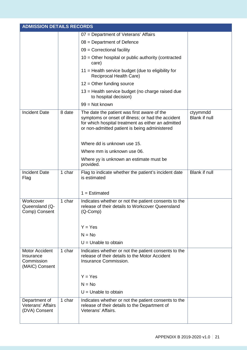| <b>ADMISSION DETAILS RECORDS</b>                                   |        |                                                                                                                                                                                                         |                                  |
|--------------------------------------------------------------------|--------|---------------------------------------------------------------------------------------------------------------------------------------------------------------------------------------------------------|----------------------------------|
|                                                                    |        | 07 = Department of Veterans' Affairs                                                                                                                                                                    |                                  |
|                                                                    |        | $08$ = Department of Defence                                                                                                                                                                            |                                  |
|                                                                    |        | $09$ = Correctional facility                                                                                                                                                                            |                                  |
|                                                                    |        | $10 =$ Other hospital or public authority (contracted<br>care)                                                                                                                                          |                                  |
|                                                                    |        | 11 = Health service budget (due to eligibility for<br>Reciprocal Health Care)                                                                                                                           |                                  |
|                                                                    |        | $12$ = Other funding source                                                                                                                                                                             |                                  |
|                                                                    |        | 13 = Health service budget (no charge raised due<br>to hospital decision)                                                                                                                               |                                  |
|                                                                    |        | $99 = Not known$                                                                                                                                                                                        |                                  |
| <b>Incident Date</b>                                               | 8 date | The date the patient was first aware of the<br>symptoms or onset of illness; or had the accident<br>for which hospital treatment as either an admitted<br>or non-admitted patient is being administered | ctyymmdd<br><b>Blank if null</b> |
|                                                                    |        | Where dd is unknown use 15.                                                                                                                                                                             |                                  |
|                                                                    |        | Where mm is unknown use 06.                                                                                                                                                                             |                                  |
|                                                                    |        | Where yy is unknown an estimate must be<br>provided.                                                                                                                                                    |                                  |
| <b>Incident Date</b><br>Flag                                       | 1 char | Flag to indicate whether the patient's incident date<br>is estimated                                                                                                                                    | <b>Blank if null</b>             |
|                                                                    |        | $1 =$ Estimated                                                                                                                                                                                         |                                  |
| Workcover<br>Queensland (Q-<br>Comp) Consent                       | 1 char | Indicates whether or not the patient consents to the<br>release of their details to Workcover Queensland<br>(Q-Comp)                                                                                    |                                  |
|                                                                    |        | $Y = Yes$                                                                                                                                                                                               |                                  |
|                                                                    |        | $N = No$                                                                                                                                                                                                |                                  |
|                                                                    |        | $U =$ Unable to obtain                                                                                                                                                                                  |                                  |
| <b>Motor Accident</b><br>Insurance<br>Commission<br>(MAIC) Consent | 1 char | Indicates whether or not the patient consents to the<br>release of their details to the Motor Accident<br>Insurance Commission.                                                                         |                                  |
|                                                                    |        | $Y = Yes$                                                                                                                                                                                               |                                  |
|                                                                    |        | $N = No$                                                                                                                                                                                                |                                  |
|                                                                    |        | $U =$ Unable to obtain                                                                                                                                                                                  |                                  |
| Department of<br>Veterans' Affairs<br>(DVA) Consent                | 1 char | Indicates whether or not the patient consents to the<br>release of their details to the Department of<br>Veterans' Affairs.                                                                             |                                  |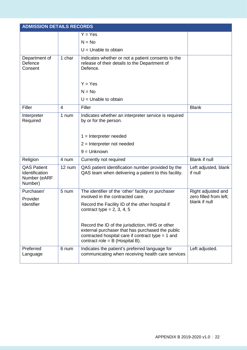| <b>ADMISSION DETAILS RECORDS</b>                                |                |                                                                                                                                                                                                 |                                              |
|-----------------------------------------------------------------|----------------|-------------------------------------------------------------------------------------------------------------------------------------------------------------------------------------------------|----------------------------------------------|
|                                                                 |                | $Y = Yes$                                                                                                                                                                                       |                                              |
|                                                                 |                | $N = No$                                                                                                                                                                                        |                                              |
|                                                                 |                | $U =$ Unable to obtain                                                                                                                                                                          |                                              |
| Department of<br>Defence<br>Consent                             | 1 char         | Indicates whether or not a patient consents to the<br>release of their details to the Department of<br>Defence.                                                                                 |                                              |
|                                                                 |                | $Y = Yes$                                                                                                                                                                                       |                                              |
|                                                                 |                | $N = No$                                                                                                                                                                                        |                                              |
|                                                                 |                | $U =$ Unable to obtain                                                                                                                                                                          |                                              |
| Filler                                                          | $\overline{4}$ | Filler                                                                                                                                                                                          | <b>Blank</b>                                 |
| Interpreter<br>Required                                         | 1 num          | Indicates whether an interpreter service is required<br>by or for the person.                                                                                                                   |                                              |
|                                                                 |                | $1 =$ Interpreter needed                                                                                                                                                                        |                                              |
|                                                                 |                | $2$ = Interpreter not needed                                                                                                                                                                    |                                              |
|                                                                 |                | $9 =$ Unknown                                                                                                                                                                                   |                                              |
| Religion                                                        | 4 num          | Currently not required                                                                                                                                                                          | <b>Blank if null</b>                         |
| <b>QAS Patient</b><br>Identification<br>Number (eARF<br>Number) | 12 num         | QAS patient identification number provided by the<br>QAS team when delivering a patient to this facility.                                                                                       | Left adjusted, blank<br>if null              |
| Purchaser/                                                      | 5 num          | The identifier of the 'other' facility or purchaser<br>involved in the contracted care.                                                                                                         | Right adjusted and<br>zero filled from left; |
| Provider<br>Identifier                                          |                | Record the Facility ID of the other hospital if<br>contract type = $2, 3, 4, 5$                                                                                                                 | blank if null                                |
|                                                                 |                | Record the ID of the jurisdiction, HHS or other<br>external purchaser that has purchased the public<br>contracted hospital care if contract type $= 1$ and<br>contract role = $B$ (Hospital B). |                                              |
| Preferred<br>Language                                           | 6 num          | Indicates the patient's preferred language for<br>communicating when receiving health care services                                                                                             | Left adjusted.                               |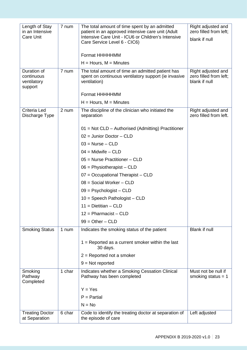| Length of Stay<br>in an Intensive                   | 7 num  | The total amount of time spent by an admitted<br>patient in an approved intensive care unit (Adult                       | Right adjusted and<br>zero filled from left:                  |
|-----------------------------------------------------|--------|--------------------------------------------------------------------------------------------------------------------------|---------------------------------------------------------------|
| <b>Care Unit</b>                                    |        | Intensive Care Unit - ICU6 or Children's Intensive<br>Care Service Level 6 - CIC6)                                       | blank if null                                                 |
|                                                     |        | Format HHHHHMM                                                                                                           |                                                               |
|                                                     |        | $H =$ Hours, M = Minutes                                                                                                 |                                                               |
| Duration of<br>continuous<br>ventilatory<br>support | 7 num  | The total amount of time an admitted patient has<br>spent on continuous ventilatory support (ie invasive<br>ventilation) | Right adjusted and<br>zero filled from left;<br>blank if null |
|                                                     |        | Format HHHHHMM                                                                                                           |                                                               |
|                                                     |        | $H =$ Hours, M = Minutes                                                                                                 |                                                               |
| Criteria Led<br>Discharge Type                      | 2 num  | The discipline of the clinician who initiated the<br>separation                                                          | Right adjusted and<br>zero filled from left.                  |
|                                                     |        | 01 = Not CLD – Authorised (Admitting) Practitioner                                                                       |                                                               |
|                                                     |        | $02 =$ Junior Doctor - CLD                                                                                               |                                                               |
|                                                     |        | $03$ = Nurse – CLD                                                                                                       |                                                               |
|                                                     |        | $04 =$ Midwife $-$ CLD                                                                                                   |                                                               |
|                                                     |        | $05$ = Nurse Practitioner – CLD                                                                                          |                                                               |
|                                                     |        | $06$ = Physiotherapist – CLD                                                                                             |                                                               |
|                                                     |        | 07 = Occupational Therapist - CLD                                                                                        |                                                               |
|                                                     |        | $08 =$ Social Worker - CLD                                                                                               |                                                               |
|                                                     |        | $09 =$ Psychologist – CLD                                                                                                |                                                               |
|                                                     |        | $10 =$ Speech Pathologist – CLD                                                                                          |                                                               |
|                                                     |        | $11 = Dietitian - CLD$                                                                                                   |                                                               |
|                                                     |        | $12 =$ Pharmacist - CLD                                                                                                  |                                                               |
|                                                     |        | $99 = Other - CLD$                                                                                                       |                                                               |
| <b>Smoking Status</b>                               | 1 num  | Indicates the smoking status of the patient                                                                              | <b>Blank if null</b>                                          |
|                                                     |        | $1 =$ Reported as a current smoker within the last<br>30 days.                                                           |                                                               |
|                                                     |        | $2 =$ Reported not a smoker                                                                                              |                                                               |
|                                                     |        | $9 = Not$ reported                                                                                                       |                                                               |
| Smoking<br>Pathway<br>Completed                     | 1 char | Indicates whether a Smoking Cessation Clinical<br>Pathway has been completed                                             | Must not be null if<br>smoking status $= 1$                   |
|                                                     |        | $Y = Yes$                                                                                                                |                                                               |
|                                                     |        | $P =$ Partial                                                                                                            |                                                               |
|                                                     |        | $N = No$                                                                                                                 |                                                               |
| <b>Treating Doctor</b><br>at Separation             | 6 char | Code to identify the treating doctor at separation of<br>the episode of care                                             | Left adjusted                                                 |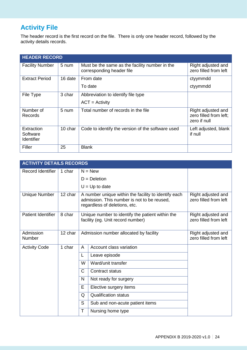# <span id="page-23-0"></span>**Activity File**

The header record is the first record on the file. There is only one header record, followed by the activity details records.

| <b>HEADER RECORD</b>                 |         |                                                                             |                                                              |
|--------------------------------------|---------|-----------------------------------------------------------------------------|--------------------------------------------------------------|
| <b>Facility Number</b>               | 5 num   | Must be the same as the facility number in the<br>corresponding header file | Right adjusted and<br>zero filled from left                  |
| <b>Extract Period</b>                | 16 date | From date                                                                   | ctyymmdd                                                     |
|                                      |         | To date                                                                     | ctyymmdd                                                     |
| File Type                            | 3 char  | Abbreviation to identify file type<br>$ACT = Activity$                      |                                                              |
| Number of<br>Records                 | 5 num   | Total number of records in the file                                         | Right adjusted and<br>zero filled from left;<br>zero if null |
| Extraction<br>Software<br>Identifier | 10 char | Code to identify the version of the software used                           | Left adjusted, blank<br>if null                              |
| Filler                               | 25      | <b>Blank</b>                                                                |                                                              |

| <b>ACTIVITY DETAILS RECORDS</b> |         |   |                                                                                                                                      |                                             |  |  |
|---------------------------------|---------|---|--------------------------------------------------------------------------------------------------------------------------------------|---------------------------------------------|--|--|
| Record Identifier               | 1 char  |   | $N = New$                                                                                                                            |                                             |  |  |
|                                 |         |   | $D = Deletion$                                                                                                                       |                                             |  |  |
|                                 |         |   | $U = Up$ to date                                                                                                                     |                                             |  |  |
| <b>Unique Number</b>            | 12 char |   | A number unique within the facility to identify each<br>admission. This number is not to be reused,<br>regardless of deletions, etc. | Right adjusted and<br>zero filled from left |  |  |
| <b>Patient Identifier</b>       | 8 char  |   | Unique number to identify the patient within the<br>facility (eg. Unit record number)                                                | Right adjusted and<br>zero filled from left |  |  |
| Admission<br>Number             | 12 char |   | Admission number allocated by facility                                                                                               | Right adjusted and<br>zero filled from left |  |  |
| <b>Activity Code</b>            | 1 char  | A | Account class variation                                                                                                              |                                             |  |  |
|                                 |         | L | Leave episode                                                                                                                        |                                             |  |  |
|                                 |         | W | Ward/unit transfer                                                                                                                   |                                             |  |  |
|                                 |         | C | <b>Contract status</b>                                                                                                               |                                             |  |  |
|                                 |         | N | Not ready for surgery                                                                                                                |                                             |  |  |
|                                 |         | E | Elective surgery items                                                                                                               |                                             |  |  |
|                                 |         | Q | <b>Qualification status</b>                                                                                                          |                                             |  |  |
|                                 |         | S | Sub and non-acute patient items                                                                                                      |                                             |  |  |
|                                 |         | T | Nursing home type                                                                                                                    |                                             |  |  |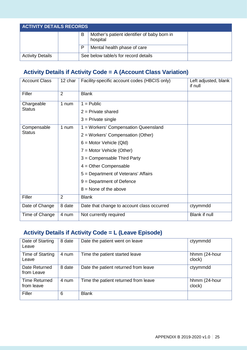| <b>ACTIVITY DETAILS RECORDS</b> |  |   |                                                         |  |  |
|---------------------------------|--|---|---------------------------------------------------------|--|--|
|                                 |  | в | Mother's patient identifier of baby born in<br>hospital |  |  |
|                                 |  | Þ | Mental health phase of care                             |  |  |
| <b>Activity Details</b>         |  |   | See below table/s for record details                    |  |  |

# <span id="page-24-0"></span>**Activity Details if Activity Code = A (Account Class Variation)**

| <b>Account Class</b> | 12 char        | Facility-specific account codes (HBCIS only)<br>Left adjusted, blank<br>if null |               |  |  |  |
|----------------------|----------------|---------------------------------------------------------------------------------|---------------|--|--|--|
| Filler               | $\overline{2}$ | <b>Blank</b>                                                                    |               |  |  |  |
| Chargeable           | 1 num          | $1 =$ Public                                                                    |               |  |  |  |
| <b>Status</b>        |                | $2$ = Private shared                                                            |               |  |  |  |
|                      |                | $3$ = Private single                                                            |               |  |  |  |
| Compensable          | 1 num          | 1 = Workers' Compensation Queensland                                            |               |  |  |  |
| <b>Status</b>        |                | 2 = Workers' Compensation (Other)                                               |               |  |  |  |
|                      |                | $6 =$ Motor Vehicle (Qld)                                                       |               |  |  |  |
|                      |                | $7 =$ Motor Vehicle (Other)                                                     |               |  |  |  |
|                      |                | $3 =$ Compensable Third Party                                                   |               |  |  |  |
|                      |                | $4 =$ Other Compensable                                                         |               |  |  |  |
|                      |                | 5 = Department of Veterans' Affairs                                             |               |  |  |  |
|                      |                | $9 = Department of Defense$                                                     |               |  |  |  |
|                      |                | $8 =$ None of the above                                                         |               |  |  |  |
| Filler               | 2              | <b>Blank</b>                                                                    |               |  |  |  |
| Date of Change       | 8 date         | Date that change to account class occurred                                      | ctyymmdd      |  |  |  |
| Time of Change       | 4 num          | Not currently required                                                          | Blank if null |  |  |  |

# <span id="page-24-1"></span>**Activity Details if Activity Code = L (Leave Episode)**

| Date of Starting<br>Leave          | 8 date | Date the patient went on leave       | ctyymmdd                |
|------------------------------------|--------|--------------------------------------|-------------------------|
| Time of Starting<br>Leave          | 4 num  | Time the patient started leave       | hhmm (24-hour<br>clock) |
| Date Returned<br>from Leave        | 8 date | Date the patient returned from leave | ctyymmdd                |
| <b>Time Returned</b><br>from leave | 4 num  | Time the patient returned from leave | hhmm (24-hour<br>clock) |
| Filler                             | 6      | <b>Blank</b>                         |                         |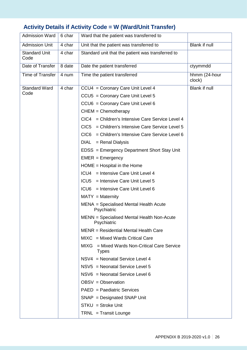# <span id="page-25-0"></span>**Activity Details if Activity Code = W (Ward/Unit Transfer)**

| <b>Admission Ward</b>        | 6 char | Ward that the patient was transferred to                        |                         |
|------------------------------|--------|-----------------------------------------------------------------|-------------------------|
| <b>Admission Unit</b>        | 4 char | Unit that the patient was transferred to                        | Blank if null           |
| <b>Standard Unit</b><br>Code | 4 char | Standard unit that the patient was transferred to               |                         |
| Date of Transfer             | 8 date | Date the patient transferred                                    | ctyymmdd                |
| Time of Transfer             | 4 num  | Time the patient transferred                                    | hhmm (24-hour<br>clock) |
| <b>Standard Ward</b>         | 4 char | CCU4 = Coronary Care Unit Level 4                               | Blank if null           |
| Code                         |        | CCU5 = Coronary Care Unit Level 5                               |                         |
|                              |        | CCU6 = Coronary Care Unit Level 6                               |                         |
|                              |        | $CHEM = Chemotherapy$                                           |                         |
|                              |        | CIC4 = Children's Intensive Care Service Level 4                |                         |
|                              |        | CIC <sub>5</sub><br>= Children's Intensive Care Service Level 5 |                         |
|                              |        | CIC6 = Children's Intensive Care Service Level 6                |                         |
|                              |        | DIAL<br>= Renal Dialysis                                        |                         |
|                              |        | EDSS = Emergency Department Short Stay Unit                     |                         |
|                              |        | $EMER = Emergency$                                              |                         |
|                              |        | $HOME = Hospital in the Home$                                   |                         |
|                              |        | ICU4 = Intensive Care Unit Level 4                              |                         |
|                              |        | ICU5 = Intensive Care Unit Level 5                              |                         |
|                              |        | ICU6 = Intensive Care Unit Level 6                              |                         |
|                              |        | $MATY = Maternity$                                              |                         |
|                              |        | MENA = Specialised Mental Health Acute<br>Psychiatric           |                         |
|                              |        | MENN = Specialised Mental Health Non-Acute<br>Psychiatric       |                         |
|                              |        | MENR = Residential Mental Health Care                           |                         |
|                              |        | $MIXC = Mixed WardS Critical Care$                              |                         |
|                              |        | MIXG = Mixed Wards Non-Critical Care Service<br><b>Types</b>    |                         |
|                              |        | NSV4 = Neonatal Service Level 4                                 |                         |
|                              |        | $NSV5$ = Neonatal Service Level 5                               |                         |
|                              |        | NSV6 = Neonatal Service Level 6                                 |                         |
|                              |        | OBSV = Observation                                              |                         |
|                              |        | PAED = Paediatric Services                                      |                         |
|                              |        | $SNAP = Designated SNAP$ Unit                                   |                         |
|                              |        | $STKU = Stroke Unit$                                            |                         |
|                              |        | TRNL = Transit Lounge                                           |                         |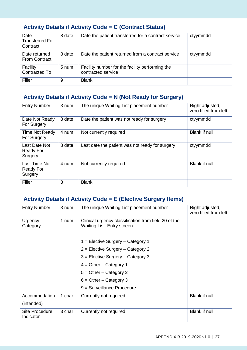# <span id="page-26-0"></span>**Activity Details if Activity Code = C (Contract Status)**

| Date<br><b>Transferred For</b><br>Contract | 8 date | Date the patient transferred for a contract service                   | ctyymmdd |
|--------------------------------------------|--------|-----------------------------------------------------------------------|----------|
| Date returned<br><b>From Contract</b>      | 8 date | Date the patient returned from a contract service                     | ctyymmdd |
| Facility<br>Contracted To                  | 5 num  | Facility number for the facility performing the<br>contracted service |          |
| Filler                                     | 9      | <b>Blank</b>                                                          |          |

### <span id="page-26-1"></span>**Activity Details if Activity Code = N (Not Ready for Surgery)**

| <b>Entry Number</b>                          | 3 num  | The unique Waiting List placement number        | Right adjusted,<br>zero filled from left |
|----------------------------------------------|--------|-------------------------------------------------|------------------------------------------|
| Date Not Ready<br>For Surgery                | 8 date | Date the patient was not ready for surgery      | ctyymmdd                                 |
| Time Not Ready<br>For Surgery                | 4 num  | Not currently required                          | Blank if null                            |
| Last Date Not<br><b>Ready For</b><br>Surgery | 8 date | Last date the patient was not ready for surgery | ctyymmdd                                 |
| Last Time Not<br><b>Ready For</b><br>Surgery | 4 num  | Not currently required                          | Blank if null                            |
| Filler                                       | 3      | <b>Blank</b>                                    |                                          |

### <span id="page-26-2"></span>**Activity Details if Activity Code = E (Elective Surgery Items)**

| <b>Entry Number</b>         | 3 num  | The unique Waiting List placement number<br>Right adjusted,<br>zero filled from left |               |  |
|-----------------------------|--------|--------------------------------------------------------------------------------------|---------------|--|
| Urgency<br>Category         | 1 num  | Clinical urgency classification from field 20 of the<br>Waiting List Entry screen    |               |  |
|                             |        | $1 =$ Elective Surgery – Category 1                                                  |               |  |
|                             |        | $2$ = Elective Surgery – Category 2                                                  |               |  |
|                             |        | $3$ = Elective Surgery – Category 3                                                  |               |  |
|                             |        | $4 =$ Other – Category 1                                                             |               |  |
|                             |        | $5 =$ Other – Category 2                                                             |               |  |
|                             |        | $6 =$ Other – Category 3                                                             |               |  |
|                             |        | 9 = Surveillance Procedure                                                           |               |  |
| Accommodation               | 1 char | Currently not required                                                               | Blank if null |  |
| (intended)                  |        |                                                                                      |               |  |
| Site Procedure<br>Indicator | 3 char | Currently not required                                                               | Blank if null |  |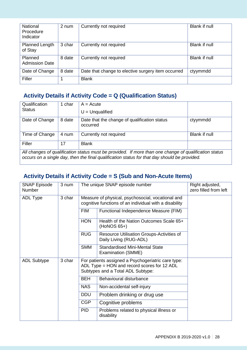| <b>National</b><br>Procedure<br>Indicator | 2 num  | Currently not required                             | Blank if null |
|-------------------------------------------|--------|----------------------------------------------------|---------------|
| Planned Length<br>of Stay                 | 3 char | Currently not required                             | Blank if null |
| <b>Planned</b><br><b>Admission Date</b>   | 8 date | Currently not required                             | Blank if null |
| Date of Change                            | 8 date | Date that change to elective surgery item occurred | ctyymmdd      |
| Filler                                    |        | <b>Blank</b>                                       |               |

# <span id="page-27-0"></span>**Activity Details if Activity Code = Q (Qualification Status)**

| Qualification<br><b>Status</b>                                                                                                                                                                        | 1 char | $A = Acute$                                              |               |  |  |
|-------------------------------------------------------------------------------------------------------------------------------------------------------------------------------------------------------|--------|----------------------------------------------------------|---------------|--|--|
|                                                                                                                                                                                                       |        | $U =$ Unqualified                                        |               |  |  |
| Date of Change                                                                                                                                                                                        | 8 date | Date that the change of qualification status<br>occurred | ctyymmdd      |  |  |
| Time of Change                                                                                                                                                                                        | 4 num  | Currently not required                                   | Blank if null |  |  |
| Filler                                                                                                                                                                                                | 17     | <b>Blank</b>                                             |               |  |  |
| All changes of qualification status must be provided. If more than one change of qualification status<br>occurs on a single day, then the final qualification status for that day should be provided. |        |                                                          |               |  |  |

### <span id="page-27-1"></span>**Activity Details if Activity Code = S (Sub and Non-Acute Items)**

| <b>SNAP Episode</b><br><b>Number</b> | 3 num  |                                                                                                             | The unique SNAP episode number                                                                                                           | Right adjusted,<br>zero filled from left |
|--------------------------------------|--------|-------------------------------------------------------------------------------------------------------------|------------------------------------------------------------------------------------------------------------------------------------------|------------------------------------------|
| <b>ADL Type</b>                      | 3 char | Measure of physical, psychosocial, vocational and<br>cognitive functions of an individual with a disability |                                                                                                                                          |                                          |
|                                      |        | <b>FIM</b>                                                                                                  | Functional Independence Measure (FIM)                                                                                                    |                                          |
|                                      |        | <b>HON</b>                                                                                                  | Health of the Nation Outcomes Scale 65+<br>$(HoNOS 65+)$                                                                                 |                                          |
|                                      |        | <b>RUG</b>                                                                                                  | Resource Utilisation Groups-Activities of<br>Daily Living (RUG-ADL)                                                                      |                                          |
|                                      |        | <b>SMM</b>                                                                                                  | <b>Standardised Mini-Mental State</b><br>Examination (SMME)                                                                              |                                          |
| <b>ADL Subtype</b>                   | 3 char |                                                                                                             | For patients assigned a Psychogeriatric care type:<br>ADL Type $=$ HON and record scores for 12 ADL<br>Subtypes and a Total ADL Subtype: |                                          |
|                                      |        | BEH                                                                                                         | Behavioural disturbance                                                                                                                  |                                          |
|                                      |        | <b>NAS</b>                                                                                                  | Non-accidental self-injury                                                                                                               |                                          |
|                                      |        | <b>DDU</b>                                                                                                  | Problem drinking or drug use                                                                                                             |                                          |
|                                      |        | <b>CGP</b>                                                                                                  | Cognitive problems                                                                                                                       |                                          |
|                                      |        | <b>PID</b>                                                                                                  | Problems related to physical illness or<br>disability                                                                                    |                                          |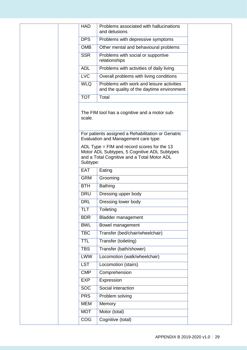| <b>HAD</b> | Problems associated with hallucinations<br>and delusions                                                                                     |
|------------|----------------------------------------------------------------------------------------------------------------------------------------------|
| <b>DPS</b> | Problems with depressive symptoms                                                                                                            |
| <b>OMB</b> | Other mental and behavioural problems                                                                                                        |
| <b>SSR</b> | Problems with social or supportive<br>relationships                                                                                          |
| <b>ADL</b> | Problems with activities of daily living                                                                                                     |
| <b>LVC</b> | Overall problems with living conditions                                                                                                      |
| <b>WLQ</b> | Problems with work and leisure activities<br>and the quality of the daytime environment                                                      |
| <b>TOT</b> | Total                                                                                                                                        |
| scale.     | The FIM tool has a cognitive and a motor sub-<br>For patients assigned a Rehabilitation or Geriatric                                         |
|            | Evaluation and Management care type:                                                                                                         |
| Subtype:   | ADL Type = $FIM$ and record scores for the 13<br>Motor ADL Subtypes, 5 Cognitive ADL Subtypes<br>and a Total Cognitive and a Total Motor ADL |
| <b>EAT</b> | Eating                                                                                                                                       |
| <b>GRM</b> | Grooming                                                                                                                                     |
| <b>BTH</b> | <b>Bathing</b>                                                                                                                               |
| <b>DRU</b> | Dressing upper body                                                                                                                          |
| <b>DRL</b> | Dressing lower body                                                                                                                          |
| TLT        | Toileting                                                                                                                                    |
| <b>BDR</b> | <b>Bladder management</b>                                                                                                                    |
| <b>BWL</b> | Bowel management                                                                                                                             |
| <b>TBC</b> | Transfer (bed/chair/wheelchair)                                                                                                              |
| <b>TTL</b> | Transfer (toileting)                                                                                                                         |
| <b>TBS</b> | Transfer (bath/shower)                                                                                                                       |
| <b>LWW</b> | Locomotion (walk/wheelchair)                                                                                                                 |
| <b>LST</b> | Locomotion (stairs)                                                                                                                          |
| <b>CMP</b> | Comprehension                                                                                                                                |
| <b>EXP</b> | Expression                                                                                                                                   |
| <b>SOC</b> | Social interaction                                                                                                                           |
| <b>PRS</b> | Problem solving                                                                                                                              |
| <b>MEM</b> | Memory                                                                                                                                       |
| <b>MOT</b> | Motor (total)                                                                                                                                |
| COG        | Cognitive (total)                                                                                                                            |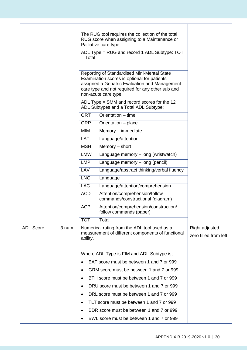|                  |       | $=$ Total  | The RUG tool requires the collection of the total<br>RUG score when assigning to a Maintenance or<br>Palliative care type.<br>ADL Type = RUG and record 1 ADL Subtype: TOT                                               |                       |
|------------------|-------|------------|--------------------------------------------------------------------------------------------------------------------------------------------------------------------------------------------------------------------------|-----------------------|
|                  |       |            | Reporting of Standardised Mini-Mental State<br>Examination scores is optional for patients<br>assigned a Geriatric Evaluation and Management<br>care type and not required for any other sub and<br>non-acute care type. |                       |
|                  |       |            | ADL Type $=$ SMM and record scores for the 12<br>ADL Subtypes and a Total ADL Subtype:                                                                                                                                   |                       |
|                  |       | <b>ORT</b> | Orientation - time                                                                                                                                                                                                       |                       |
|                  |       | <b>ORP</b> | Orientation - place                                                                                                                                                                                                      |                       |
|                  |       | <b>MIM</b> | Memory - immediate                                                                                                                                                                                                       |                       |
|                  |       | <b>LAT</b> | Language/attention                                                                                                                                                                                                       |                       |
|                  |       | <b>MSH</b> | Memory – short                                                                                                                                                                                                           |                       |
|                  |       | <b>LMW</b> | Language memory – long (wristwatch)                                                                                                                                                                                      |                       |
|                  |       | <b>LMP</b> | Language memory - long (pencil)                                                                                                                                                                                          |                       |
|                  |       | LAV        | Language/abstract thinking/verbal fluency                                                                                                                                                                                |                       |
|                  |       | <b>LNG</b> | Language                                                                                                                                                                                                                 |                       |
|                  |       | <b>LAC</b> | Language/attention/comprehension                                                                                                                                                                                         |                       |
|                  |       | <b>ACD</b> | Attention/comprehension/follow<br>commands/constructional (diagram)                                                                                                                                                      |                       |
|                  |       | <b>ACP</b> | Attention/comprehension/construction/<br>follow commands (paper)                                                                                                                                                         |                       |
|                  |       | <b>TOT</b> | Total                                                                                                                                                                                                                    |                       |
| <b>ADL Score</b> | 3 num |            | Numerical rating from the ADL tool used as a                                                                                                                                                                             | Right adjusted,       |
|                  |       | ability.   | measurement of different components of functional                                                                                                                                                                        | zero filled from left |
|                  |       |            | Where ADL Type is FIM and ADL Subtype is;                                                                                                                                                                                |                       |
|                  |       |            | EAT score must be between 1 and 7 or 999                                                                                                                                                                                 |                       |
|                  |       |            | GRM score must be between 1 and 7 or 999                                                                                                                                                                                 |                       |
|                  |       | $\bullet$  | BTH score must be between 1 and 7 or 999                                                                                                                                                                                 |                       |
|                  |       | ٠          | DRU score must be between 1 and 7 or 999                                                                                                                                                                                 |                       |
|                  |       | $\bullet$  | DRL score must be between 1 and 7 or 999                                                                                                                                                                                 |                       |
|                  |       |            | TLT score must be between 1 and 7 or 999                                                                                                                                                                                 |                       |
|                  |       |            | BDR score must be between 1 and 7 or 999                                                                                                                                                                                 |                       |
|                  |       |            | BWL score must be between 1 and 7 or 999                                                                                                                                                                                 |                       |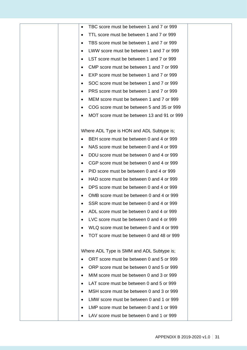| TBC score must be between 1 and 7 or 999<br>$\bullet$  |
|--------------------------------------------------------|
| TTL score must be between 1 and 7 or 999<br>٠          |
| TBS score must be between 1 and 7 or 999<br>٠          |
| LWW score must be between 1 and 7 or 999<br>$\bullet$  |
| LST score must be between 1 and 7 or 999<br>$\bullet$  |
| CMP score must be between 1 and 7 or 999<br>$\bullet$  |
| EXP score must be between 1 and 7 or 999<br>$\bullet$  |
| SOC score must be between 1 and 7 or 999<br>٠          |
| PRS score must be between 1 and 7 or 999<br>$\bullet$  |
| MEM score must be between 1 and 7 or 999<br>$\bullet$  |
| COG score must be between 5 and 35 or 999<br>$\bullet$ |
| MOT score must be between 13 and 91 or 999<br>٠        |
|                                                        |
| Where ADL Type is HON and ADL Subtype is;              |
| BEH score must be between 0 and 4 or 999<br>$\bullet$  |
| NAS score must be between 0 and 4 or 999<br>$\bullet$  |
| DDU score must be between 0 and 4 or 999<br>$\bullet$  |
| CGP score must be between 0 and 4 or 999<br>$\bullet$  |
| PID score must be between 0 and 4 or 999<br>$\bullet$  |
| HAD score must be between 0 and 4 or 999<br>$\bullet$  |
| DPS score must be between 0 and 4 or 999<br>$\bullet$  |
| OMB score must be between 0 and 4 or 999<br>٠          |
| SSR score must be between 0 and 4 or 999               |
| ADL score must be between 0 and 4 or 999<br>$\bullet$  |
| LVC score must be between 0 and 4 or 999<br>$\bullet$  |
| WLQ score must be between 0 and 4 or 999               |
| TOT score must be between 0 and 48 or 999              |
|                                                        |
| Where ADL Type is SMM and ADL Subtype is;              |
| ORT score must be between 0 and 5 or 999               |
| ORP score must be between 0 and 5 or 999               |
| MIM score must be between 0 and 3 or 999<br>$\bullet$  |
| LAT score must be between 0 and 5 or 999<br>$\bullet$  |
| MSH score must be between 0 and 3 or 999<br>$\bullet$  |
| LMW score must be between 0 and 1 or 999<br>$\bullet$  |
| LMP score must be between 0 and 1 or 999               |
| LAV score must be between 0 and 1 or 999               |
|                                                        |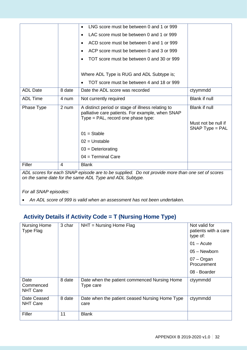|                                                                                                                                                            |        | LNG score must be between 0 and 1 or 999                                                                                                    |                                          |
|------------------------------------------------------------------------------------------------------------------------------------------------------------|--------|---------------------------------------------------------------------------------------------------------------------------------------------|------------------------------------------|
|                                                                                                                                                            |        | $\bullet$                                                                                                                                   |                                          |
|                                                                                                                                                            |        | LAC score must be between 0 and 1 or 999                                                                                                    |                                          |
|                                                                                                                                                            |        | ACD score must be between 0 and 1 or 999                                                                                                    |                                          |
|                                                                                                                                                            |        | ACP score must be between 0 and 3 or 999                                                                                                    |                                          |
|                                                                                                                                                            |        | TOT score must be between 0 and 30 or 999                                                                                                   |                                          |
|                                                                                                                                                            |        |                                                                                                                                             |                                          |
|                                                                                                                                                            |        | Where ADL Type is RUG and ADL Subtype is;                                                                                                   |                                          |
|                                                                                                                                                            |        | TOT score must be between 4 and 18 or 999<br>$\bullet$                                                                                      |                                          |
| <b>ADL Date</b>                                                                                                                                            | 8 date | Date the ADL score was recorded                                                                                                             | ctyymmdd                                 |
| <b>ADL Time</b>                                                                                                                                            | 4 num  | Not currently required                                                                                                                      | <b>Blank if null</b>                     |
| Phase Type                                                                                                                                                 | 2 num  | A distinct period or stage of illness relating to<br>palliative care patients. For example, when SNAP<br>Type = PAL, record one phase type: | <b>Blank if null</b>                     |
|                                                                                                                                                            |        |                                                                                                                                             | Must not be null if<br>$SNAP$ Type = PAL |
|                                                                                                                                                            |        | $01 =$ Stable                                                                                                                               |                                          |
|                                                                                                                                                            |        | $02$ = Unstable                                                                                                                             |                                          |
|                                                                                                                                                            |        | $03$ = Deteriorating                                                                                                                        |                                          |
|                                                                                                                                                            |        | $04 = Terminal Care$                                                                                                                        |                                          |
| Filler                                                                                                                                                     | 4      | <b>Blank</b>                                                                                                                                |                                          |
| ADL scores for each SNAP episode are to be supplied. Do not provide more than one set of scores<br>on the same date for the same ADL Type and ADL Subtype. |        |                                                                                                                                             |                                          |

*For all SNAP episodes:* 

• *An ADL score of 999 is valid when an assessment has not been undertaken.*

### <span id="page-31-0"></span>**Activity Details if Activity Code = T (Nursing Home Type)**

| <b>Nursing Home</b><br>Type Flag     | 3 char | $NHT = Nursing Home Flag$                                 | Not valid for<br>patients with a care<br>type of: |
|--------------------------------------|--------|-----------------------------------------------------------|---------------------------------------------------|
|                                      |        |                                                           | $01 -$ Acute                                      |
|                                      |        |                                                           | $05 -$ Newborn                                    |
|                                      |        |                                                           | 07 – Organ<br>Procurement                         |
|                                      |        |                                                           | 08 - Boarder                                      |
| Date<br>Commenced<br><b>NHT Care</b> | 8 date | Date when the patient commenced Nursing Home<br>Type care | ctyymmdd                                          |
| Date Ceased<br><b>NHT Care</b>       | 8 date | Date when the patient ceased Nursing Home Type<br>care    | ctyymmdd                                          |
| Filler                               | 11     | <b>Blank</b>                                              |                                                   |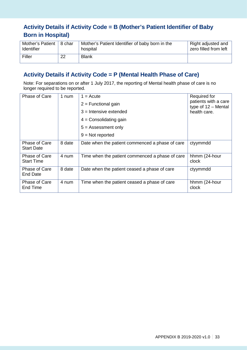# <span id="page-32-0"></span>**Activity Details if Activity Code = B (Mother's Patient Identifier of Baby Born in Hospital)**

| <b>Mother's Patient</b> | 8 char | Mother's Patient Identifier of baby born in the | Right adjusted and    |
|-------------------------|--------|-------------------------------------------------|-----------------------|
| <b>Identifier</b>       |        | hospital                                        | zero filled from left |
| Filler                  | 22     | <b>Blank</b>                                    |                       |

### <span id="page-32-1"></span>**Activity Details if Activity Code = P (Mental Health Phase of Care)**

Note: For separations on or after 1 July 2017, the reporting of Mental health phase of care is no longer required to be reported.

| Phase of Care                      | 1 num  | $1 = Accute$<br>$2$ = Functional gain<br>$3 =$ Intensive extended<br>$4 =$ Consolidating gain<br>$5 =$ Assessment only<br>$9 = Not$ reported | <b>Required for</b><br>patients with a care<br>type of $12 - \text{Mental}$<br>health care. |
|------------------------------------|--------|----------------------------------------------------------------------------------------------------------------------------------------------|---------------------------------------------------------------------------------------------|
| Phase of Care<br><b>Start Date</b> | 8 date | Date when the patient commenced a phase of care                                                                                              | ctyymmdd                                                                                    |
| Phase of Care<br><b>Start Time</b> | 4 num  | Time when the patient commenced a phase of care                                                                                              | hhmm (24-hour<br>clock                                                                      |
| Phase of Care<br>End Date          | 8 date | Date when the patient ceased a phase of care                                                                                                 | ctyymmdd                                                                                    |
| Phase of Care<br>End Time          | 4 num  | Time when the patient ceased a phase of care                                                                                                 | hhmm (24-hour<br>clock                                                                      |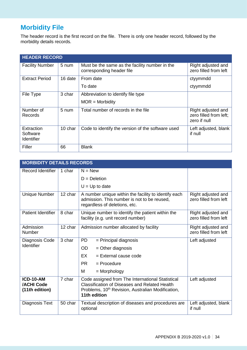# <span id="page-33-0"></span>**Morbidity File**

The header record is the first record on the file. There is only one header record, followed by the morbidity details records.

| <b>HEADER RECORD</b>                        |                 |                                                                             |                                                              |  |
|---------------------------------------------|-----------------|-----------------------------------------------------------------------------|--------------------------------------------------------------|--|
| <b>Facility Number</b>                      | $5 \text{ num}$ | Must be the same as the facility number in the<br>corresponding header file | Right adjusted and<br>zero filled from left                  |  |
| <b>Extract Period</b>                       | 16 date         | From date                                                                   | ctyymmdd                                                     |  |
|                                             |                 | To date                                                                     | ctyymmdd                                                     |  |
| File Type                                   | 3 char          | Abbreviation to identify file type<br>$MOR = Morbidity$                     |                                                              |  |
| Number of<br>Records                        | 5 num           | Total number of records in the file                                         | Right adjusted and<br>zero filled from left;<br>zero if null |  |
| Extraction<br>Software<br><b>Identifier</b> | 10 char         | Code to identify the version of the software used                           | Left adjusted, blank<br>if null                              |  |
| Filler                                      | 66              | <b>Blank</b>                                                                |                                                              |  |

| <b>MORBIDITY DETAILS RECORDS</b>                        |         |                                                                                                                                                                                    |                                             |
|---------------------------------------------------------|---------|------------------------------------------------------------------------------------------------------------------------------------------------------------------------------------|---------------------------------------------|
| Record Identifier                                       | 1 char  | $N = New$                                                                                                                                                                          |                                             |
|                                                         |         | $D = Deletion$                                                                                                                                                                     |                                             |
|                                                         |         | $U = Up$ to date                                                                                                                                                                   |                                             |
| Unique Number                                           | 12 char | A number unique within the facility to identify each<br>admission. This number is not to be reused,<br>regardless of deletions, etc.                                               | Right adjusted and<br>zero filled from left |
| Patient Identifier                                      | 8 char  | Unique number to identify the patient within the<br>facility (e.g. unit record number)                                                                                             | Right adjusted and<br>zero filled from left |
| Admission<br>Number                                     | 12 char | Admission number allocated by facility                                                                                                                                             | Right adjusted and<br>zero filled from left |
| Diagnosis Code                                          | 3 char  | <b>PD</b><br>$=$ Principal diagnosis                                                                                                                                               | Left adjusted                               |
| Identifier                                              |         | <b>OD</b><br>$=$ Other diagnosis                                                                                                                                                   |                                             |
|                                                         |         | <b>EX</b><br>$=$ External cause code                                                                                                                                               |                                             |
|                                                         |         | PR.<br>$=$ Procedure                                                                                                                                                               |                                             |
|                                                         |         | М<br>= Morphology                                                                                                                                                                  |                                             |
| <b>ICD-10-AM</b><br><b>/ACHI Code</b><br>(11th edition) | 7 char  | Code assigned from The International Statistical<br>Classification of Diseases and Related Health<br>Problems, 10 <sup>th</sup> Revision, Australian Modification,<br>11th edition | Left adjusted                               |
| Diagnosis Text                                          | 50 char | Textual description of diseases and procedures are<br>optional                                                                                                                     | Left adjusted, blank<br>if null             |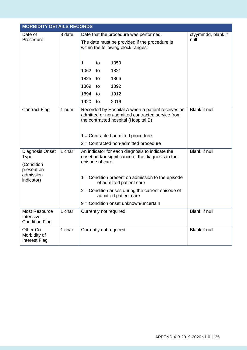| <b>MORBIDITY DETAILS RECORDS</b>                                                      |        |                                                                                                                                                                                                                                                                                                                                       |                    |  |
|---------------------------------------------------------------------------------------|--------|---------------------------------------------------------------------------------------------------------------------------------------------------------------------------------------------------------------------------------------------------------------------------------------------------------------------------------------|--------------------|--|
| Date of                                                                               | 8 date | Date that the procedure was performed.                                                                                                                                                                                                                                                                                                | ctyymmdd, blank if |  |
| Procedure                                                                             |        | The date must be provided if the procedure is<br>within the following block ranges:                                                                                                                                                                                                                                                   | null               |  |
|                                                                                       |        | 1059<br>1<br>to<br>1821<br>1062<br>to                                                                                                                                                                                                                                                                                                 |                    |  |
|                                                                                       |        | 1825<br>1866<br>to                                                                                                                                                                                                                                                                                                                    |                    |  |
|                                                                                       |        | 1869<br>1892<br>to                                                                                                                                                                                                                                                                                                                    |                    |  |
|                                                                                       |        | 1894<br>1912<br>to                                                                                                                                                                                                                                                                                                                    |                    |  |
|                                                                                       |        | 1920<br>2016<br>to                                                                                                                                                                                                                                                                                                                    |                    |  |
| <b>Contract Flag</b>                                                                  | 1 num  | Recorded by Hospital A when a patient receives an<br>admitted or non-admitted contracted service from<br>the contracted hospital (Hospital B)<br>$1 =$ Contracted admitted procedure<br>2 = Contracted non-admitted procedure                                                                                                         | Blank if null      |  |
| Diagnosis Onset<br><b>Type</b><br>(Condition<br>present on<br>admission<br>indicator) | 1 char | An indicator for each diagnosis to indicate the<br>onset and/or significance of the diagnosis to the<br>episode of care.<br>$1 =$ Condition present on admission to the episode<br>of admitted patient care<br>$2$ = Condition arises during the current episode of<br>admitted patient care<br>9 = Condition onset unknown/uncertain | Blank if null      |  |
| Most Resource<br>Intensive<br><b>Condition Flag</b>                                   | 1 char | Currently not required                                                                                                                                                                                                                                                                                                                | Blank if null      |  |
| Other Co-<br>Morbidity of<br><b>Interest Flag</b>                                     | 1 char | Currently not required                                                                                                                                                                                                                                                                                                                | Blank if null      |  |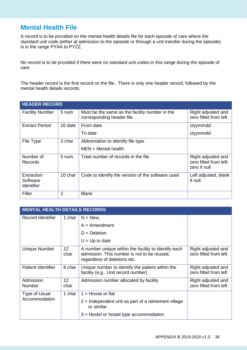## <span id="page-35-0"></span>**Mental Health File**

A record is to be provided on the mental health details file for each episode of care where the standard unit code (either at admission to the episode or through a unit transfer during the episode) is in the range PYAA to PYZZ.

No record is to be provided if there were no standard unit codes in this range during the episode of care.

The header record is the first record on the file. There is only one header record, followed by the mental health details records.

| <b>HEADER RECORD</b>                 |         |                                                                             |                                                              |  |
|--------------------------------------|---------|-----------------------------------------------------------------------------|--------------------------------------------------------------|--|
| <b>Facility Number</b>               | 5 num   | Must be the same as the facility number in the<br>corresponding header file | Right adjusted and<br>zero filled from left                  |  |
| <b>Extract Period</b>                | 16 date | From date                                                                   | ctyymmdd                                                     |  |
|                                      |         | To date                                                                     | ctyymmdd                                                     |  |
| File Type                            | 3 char  | Abbreviation to identify file type                                          |                                                              |  |
|                                      |         | $MEM = Mental health$                                                       |                                                              |  |
| Number of<br><b>Records</b>          | 5 num   | Total number of records in the file                                         | Right adjusted and<br>zero filled from left;<br>zero if null |  |
| Extraction<br>Software<br>Identifier | 10 char | Code to identify the version of the software used                           | Left adjusted, blank<br>if null                              |  |
| Filler                               | 2       | <b>Blank</b>                                                                |                                                              |  |

| <b>MENTAL HEALTH DETAILS RECORDS</b> |            |                                                                                                                                          |                                             |  |
|--------------------------------------|------------|------------------------------------------------------------------------------------------------------------------------------------------|---------------------------------------------|--|
| Record Identifier                    | 1 char     | $N = New$ ,                                                                                                                              |                                             |  |
|                                      |            | $A =$ Amendment                                                                                                                          |                                             |  |
|                                      |            | $D = Deletion$                                                                                                                           |                                             |  |
|                                      |            | $U = Up$ to date                                                                                                                         |                                             |  |
| <b>Unique Number</b>                 | 12<br>char | A number unique within the facility to identify each<br>admission. This number is not to be reused,<br>regardless of deletions etc.      | Right adjusted and<br>zero filled from left |  |
| Patient Identifier                   | 8 char     | Unique number to identify the patient within the<br>facility (e.g Unit record number)                                                    | Right adjusted and<br>zero filled from left |  |
| Admission<br><b>Number</b>           | 12<br>char | Admission number allocated by facility                                                                                                   | Right adjusted and<br>zero filled from left |  |
| Type of Usual<br>Accommodation       | 1 char     | $1 =$ House or flat<br>$2$ = Independent unit as part of a retirement village<br>or similar<br>$3$ = Hostel or hostel type accommodation |                                             |  |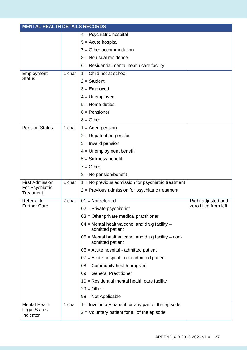| <b>MENTAL HEALTH DETAILS RECORDS</b> |        |                                                                           |                       |
|--------------------------------------|--------|---------------------------------------------------------------------------|-----------------------|
|                                      |        | $4 =$ Psychiatric hospital                                                |                       |
|                                      |        | $5 =$ Acute hospital                                                      |                       |
|                                      |        | $7 =$ Other accommodation                                                 |                       |
|                                      |        | $8 = No$ usual residence                                                  |                       |
|                                      |        | $6$ = Residential mental health care facility                             |                       |
| Employment                           | 1 char | $1 =$ Child not at school                                                 |                       |
| <b>Status</b>                        |        | $2 = Student$                                                             |                       |
|                                      |        | $3 =$ Employed                                                            |                       |
|                                      |        | $4 =$ Unemployed                                                          |                       |
|                                      |        | $5 =$ Home duties                                                         |                       |
|                                      |        | $6$ = Pensioner                                                           |                       |
|                                      |        | $8 = Other$                                                               |                       |
| <b>Pension Status</b>                | 1 char | $1 =$ Aged pension                                                        |                       |
|                                      |        | $2$ = Repatriation pension                                                |                       |
|                                      |        | $3 =$ Invalid pension                                                     |                       |
|                                      |        | $4 =$ Unemployment benefit                                                |                       |
|                                      |        | $5 = Sickness$ benefit                                                    |                       |
|                                      |        | $7 = Other$                                                               |                       |
|                                      |        | $8 = No$ pension/benefit                                                  |                       |
| <b>First Admission</b>               | 1 char | $1 = No$ previous admission for psychiatric treatment                     |                       |
| For Psychiatric<br>Treatment         |        | $2$ = Previous admission for psychiatric treatment                        |                       |
| Referral to                          | 2 char | $01 = Not referred$                                                       | Right adjusted and    |
| <b>Further Care</b>                  |        | $02$ = Private psychiatrist                                               | zero filled from left |
|                                      |        | $03$ = Other private medical practitioner                                 |                       |
|                                      |        | $04$ = Mental health/alcohol and drug facility $-$<br>admitted patient    |                       |
|                                      |        | $05$ = Mental health/alcohol and drug facility – non-<br>admitted patient |                       |
|                                      |        | 06 = Acute hospital - admitted patient                                    |                       |
|                                      |        | 07 = Acute hospital - non-admitted patient                                |                       |
|                                      |        | $08 =$ Community health program                                           |                       |
|                                      |        | 09 = General Practitioner                                                 |                       |
|                                      |        | $10$ = Residential mental health care facility                            |                       |
|                                      |        | $29 = Other$                                                              |                       |
|                                      |        | 98 = Not Applicable                                                       |                       |
| <b>Mental Health</b>                 | 1 char | $1 =$ Involuntary patient for any part of the episode                     |                       |
| <b>Legal Status</b><br>Indicator     |        | $2$ = Voluntary patient for all of the episode                            |                       |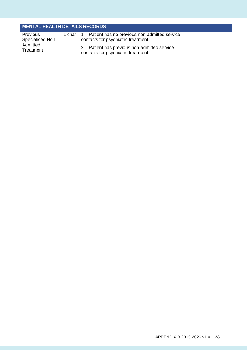| <b>MENTAL HEALTH DETAILS RECORDS</b>                         |        |                                                                                                                                                                                         |  |
|--------------------------------------------------------------|--------|-----------------------------------------------------------------------------------------------------------------------------------------------------------------------------------------|--|
| Previous<br><b>Specialised Non-</b><br>Admitted<br>Treatment | 1 char | $\vert$ 1 = Patient has no previous non-admitted service<br>contacts for psychiatric treatment<br>$2$ = Patient has previous non-admitted service<br>contacts for psychiatric treatment |  |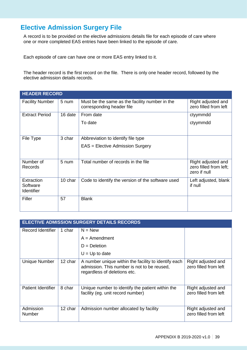## **Elective Admission Surgery File**

A record is to be provided on the elective admissions details file for each episode of care where one or more completed EAS entries have been linked to the episode of care.

Each episode of care can have one or more EAS entry linked to it.

The header record is the first record on the file. There is only one header record, followed by the elective admission details records.

| <b>HEADER RECORD</b>                        |         |                                                                             |                                                              |
|---------------------------------------------|---------|-----------------------------------------------------------------------------|--------------------------------------------------------------|
| <b>Facility Number</b>                      | 5 num   | Must be the same as the facility number in the<br>corresponding header file | Right adjusted and<br>zero filled from left                  |
| <b>Extract Period</b>                       | 16 date | From date                                                                   | ctyymmdd                                                     |
|                                             |         | To date                                                                     | ctyymmdd                                                     |
| File Type                                   | 3 char  | Abbreviation to identify file type                                          |                                                              |
|                                             |         | EAS = Elective Admission Surgery                                            |                                                              |
| Number of<br>Records                        | 5 num   | Total number of records in the file                                         | Right adjusted and<br>zero filled from left;<br>zero if null |
| Extraction<br>Software<br><b>Identifier</b> | 10 char | Code to identify the version of the software used                           | Left adjusted, blank<br>if null                              |
| Filler                                      | 57      | <b>Blank</b>                                                                |                                                              |

| <b>ELECTIVE ADMISSION SURGERY DETAILS RECORDS</b> |         |                                                                                                                                     |                                             |  |
|---------------------------------------------------|---------|-------------------------------------------------------------------------------------------------------------------------------------|---------------------------------------------|--|
| Record Identifier                                 | 1 char  | $N = New$                                                                                                                           |                                             |  |
|                                                   |         | $A =$ Amendment                                                                                                                     |                                             |  |
|                                                   |         | $D = Deletion$                                                                                                                      |                                             |  |
|                                                   |         | $U = Up$ to date                                                                                                                    |                                             |  |
| <b>Unique Number</b>                              | 12 char | A number unique within the facility to identify each<br>admission. This number is not to be reused,<br>regardless of deletions etc. | Right adjusted and<br>zero filled from left |  |
| <b>Patient Identifier</b>                         | 8 char  | Unique number to identify the patient within the<br>facility (eg. unit record number)                                               | Right adjusted and<br>zero filled from left |  |
| Admission<br>Number                               | 12 char | Admission number allocated by facility                                                                                              | Right adjusted and<br>zero filled from left |  |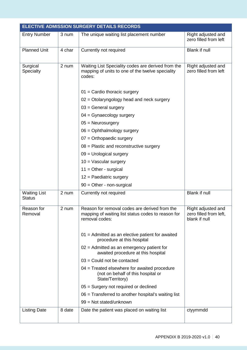|                                      |        | <b>ELECTIVE ADMISSION SURGERY DETAILS RECORDS</b>                                                                     |                                                               |
|--------------------------------------|--------|-----------------------------------------------------------------------------------------------------------------------|---------------------------------------------------------------|
| <b>Entry Number</b>                  | 3 num  | The unique waiting list placement number                                                                              | Right adjusted and<br>zero filled from left                   |
| Planned Unit                         | 4 char | Currently not required                                                                                                | Blank if null                                                 |
| Surgical<br>Specialty                | 2 num  | Waiting List Speciality codes are derived from the<br>mapping of units to one of the twelve speciality<br>codes:      | Right adjusted and<br>zero filled from left                   |
|                                      |        | $01$ = Cardio thoracic surgery                                                                                        |                                                               |
|                                      |        | 02 = Otolaryngology head and neck surgery                                                                             |                                                               |
|                                      |        | $03$ = General surgery                                                                                                |                                                               |
|                                      |        | $04 =$ Gynaecology surgery                                                                                            |                                                               |
|                                      |        | $05$ = Neurosurgery                                                                                                   |                                                               |
|                                      |        | 06 = Ophthalmology surgery                                                                                            |                                                               |
|                                      |        | $07$ = Orthopaedic surgery                                                                                            |                                                               |
|                                      |        | $08$ = Plastic and reconstructive surgery                                                                             |                                                               |
|                                      |        | $09$ = Urological surgery                                                                                             |                                                               |
|                                      |        | $10 = V$ ascular surgery                                                                                              |                                                               |
|                                      |        | $11 =$ Other - surgical                                                                                               |                                                               |
|                                      |        | $12$ = Paediatric surgery                                                                                             |                                                               |
|                                      |        | $90 =$ Other - non-surgical                                                                                           |                                                               |
| <b>Waiting List</b><br><b>Status</b> | 2 num  | Currently not required                                                                                                | <b>Blank if null</b>                                          |
| Reason for<br>Removal                | 2 num  | Reason for removal codes are derived from the<br>mapping of waiting list status codes to reason for<br>removal codes: | Right adjusted and<br>zero filled from left,<br>blank if null |
|                                      |        | $01$ = Admitted as an elective patient for awaited<br>procedure at this hospital                                      |                                                               |
|                                      |        | $02$ = Admitted as an emergency patient for<br>awaited procedure at this hospital                                     |                                                               |
|                                      |        | $03$ = Could not be contacted                                                                                         |                                                               |
|                                      |        | $04$ = Treated elsewhere for awaited procedure<br>(not on behalf of this hospital or<br>State/Territory)              |                                                               |
|                                      |        | 05 = Surgery not required or declined                                                                                 |                                                               |
|                                      |        | 06 = Transferred to another hospital's waiting list                                                                   |                                                               |
|                                      |        | 99 = Not stated/unknown                                                                                               |                                                               |
| <b>Listing Date</b>                  | 8 date | Date the patient was placed on waiting list                                                                           | ctyymmdd                                                      |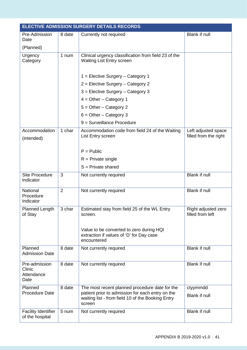| <b>ELECTIVE ADMISSION SURGERY DETAILS RECORDS</b> |                |                                                                                                                 |                                              |  |
|---------------------------------------------------|----------------|-----------------------------------------------------------------------------------------------------------------|----------------------------------------------|--|
| Pre-Admission<br>Date                             | 8 date         | Currently not required                                                                                          | Blank if null                                |  |
| (Planned)                                         |                |                                                                                                                 |                                              |  |
| Urgency<br>Category                               | 1 num          | Clinical urgency classification from field 23 of the<br><b>Waiting List Entry screen</b>                        |                                              |  |
|                                                   |                | 1 = Elective Surgery - Category 1                                                                               |                                              |  |
|                                                   |                | 2 = Elective Surgery - Category 2                                                                               |                                              |  |
|                                                   |                | 3 = Elective Surgery - Category 3                                                                               |                                              |  |
|                                                   |                | $4 = Other - Category 1$                                                                                        |                                              |  |
|                                                   |                | $5 =$ Other - Category 2                                                                                        |                                              |  |
|                                                   |                | $6 = Other - Category$ 3                                                                                        |                                              |  |
|                                                   |                | $9$ = Surveillance Procedure                                                                                    |                                              |  |
| Accommodation<br>(intended)                       | 1 char         | Accommodation code from field 24 of the Waiting<br>List Entry screen                                            | Left adjusted space<br>filled from the right |  |
|                                                   |                | $P =$ Public                                                                                                    |                                              |  |
|                                                   |                | $R =$ Private single                                                                                            |                                              |  |
|                                                   |                | $S =$ Private shared                                                                                            |                                              |  |
| <b>Site Procedure</b><br>Indicator                | 3              | Not currently required                                                                                          | <b>Blank if null</b>                         |  |
| National<br>Procedure<br>Indicator                | $\overline{2}$ | Not currently required                                                                                          | Blank if null                                |  |
| Planned Length<br>of Stay                         | 3 char         | Estimated stay from field 25 of the WL Entry<br>screen.                                                         | Right adjusted zero<br>filled from left      |  |
|                                                   |                | Value to be converted to zero during HQI<br>extraction if values of 'D' for Day case<br>encountered             |                                              |  |
| Planned<br><b>Admission Date</b>                  | 8 date         | Not currently required                                                                                          | Blank if null                                |  |
| Pre-admission<br>Clinic<br>Attendance<br>Date     | 8 date         | Not currently required                                                                                          | <b>Blank if null</b>                         |  |
| Planned                                           | 8 date         | The most recent planned procedure date for the                                                                  | ctyymmdd                                     |  |
| <b>Procedure Date</b>                             |                | patient prior to admission for each entry on the<br>waiting list - from field 10 of the Booking Entry<br>screen | <b>Blank if null</b>                         |  |
| <b>Facility Identifier</b><br>of the hospital     | 5 num          | Not currently required                                                                                          | <b>Blank if null</b>                         |  |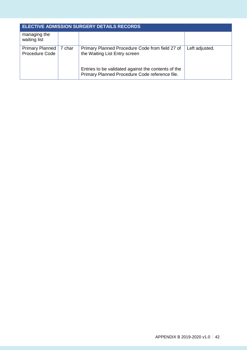| <b>ELECTIVE ADMISSION SURGERY DETAILS RECORDS</b> |        |                                                                                                       |                |  |
|---------------------------------------------------|--------|-------------------------------------------------------------------------------------------------------|----------------|--|
| managing the<br>waiting list                      |        |                                                                                                       |                |  |
| <b>Primary Planned</b><br>Procedure Code          | 7 char | Primary Planned Procedure Code from field 27 of<br>the Waiting List Entry screen                      | Left adjusted. |  |
|                                                   |        | Entries to be validated against the contents of the<br>Primary Planned Procedure Code reference file. |                |  |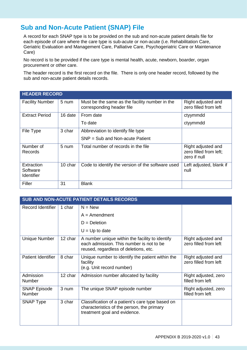#### **Sub and Non-Acute Patient (SNAP) File**

A record for each SNAP type is to be provided on the sub and non-acute patient details file for each episode of care where the care type is sub-acute or non-acute (i.e. Rehabilitation Care, Geriatric Evaluation and Management Care, Palliative Care, Psychogeriatric Care or Maintenance Care)

No record is to be provided if the care type is mental health, acute, newborn, boarder, organ procurement or other care.

The header record is the first record on the file. There is only one header record, followed by the sub and non-acute patient details records.

| <b>HEADER RECORD</b>                        |         |                                                                             |                                                              |  |  |
|---------------------------------------------|---------|-----------------------------------------------------------------------------|--------------------------------------------------------------|--|--|
| <b>Facility Number</b>                      | 5 num   | Must be the same as the facility number in the<br>corresponding header file | Right adjusted and<br>zero filled from left                  |  |  |
| <b>Extract Period</b>                       | 16 date | From date                                                                   | ctyymmdd                                                     |  |  |
|                                             |         | To date                                                                     | ctyymmdd                                                     |  |  |
| File Type                                   | 3 char  | Abbreviation to identify file type                                          |                                                              |  |  |
|                                             |         | $SNP = Sub$ and Non-acute Patient                                           |                                                              |  |  |
| Number of<br>Records                        | 5 num   | Total number of records in the file                                         | Right adjusted and<br>zero filled from left;<br>zero if null |  |  |
| Extraction<br>Software<br><b>Identifier</b> | 10 char | Code to identify the version of the software used                           | Left adjusted, blank if<br>null                              |  |  |
| Filler                                      | 31      | <b>Blank</b>                                                                |                                                              |  |  |

|                                      |         | SUB AND NON-ACUTE PATIENT DETAILS RECORDS                                                                                            |                                             |
|--------------------------------------|---------|--------------------------------------------------------------------------------------------------------------------------------------|---------------------------------------------|
| <b>Record Identifier</b>             | 1 char  | $N = New$                                                                                                                            |                                             |
|                                      |         | $A =$ Amendment                                                                                                                      |                                             |
|                                      |         | $D = Deletion$                                                                                                                       |                                             |
|                                      |         | $U = Up$ to date                                                                                                                     |                                             |
| Unique Number                        | 12 char | A number unique within the facility to identify<br>each admission. This number is not to be<br>reused, regardless of deletions, etc. | Right adjusted and<br>zero filled from left |
| <b>Patient Identifier</b>            | 8 char  | Unique number to identify the patient within the<br>facility<br>(e.g. Unit record number)                                            | Right adjusted and<br>zero filled from left |
| Admission<br><b>Number</b>           | 12 char | Admission number allocated by facility                                                                                               | Right adjusted, zero<br>filled from left    |
| <b>SNAP Episode</b><br><b>Number</b> | 3 num   | The unique SNAP episode number                                                                                                       | Right adjusted, zero<br>filled from left    |
| <b>SNAP Type</b>                     | 3 char  | Classification of a patient's care type based on<br>characteristics of the person, the primary<br>treatment goal and evidence.       |                                             |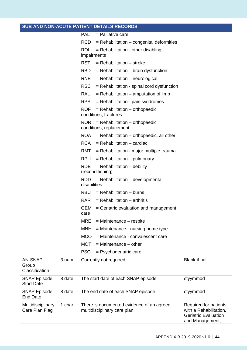|                                           |        | SUB AND NON-ACUTE PATIENT DETAILS RECORDS                                 |                                                                                                   |
|-------------------------------------------|--------|---------------------------------------------------------------------------|---------------------------------------------------------------------------------------------------|
|                                           |        | <b>PAL</b><br>$=$ Palliative care                                         |                                                                                                   |
|                                           |        | <b>RCD</b><br>$=$ Rehabilitation – congenital deformities                 |                                                                                                   |
|                                           |        | <b>ROI</b><br>$=$ Rehabilitation - other disabling<br>impairments         |                                                                                                   |
|                                           |        | <b>RST</b><br>$=$ Rehabilitation $-$ stroke                               |                                                                                                   |
|                                           |        | RBD<br>$=$ Rehabilitation $-$ brain dysfunction                           |                                                                                                   |
|                                           |        | <b>RNE</b><br>$=$ Rehabilitation – neurological                           |                                                                                                   |
|                                           |        | <b>RSC</b><br>$=$ Rehabilitation - spinal cord dysfunction                |                                                                                                   |
|                                           |        | <b>RAL</b><br>$=$ Rehabilitation – amputation of limb                     |                                                                                                   |
|                                           |        | <b>RPS</b><br>$=$ Rehabilitation - pain syndromes                         |                                                                                                   |
|                                           |        | <b>ROF</b><br>$=$ Rehabilitation – orthopaedic<br>conditions, fractures   |                                                                                                   |
|                                           |        | $=$ Rehabilitation – orthopaedic<br>ROR<br>conditions, replacement        |                                                                                                   |
|                                           |        | $ROA = Rehabilitation - orthopaedic, all other$                           |                                                                                                   |
|                                           |        | $RCA = Rehabilitation - cardiac$                                          |                                                                                                   |
|                                           |        | $RMT = Rehabilitation - major multiple trauma$                            |                                                                                                   |
|                                           |        | RPU<br>$=$ Rehabilitation – pulmonary                                     |                                                                                                   |
|                                           |        | $=$ Rehabilitation $-$ debility<br><b>RDE</b><br>(reconditioning)         |                                                                                                   |
|                                           |        | RDD.<br>$=$ Rehabilitation $-$ developmental<br>disabilities              |                                                                                                   |
|                                           |        | $=$ Rehabilitation $-$ burns<br><b>RBU</b>                                |                                                                                                   |
|                                           |        | $RAR = Rehabilitation - arthritis$                                        |                                                                                                   |
|                                           |        | GEM = Geriatric evaluation and management<br>care                         |                                                                                                   |
|                                           |        | <b>MRE</b><br>$=$ Maintenance $-$ respite                                 |                                                                                                   |
|                                           |        | <b>MNH</b><br>= Maintenance - nursing home type                           |                                                                                                   |
|                                           |        | <b>MCO</b><br>= Maintenance - convalescent care                           |                                                                                                   |
|                                           |        | <b>MOT</b><br>$=$ Maintenance $-$ other                                   |                                                                                                   |
|                                           |        | <b>PSG</b><br>= Psychogeriatric care                                      |                                                                                                   |
| <b>AN-SNAP</b><br>Group<br>Classification | 3 num  | Currently not required                                                    | <b>Blank if null</b>                                                                              |
| <b>SNAP Episode</b><br><b>Start Date</b>  | 8 date | The start date of each SNAP episode                                       | ctyymmdd                                                                                          |
| <b>SNAP Episode</b><br><b>End Date</b>    | 8 date | The end date of each SNAP episode                                         | ctyymmdd                                                                                          |
| Multidisciplinary<br>Care Plan Flag       | 1 char | There is documented evidence of an agreed<br>multidisciplinary care plan. | Required for patients<br>with a Rehabilitation,<br><b>Geriatric Evaluation</b><br>and Management, |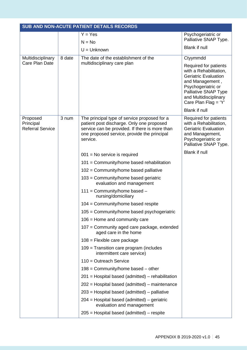|                                                  |        | <b>SUB AND NON-ACUTE PATIENT DETAILS RECORDS</b>                                                                                                                                                       |                                                                                                                                                                                                  |
|--------------------------------------------------|--------|--------------------------------------------------------------------------------------------------------------------------------------------------------------------------------------------------------|--------------------------------------------------------------------------------------------------------------------------------------------------------------------------------------------------|
|                                                  |        | $Y = Yes$                                                                                                                                                                                              | Psychogeriatric or                                                                                                                                                                               |
|                                                  |        | $N = No$                                                                                                                                                                                               | Palliative SNAP Type.                                                                                                                                                                            |
|                                                  |        | $U =$ Unknown                                                                                                                                                                                          | Blank if null                                                                                                                                                                                    |
| Multidisciplinary                                | 8 date | The date of the establishment of the                                                                                                                                                                   | Ctyymmdd                                                                                                                                                                                         |
| Care Plan Date                                   |        | multidisciplinary care plan                                                                                                                                                                            | Required for patients<br>with a Rehabilitation,<br><b>Geriatric Evaluation</b><br>and Management,<br>Psychogeriatric or<br>Palliative SNAP Type<br>and Multidisciplinary<br>Care Plan Flag = 'Y' |
|                                                  |        |                                                                                                                                                                                                        | <b>Blank if null</b>                                                                                                                                                                             |
| Proposed<br>Principal<br><b>Referral Service</b> | 3 num  | The principal type of service proposed for a<br>patient post discharge. Only one proposed<br>service can be provided. If there is more than<br>one proposed service, provide the principal<br>service. | Required for patients<br>with a Rehabilitation,<br><b>Geriatric Evaluation</b><br>and Management,<br>Psychogeriatric or<br>Palliative SNAP Type.                                                 |
|                                                  |        | $001$ = No service is required                                                                                                                                                                         | <b>Blank if null</b>                                                                                                                                                                             |
|                                                  |        | 101 = Community/home based rehabilitation                                                                                                                                                              |                                                                                                                                                                                                  |
|                                                  |        | 102 = Community/home based palliative                                                                                                                                                                  |                                                                                                                                                                                                  |
|                                                  |        | 103 = Community/home based geriatric<br>evaluation and management                                                                                                                                      |                                                                                                                                                                                                  |
|                                                  |        | $111 =$ Community/home based -<br>nursing/domiciliary                                                                                                                                                  |                                                                                                                                                                                                  |
|                                                  |        | 104 = Community/home based respite                                                                                                                                                                     |                                                                                                                                                                                                  |
|                                                  |        | 105 = Community/home based psychogeriatric                                                                                                                                                             |                                                                                                                                                                                                  |
|                                                  |        | $106$ = Home and community care                                                                                                                                                                        |                                                                                                                                                                                                  |
|                                                  |        | 107 = Community aged care package, extended<br>aged care in the home                                                                                                                                   |                                                                                                                                                                                                  |
|                                                  |        | $108$ = Flexible care package                                                                                                                                                                          |                                                                                                                                                                                                  |
|                                                  |        | $109$ = Transition care program (includes<br>intermittent care service)                                                                                                                                |                                                                                                                                                                                                  |
|                                                  |        | $110 =$ Outreach Service                                                                                                                                                                               |                                                                                                                                                                                                  |
|                                                  |        | $198$ = Community/home based – other                                                                                                                                                                   |                                                                                                                                                                                                  |
|                                                  |        | 201 = Hospital based (admitted) – rehabilitation                                                                                                                                                       |                                                                                                                                                                                                  |
|                                                  |        | 202 = Hospital based (admitted) – maintenance                                                                                                                                                          |                                                                                                                                                                                                  |
|                                                  |        | $203$ = Hospital based (admitted) – palliative                                                                                                                                                         |                                                                                                                                                                                                  |
|                                                  |        | $204$ = Hospital based (admitted) – geriatric<br>evaluation and management                                                                                                                             |                                                                                                                                                                                                  |
|                                                  |        | $205$ = Hospital based (admitted) – respite                                                                                                                                                            |                                                                                                                                                                                                  |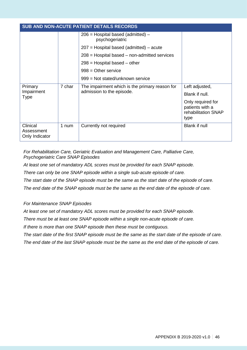| <b>SUB AND NON-ACUTE PATIENT DETAILS RECORDS</b> |        |                                                                             |                                                                     |  |
|--------------------------------------------------|--------|-----------------------------------------------------------------------------|---------------------------------------------------------------------|--|
|                                                  |        | $206$ = Hospital based (admitted) –<br>psychogeriatric                      |                                                                     |  |
|                                                  |        | $207$ = Hospital based (admitted) – acute                                   |                                                                     |  |
|                                                  |        | $208$ = Hospital based – non-admitted services                              |                                                                     |  |
|                                                  |        | $298$ = Hospital based – other                                              |                                                                     |  |
|                                                  |        | $998 =$ Other service                                                       |                                                                     |  |
|                                                  |        | $999 = Not stated/unknown service$                                          |                                                                     |  |
| Primary                                          | 7 char | The impairment which is the primary reason for<br>admission to the episode. | Left adjusted,                                                      |  |
| Impairment<br>Type                               |        |                                                                             | Blank if null.                                                      |  |
|                                                  |        |                                                                             | Only required for<br>patients with a<br>rehabilitation SNAP<br>type |  |
| Clinical<br>Assessment<br>Only Indicator         | 1 num  | Currently not required                                                      | <b>Blank if null</b>                                                |  |

*For Rehabilitation Care, Geriatric Evaluation and Management Care, Palliative Care, Psychogeriatric Care SNAP Episodes*

*At least one set of mandatory ADL scores must be provided for each SNAP episode.*

*There can only be one SNAP episode within a single sub-acute episode of care.* 

*The start date of the SNAP episode must be the same as the start date of the episode of care.*

*The end date of the SNAP episode must be the same as the end date of the episode of care.* 

*For Maintenance SNAP Episodes*

*At least one set of mandatory ADL scores must be provided for each SNAP episode.*

*There must be at least one SNAP episode within a single non-acute episode of care.* 

*If there is more than one SNAP episode then these must be contiguous.*

*The start date of the first SNAP episode must be the same as the start date of the episode of care.*

*The end date of the last SNAP episode must be the same as the end date of the episode of care.*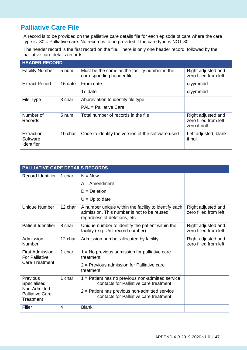## **Palliative Care File**

A record is to be provided on the palliative care details file for each episode of care where the care type is: 30 = Palliative care. No record is to be provided if the care type is NOT 30.

The header record is the first record on the file. There is only one header record, followed by the palliative care details records.

| <b>HEADER RECORD</b>                 |         |                                                                             |                                                              |  |
|--------------------------------------|---------|-----------------------------------------------------------------------------|--------------------------------------------------------------|--|
| <b>Facility Number</b>               | 5 num   | Must be the same as the facility number in the<br>corresponding header file | Right adjusted and<br>zero filled from left                  |  |
| <b>Extract Period</b>                | 16 date | From date                                                                   | ctyymmdd                                                     |  |
|                                      |         | To date                                                                     | ctyymmdd                                                     |  |
| File Type                            | 3 char  | Abbreviation to identify file type                                          |                                                              |  |
|                                      |         | PAL = Palliative Care                                                       |                                                              |  |
| Number of<br>Records                 | 5 num   | Total number of records in the file                                         | Right adjusted and<br>zero filled from left;<br>zero if null |  |
| Extraction<br>Software<br>Identifier | 10 char | Code to identify the version of the software used                           | Left adjusted, blank<br>if null                              |  |

| <b>PALLIATIVE CARE DETAILS RECORDS</b>              |         |                                                                                                                                      |                                             |
|-----------------------------------------------------|---------|--------------------------------------------------------------------------------------------------------------------------------------|---------------------------------------------|
| <b>Record Identifier</b>                            | 1 char  | $N = New$                                                                                                                            |                                             |
|                                                     |         | $A =$ Amendment                                                                                                                      |                                             |
|                                                     |         | $D = Deletion$                                                                                                                       |                                             |
|                                                     |         | $U = Up$ to date                                                                                                                     |                                             |
| Unique Number                                       | 12 char | A number unique within the facility to identify each<br>admission. This number is not to be reused,<br>regardless of deletions, etc. | Right adjusted and<br>zero filled from left |
| Patient Identifier                                  | 8 char  | Unique number to identify the patient within the<br>facility (e.g. Unit record number)                                               | Right adjusted and<br>zero filled from left |
| Admission<br>Number                                 | 12 char | Admission number allocated by facility                                                                                               | Right adjusted and<br>zero filled from left |
| <b>First Admission</b><br><b>For Palliative</b>     | 1 char  | $1 = No$ previous admission for palliative care<br>treatment                                                                         |                                             |
| <b>Care Treatment</b>                               |         | $2$ = Previous admission for Palliative care<br>treatment                                                                            |                                             |
| Previous<br>Specialised                             | 1 char  | $1 =$ Patient has no previous non-admitted service<br>contacts for Palliative care treatment                                         |                                             |
| Non-Admitted<br><b>Palliative Care</b><br>Treatment |         | $2$ = Patient has previous non-admitted service<br>contacts for Palliative care treatment                                            |                                             |
| Filler                                              | 4       | <b>Blank</b>                                                                                                                         |                                             |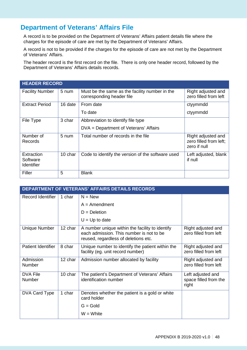## **Department of Veterans' Affairs File**

A record is to be provided on the Department of Veterans' Affairs patient details file where the charges for the episode of care are met by the Department of Veterans' Affairs.

A record is not to be provided if the charges for the episode of care are not met by the Department of Veterans' Affairs.

The header record is the first record on the file. There is only one header record, followed by the Department of Veterans' Affairs details records.

| <b>HEADER RECORD</b>                 |         |                                                                             |                                                              |  |  |
|--------------------------------------|---------|-----------------------------------------------------------------------------|--------------------------------------------------------------|--|--|
| <b>Facility Number</b>               | 5 num   | Must be the same as the facility number in the<br>corresponding header file | Right adjusted and<br>zero filled from left                  |  |  |
| <b>Extract Period</b>                | 16 date | From date<br>To date                                                        | ctyymmdd<br>ctyymmdd                                         |  |  |
| File Type                            | 3 char  | Abbreviation to identify file type<br>DVA = Department of Veterans' Affairs |                                                              |  |  |
| Number of<br>Records                 | 5 num   | Total number of records in the file                                         | Right adjusted and<br>zero filled from left;<br>zero if null |  |  |
| Extraction<br>Software<br>Identifier | 10 char | Code to identify the version of the software used                           | Left adjusted, blank<br>if null                              |  |  |
| Filler                               | 5       | <b>Blank</b>                                                                |                                                              |  |  |

|                           | <b>DEPARTMENT OF VETERANS' AFFAIRS DETAILS RECORDS</b> |                                                                                                                                     |                                                     |  |  |
|---------------------------|--------------------------------------------------------|-------------------------------------------------------------------------------------------------------------------------------------|-----------------------------------------------------|--|--|
| Record Identifier         | 1 char                                                 | $N = New$                                                                                                                           |                                                     |  |  |
|                           |                                                        | $A =$ Amendment                                                                                                                     |                                                     |  |  |
|                           |                                                        | $D = Deletion$                                                                                                                      |                                                     |  |  |
|                           |                                                        | $U = Up$ to date                                                                                                                    |                                                     |  |  |
| <b>Unique Number</b>      | 12 char                                                | A number unique within the facility to identify<br>each admission. This number is not to be<br>reused, regardless of deletions etc. | Right adjusted and<br>zero filled from left         |  |  |
| Patient Identifier        | 8 char                                                 | Unique number to identify the patient within the<br>facility (eg. unit record number)                                               | Right adjusted and<br>zero filled from left         |  |  |
| Admission<br>Number       | 12 char                                                | Admission number allocated by facility                                                                                              | Right adjusted and<br>zero filled from left         |  |  |
| <b>DVA File</b><br>Number | 10 char                                                | The patient's Department of Veterans' Affairs<br>identification number                                                              | Left adjusted and<br>space filled from the<br>right |  |  |
| DVA Card Type             | 1 char                                                 | Denotes whether the patient is a gold or white<br>card holder                                                                       |                                                     |  |  |
|                           |                                                        | $G = Gold$                                                                                                                          |                                                     |  |  |
|                           |                                                        | $W = White$                                                                                                                         |                                                     |  |  |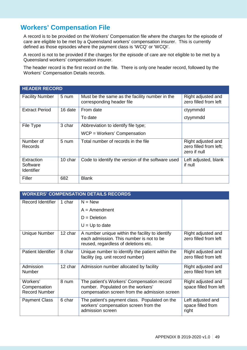## **Workers' Compensation File**

A record is to be provided on the Workers' Compensation file where the charges for the episode of care are eligible to be met by a Queensland workers' compensation insurer. This is currently defined as those episodes where the payment class is 'WCQ' or 'WCQI'.

A record is not to be provided if the charges for the episode of care are not eligible to be met by a Queensland workers' compensation insurer.

The header record is the first record on the file. There is only one header record, followed by the Workers' Compensation Details records.

| <b>HEADER RECORD</b>                        |         |                                                                             |                                                              |  |  |
|---------------------------------------------|---------|-----------------------------------------------------------------------------|--------------------------------------------------------------|--|--|
| <b>Facility Number</b>                      | 5 num   | Must be the same as the facility number in the<br>corresponding header file | Right adjusted and<br>zero filled from left                  |  |  |
| <b>Extract Period</b>                       | 16 date | From date                                                                   | ctyymmdd                                                     |  |  |
|                                             |         | To date                                                                     | ctyymmdd                                                     |  |  |
| File Type                                   | 3 char  | Abbreviation to identify file type;                                         |                                                              |  |  |
|                                             |         | $WCP = W$ orkers' Compensation                                              |                                                              |  |  |
| Number of<br>Records                        | 5 num   | Total number of records in the file                                         | Right adjusted and<br>zero filled from left;<br>zero if null |  |  |
| Extraction<br>Software<br><b>Identifier</b> | 10 char | Code to identify the version of the software used                           | Left adjusted, blank<br>if null                              |  |  |
| Filler                                      | 682     | <b>Blank</b>                                                                |                                                              |  |  |

| <b>WORKERS' COMPENSATION DETAILS RECORDS</b>     |         |                                                                                                                                     |                                                 |  |
|--------------------------------------------------|---------|-------------------------------------------------------------------------------------------------------------------------------------|-------------------------------------------------|--|
| Record Identifier                                | 1 char  | $N = New$                                                                                                                           |                                                 |  |
|                                                  |         | $A =$ Amendment                                                                                                                     |                                                 |  |
|                                                  |         | $D = Deletion$                                                                                                                      |                                                 |  |
|                                                  |         | $U = Up$ to date                                                                                                                    |                                                 |  |
| Unique Number                                    | 12 char | A number unique within the facility to identify<br>each admission. This number is not to be<br>reused, regardless of deletions etc. | Right adjusted and<br>zero filled from left     |  |
| Patient Identifier                               | 8 char  | Unique number to identify the patient within the<br>facility (eg. unit record number)                                               | Right adjusted and<br>zero filled from left     |  |
| Admission<br><b>Number</b>                       | 12 char | Admission number allocated by facility                                                                                              | Right adjusted and<br>zero filled from left     |  |
| Workers'<br>Compensation<br><b>Record Number</b> | 8 num   | The patient's Workers' Compensation record<br>number. Populated on the workers'<br>compensation screen from the admission screen    | Right adjusted and<br>space filled from left    |  |
| <b>Payment Class</b>                             | 6 char  | The patient's payment class. Populated on the<br>workers' compensation screen from the<br>admission screen                          | Left adjusted and<br>space filled from<br>right |  |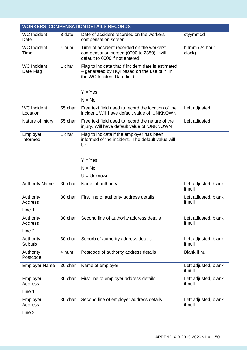|                                 | <b>WORKERS' COMPENSATION DETAILS RECORDS</b> |                                                                                                                                    |                                 |  |  |
|---------------------------------|----------------------------------------------|------------------------------------------------------------------------------------------------------------------------------------|---------------------------------|--|--|
| <b>WC</b> Incident<br>Date      | 8 date                                       | Date of accident recorded on the workers'<br>compensation screen                                                                   | ctyymmdd                        |  |  |
| <b>WC</b> Incident<br>Time      | 4 num                                        | Time of accident recorded on the workers'<br>compensation screen (0000 to 2359) - will<br>default to 0000 if not entered           | hhmm (24 hour<br>clock)         |  |  |
| <b>WC</b> Incident<br>Date Flag | 1 char                                       | Flag to indicate that if incident date is estimated<br>- generated by HQI based on the use of "*' in<br>the WC Incident Date field |                                 |  |  |
|                                 |                                              | $Y = Yes$                                                                                                                          |                                 |  |  |
|                                 |                                              | $N = No$                                                                                                                           |                                 |  |  |
| <b>WC</b> Incident<br>Location  | 55 char                                      | Free text field used to record the location of the<br>incident. Will have default value of 'UNKNOWN'                               | Left adjusted                   |  |  |
| Nature of Injury                | 55 char                                      | Free text field used to record the nature of the<br>injury. Will have default value of 'UNKNOWN'                                   | Left adjusted                   |  |  |
| Employer<br>Informed            | 1 char                                       | Flag to indicate if the employer has been<br>informed of the incident. The default value will<br>be U                              |                                 |  |  |
|                                 |                                              | $Y = Yes$                                                                                                                          |                                 |  |  |
|                                 |                                              | $N = No$                                                                                                                           |                                 |  |  |
|                                 |                                              | $U =$ Unknown                                                                                                                      |                                 |  |  |
| <b>Authority Name</b>           | 30 char                                      | Name of authority                                                                                                                  | Left adjusted, blank<br>if null |  |  |
| Authority<br><b>Address</b>     | 30 char                                      | First line of authority address details                                                                                            | Left adjusted, blank<br>if null |  |  |
| Line 1                          |                                              |                                                                                                                                    |                                 |  |  |
| Authority<br><b>Address</b>     | 30 char                                      | Second line of authority address details                                                                                           | Left adjusted, blank<br>if null |  |  |
| Line <sub>2</sub>               |                                              |                                                                                                                                    |                                 |  |  |
| Authority<br>Suburb             | 30 char                                      | Suburb of authority address details                                                                                                | Left adjusted, blank<br>if null |  |  |
| Authority<br>Postcode           | 4 num                                        | Postcode of authority address details                                                                                              | <b>Blank if null</b>            |  |  |
| <b>Employer Name</b>            | 30 char                                      | Name of employer                                                                                                                   | Left adjusted, blank<br>if null |  |  |
| Employer<br><b>Address</b>      | 30 char                                      | First line of employer address details                                                                                             | Left adjusted, blank<br>if null |  |  |
| Line 1                          |                                              |                                                                                                                                    |                                 |  |  |
| Employer<br><b>Address</b>      | 30 char                                      | Second line of employer address details                                                                                            | Left adjusted, blank<br>if null |  |  |
| Line <sub>2</sub>               |                                              |                                                                                                                                    |                                 |  |  |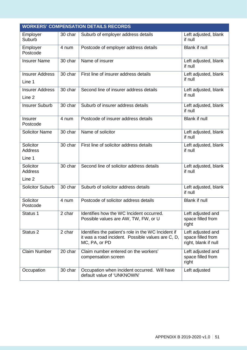|                             |           | <b>WORKERS' COMPENSATION DETAILS RECORDS</b>                                                                              |                                                                |
|-----------------------------|-----------|---------------------------------------------------------------------------------------------------------------------------|----------------------------------------------------------------|
| Employer<br>Suburb          | 30 char   | Suburb of employer address details                                                                                        | Left adjusted, blank<br>if null                                |
| Employer<br>Postcode        | 4 num     | Postcode of employer address details                                                                                      | Blank if null                                                  |
| <b>Insurer Name</b>         | 30 char   | Name of insurer                                                                                                           | Left adjusted, blank<br>if null                                |
| <b>Insurer Address</b>      | 30 char   | First line of insurer address details                                                                                     | Left adjusted, blank                                           |
| Line 1                      |           |                                                                                                                           | if null                                                        |
| <b>Insurer Address</b>      | 30 char   | Second line of insurer address details                                                                                    | Left adjusted, blank                                           |
| Line 2                      |           |                                                                                                                           | if null                                                        |
| <b>Insurer Suburb</b>       | 30 char   | Suburb of insurer address details                                                                                         | Left adjusted, blank<br>if null                                |
| <b>Insurer</b><br>Postcode  | 4 num     | Postcode of insurer address details                                                                                       | Blank if null                                                  |
| <b>Solicitor Name</b>       | $30$ char | Name of solicitor                                                                                                         | Left adjusted, blank<br>if null                                |
| Solicitor<br><b>Address</b> | 30 char   | First line of solicitor address details                                                                                   | Left adjusted, blank<br>if null                                |
| Line 1                      |           |                                                                                                                           |                                                                |
| Solicitor<br><b>Address</b> | 30 char   | Second line of solicitor address details                                                                                  | Left adjusted, blank<br>if null                                |
| Line 2                      |           |                                                                                                                           |                                                                |
| <b>Solicitor Suburb</b>     | 30 char   | Suburb of solicitor address details                                                                                       | Left adjusted, blank<br>if null                                |
| Solicitor<br>Postcode       | 4 num     | Postcode of solicitor address details                                                                                     | <b>Blank if null</b>                                           |
| Status 1                    | 2 char    | Identifies how the WC Incident occurred.<br>Possible values are AW, TW, FW, or U                                          | Left adjusted and<br>space filled from<br>right                |
| Status <sub>2</sub>         | 2 char    | Identifies the patient's role in the WC Incident if<br>it was a road incident. Possible values are C, D,<br>MC, PA, or PD | Left adjusted and<br>space filled from<br>right, blank if null |
| <b>Claim Number</b>         | 20 char   | Claim number entered on the workers'<br>compensation screen                                                               | Left adjusted and<br>space filled from<br>right                |
| Occupation                  | 30 char   | Occupation when incident occurred. Will have<br>default value of 'UNKNOWN'                                                | Left adjusted                                                  |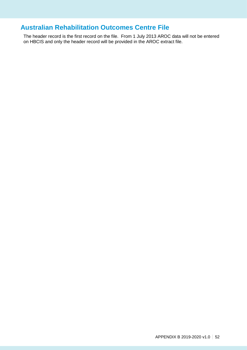## **Australian Rehabilitation Outcomes Centre File**

The header record is the first record on the file. From 1 July 2013 AROC data will not be entered on HBCIS and only the header record will be provided in the AROC extract file.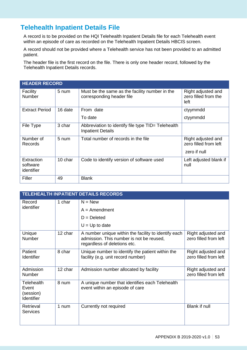#### **Telehealth Inpatient Details File**

A record is to be provided on the HQI Telehealth Inpatient Details file for each Telehealth event within an episode of care as recorded on the Telehealth Inpatient Details HBCIS screen.

A record should not be provided where a Telehealth service has not been provided to an admitted patient.

The header file is the first record on the file. There is only one header record, followed by the Telehealth Inpatient Details records.

| <b>HEADER RECORD</b>                 |                 |                                                                                |                                                    |  |  |
|--------------------------------------|-----------------|--------------------------------------------------------------------------------|----------------------------------------------------|--|--|
| Facility<br><b>Number</b>            | 5 num           | Must be the same as the facility number in the<br>corresponding header file    | Right adjusted and<br>zero filled from the<br>left |  |  |
| <b>Extract Period</b>                | 16 date         | From date                                                                      | ctyymmdd                                           |  |  |
|                                      |                 | To date                                                                        | ctyymmdd                                           |  |  |
| File Type                            | 3 char          | Abbreviation to identify file type TID= Telehealth<br><b>Inpatient Details</b> |                                                    |  |  |
| Number of<br><b>Records</b>          | $5 \text{ num}$ | Total number of records in the file                                            | Right adjusted and<br>zero filled from left        |  |  |
|                                      |                 |                                                                                | zero if null                                       |  |  |
| Extraction<br>software<br>identifier | 10 char         | Code to identify version of software used                                      | Left adjusted blank if<br>null                     |  |  |
| Filler                               | 49              | <b>Blank</b>                                                                   |                                                    |  |  |

|                                                       | <b>TELEHEALTH INPATIENT DETAILS RECORDS</b> |                                                                                                                                  |                                             |  |  |
|-------------------------------------------------------|---------------------------------------------|----------------------------------------------------------------------------------------------------------------------------------|---------------------------------------------|--|--|
| Record                                                | 1 char                                      | $N = New$                                                                                                                        |                                             |  |  |
| identifier                                            |                                             | $A =$ Amendment                                                                                                                  |                                             |  |  |
|                                                       |                                             | $D = Deleted$                                                                                                                    |                                             |  |  |
|                                                       |                                             | $U = Up$ to date                                                                                                                 |                                             |  |  |
| Unique<br>Number                                      | 12 char                                     | A number unique within the facility to identify each<br>admission. This number is not be reused,<br>regardless of deletions etc. | Right adjusted and<br>zero filled from left |  |  |
| Patient<br>Identifier                                 | 8 char                                      | Unique number to identify the patient within the<br>facility (e.g. unit record number)                                           | Right adjusted and<br>zero filled from left |  |  |
| Admission<br>Number                                   | 12 char                                     | Admission number allocated by facility                                                                                           | Right adjusted and<br>zero filled from left |  |  |
| <b>Telehealth</b><br>Event<br>(session)<br>Identifier | 8 num                                       | A unique number that identifies each Telehealth<br>event within an episode of care                                               |                                             |  |  |
| Retrieval<br><b>Services</b>                          | 1 num                                       | Currently not required                                                                                                           | <b>Blank if null</b>                        |  |  |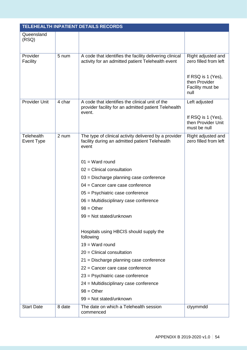|                                 |        | <b>TELEHEALTH INPATIENT DETAILS RECORDS</b>                                                                       |                                                                 |
|---------------------------------|--------|-------------------------------------------------------------------------------------------------------------------|-----------------------------------------------------------------|
| Queensland<br>(RSQ)             |        |                                                                                                                   |                                                                 |
|                                 |        |                                                                                                                   |                                                                 |
| Provider<br>Facility            | 5 num  | A code that identifies the facility delivering clinical<br>activity for an admitted patient Telehealth event      | Right adjusted and<br>zero filled from left                     |
|                                 |        |                                                                                                                   |                                                                 |
|                                 |        |                                                                                                                   | If RSQ is 1 (Yes),<br>then Provider<br>Facility must be<br>null |
| <b>Provider Unit</b>            | 4 char | A code that identifies the clinical unit of the<br>provider facility for an admitted patient Telehealth<br>event. | Left adjusted                                                   |
|                                 |        |                                                                                                                   | If RSQ is 1 (Yes),<br>then Provider Unit<br>must be null        |
| <b>Telehealth</b><br>Event Type | 2 num  | The type of clinical activity delivered by a provider<br>facility during an admitted patient Telehealth<br>event  | Right adjusted and<br>zero filled from left                     |
|                                 |        |                                                                                                                   |                                                                 |
|                                 |        | $01 = Ward$ round                                                                                                 |                                                                 |
|                                 |        | $02$ = Clinical consultation                                                                                      |                                                                 |
|                                 |        | $03$ = Discharge planning case conference                                                                         |                                                                 |
|                                 |        | $04$ = Cancer care case conference                                                                                |                                                                 |
|                                 |        | $05$ = Psychiatric case conference                                                                                |                                                                 |
|                                 |        | $06$ = Multidisciplinary case conference                                                                          |                                                                 |
|                                 |        | $98 = Other$                                                                                                      |                                                                 |
|                                 |        | 99 = Not stated/unknown                                                                                           |                                                                 |
|                                 |        | Hospitals using HBCIS should supply the<br>following                                                              |                                                                 |
|                                 |        | $19 = Ward$ round                                                                                                 |                                                                 |
|                                 |        | $20$ = Clinical consultation                                                                                      |                                                                 |
|                                 |        | 21 = Discharge planning case conference                                                                           |                                                                 |
|                                 |        | $22$ = Cancer care case conference                                                                                |                                                                 |
|                                 |        | 23 = Psychiatric case conference                                                                                  |                                                                 |
|                                 |        | 24 = Multidisciplinary case conference                                                                            |                                                                 |
|                                 |        | $98 = Other$                                                                                                      |                                                                 |
|                                 |        | 99 = Not stated/unknown                                                                                           |                                                                 |
| <b>Start Date</b>               | 8 date | The date on which a Telehealth session<br>commenced                                                               | ctyymmdd                                                        |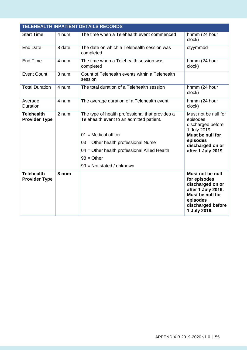|                                           | <b>TELEHEALTH INPATIENT DETAILS RECORDS</b> |                                                                                             |                                                                                                                                                 |  |  |
|-------------------------------------------|---------------------------------------------|---------------------------------------------------------------------------------------------|-------------------------------------------------------------------------------------------------------------------------------------------------|--|--|
| <b>Start Time</b>                         | 4 num                                       | The time when a Telehealth event commenced                                                  | hhmm (24 hour<br>clock)                                                                                                                         |  |  |
| <b>End Date</b>                           | 8 date                                      | The date on which a Telehealth session was<br>completed                                     | ctyymmdd                                                                                                                                        |  |  |
| <b>End Time</b>                           | 4 num                                       | The time when a Telehealth session was<br>completed                                         | hhmm (24 hour<br>clock)                                                                                                                         |  |  |
| <b>Event Count</b>                        | 3 num                                       | Count of Telehealth events within a Telehealth<br>session                                   |                                                                                                                                                 |  |  |
| <b>Total Duration</b>                     | 4 num                                       | The total duration of a Telehealth session                                                  | hhmm (24 hour<br>clock)                                                                                                                         |  |  |
| Average<br><b>Duration</b>                | 4 num                                       | The average duration of a Telehealth event                                                  | hhmm (24 hour<br>clock)                                                                                                                         |  |  |
| <b>Telehealth</b><br><b>Provider Type</b> | 2 num                                       | The type of health professional that provides a<br>Telehealth event to an admitted patient. | Must not be null for<br>episodes<br>discharged before<br>1 July 2019.                                                                           |  |  |
|                                           |                                             | $01$ = Medical officer                                                                      | Must be null for                                                                                                                                |  |  |
|                                           |                                             | $03$ = Other health professional Nurse                                                      | episodes<br>discharged on or                                                                                                                    |  |  |
|                                           |                                             | 04 = Other health professional Allied Health                                                | after 1 July 2019.                                                                                                                              |  |  |
|                                           |                                             | $98 = Other$                                                                                |                                                                                                                                                 |  |  |
|                                           |                                             | 99 = Not stated / unknown                                                                   |                                                                                                                                                 |  |  |
| <b>Telehealth</b><br><b>Provider Type</b> | 8 num                                       |                                                                                             | Must not be null<br>for episodes<br>discharged on or<br>after 1 July 2019.<br>Must be null for<br>episodes<br>discharged before<br>1 July 2019. |  |  |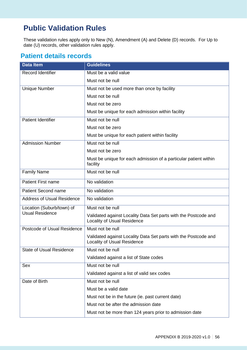# **Public Validation Rules**

These validation rules apply only to New (N), Amendment (A) and Delete (D) records. For Up to date (U) records, other validation rules apply.

#### **Patient details records**

| <b>Data Item</b>                  | <b>Guidelines</b>                                                                                     |
|-----------------------------------|-------------------------------------------------------------------------------------------------------|
| <b>Record Identifier</b>          | Must be a valid value                                                                                 |
|                                   | Must not be null                                                                                      |
| <b>Unique Number</b>              | Must not be used more than once by facility                                                           |
|                                   | Must not be null                                                                                      |
|                                   | Must not be zero                                                                                      |
|                                   | Must be unique for each admission within facility                                                     |
| <b>Patient Identifier</b>         | Must not be null                                                                                      |
|                                   | Must not be zero                                                                                      |
|                                   | Must be unique for each patient within facility                                                       |
| <b>Admission Number</b>           | Must not be null                                                                                      |
|                                   | Must not be zero                                                                                      |
|                                   | Must be unique for each admission of a particular patient within<br>facility                          |
| <b>Family Name</b>                | Must not be null                                                                                      |
| <b>Patient First name</b>         | No validation                                                                                         |
| <b>Patient Second name</b>        | No validation                                                                                         |
| <b>Address of Usual Residence</b> | No validation                                                                                         |
| Location (Suburb/town) of         | Must not be null                                                                                      |
| <b>Usual Residence</b>            | Validated against Locality Data Set parts with the Postcode and<br><b>Locality of Usual Residence</b> |
| Postcode of Usual Residence       | Must not be null                                                                                      |
|                                   | Validated against Locality Data Set parts with the Postcode and<br><b>Locality of Usual Residence</b> |
| <b>State of Usual Residence</b>   | Must not be null                                                                                      |
|                                   | Validated against a list of State codes                                                               |
| Sex                               | Must not be null                                                                                      |
|                                   | Validated against a list of valid sex codes                                                           |
| Date of Birth                     | Must not be null                                                                                      |
|                                   | Must be a valid date                                                                                  |
|                                   | Must not be in the future (ie. past current date)                                                     |
|                                   | Must not be after the admission date                                                                  |
|                                   | Must not be more than 124 years prior to admission date                                               |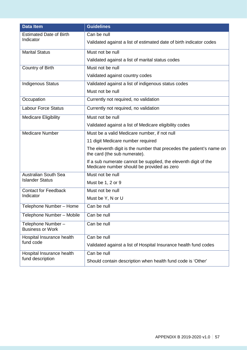| <b>Data Item</b>                              | <b>Guidelines</b>                                                                                             |
|-----------------------------------------------|---------------------------------------------------------------------------------------------------------------|
| <b>Estimated Date of Birth</b><br>Indicator   | Can be null                                                                                                   |
|                                               | Validated against a list of estimated date of birth indicator codes                                           |
| <b>Marital Status</b>                         | Must not be null                                                                                              |
|                                               | Validated against a list of marital status codes                                                              |
| Country of Birth                              | Must not be null                                                                                              |
|                                               | Validated against country codes                                                                               |
| <b>Indigenous Status</b>                      | Validated against a list of indigenous status codes                                                           |
|                                               | Must not be null                                                                                              |
| Occupation                                    | Currently not required, no validation                                                                         |
| <b>Labour Force Status</b>                    | Currently not required, no validation                                                                         |
| <b>Medicare Eligibility</b>                   | Must not be null                                                                                              |
|                                               | Validated against a list of Medicare eligibility codes                                                        |
| <b>Medicare Number</b>                        | Must be a valid Medicare number, if not null                                                                  |
|                                               | 11 digit Medicare number required                                                                             |
|                                               | The eleventh digit is the number that precedes the patient's name on<br>the card (the sub numerate).          |
|                                               | If a sub numerate cannot be supplied, the eleventh digit of the<br>Medicare number should be provided as zero |
| <b>Australian South Sea</b>                   | Must not be null                                                                                              |
| <b>Islander Status</b>                        | Must be 1, 2 or 9                                                                                             |
| <b>Contact for Feedback</b>                   | Must not be null                                                                                              |
| Indicator                                     | Must be Y, N or U                                                                                             |
| Telephone Number - Home                       | Can be null                                                                                                   |
| Telephone Number - Mobile                     | Can be null                                                                                                   |
| Telephone Number-<br><b>Business or Work</b>  | Can be null                                                                                                   |
| Hospital Insurance health                     | Can be null                                                                                                   |
| fund code                                     | Validated against a list of Hospital Insurance health fund codes                                              |
| Hospital Insurance health<br>fund description | Can be null                                                                                                   |
|                                               | Should contain description when health fund code is 'Other'                                                   |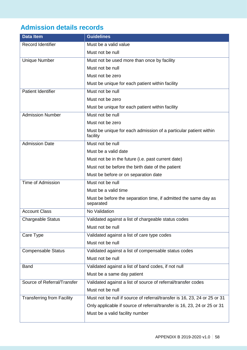# **Admission details records**

| <b>Data Item</b>                  | <b>Guidelines</b>                                                            |
|-----------------------------------|------------------------------------------------------------------------------|
| <b>Record Identifier</b>          | Must be a valid value                                                        |
|                                   | Must not be null                                                             |
| <b>Unique Number</b>              | Must not be used more than once by facility                                  |
|                                   | Must not be null                                                             |
|                                   | Must not be zero                                                             |
|                                   | Must be unique for each patient within facility                              |
| <b>Patient Identifier</b>         | Must not be null                                                             |
|                                   | Must not be zero                                                             |
|                                   | Must be unique for each patient within facility                              |
| <b>Admission Number</b>           | Must not be null                                                             |
|                                   | Must not be zero                                                             |
|                                   | Must be unique for each admission of a particular patient within<br>facility |
| <b>Admission Date</b>             | Must not be null                                                             |
|                                   | Must be a valid date                                                         |
|                                   | Must not be in the future (i.e. past current date)                           |
|                                   | Must not be before the birth date of the patient                             |
|                                   | Must be before or on separation date                                         |
| Time of Admission                 | Must not be null                                                             |
|                                   | Must be a valid time                                                         |
|                                   | Must be before the separation time, if admitted the same day as<br>separated |
| <b>Account Class</b>              | No Validation                                                                |
| <b>Chargeable Status</b>          | Validated against a list of chargeable status codes                          |
|                                   | Must not be null                                                             |
| Care Type                         | Validated against a list of care type codes                                  |
|                                   | Must not be null                                                             |
| <b>Compensable Status</b>         | Validated against a list of compensable status codes                         |
|                                   | Must not be null                                                             |
| <b>Band</b>                       | Validated against a list of band codes, if not null                          |
|                                   | Must be a same day patient                                                   |
| Source of Referral/Transfer       | Validated against a list of source of referral/transfer codes                |
|                                   | Must not be null                                                             |
| <b>Transferring from Facility</b> | Must not be null if source of referral/transfer is 16, 23, 24 or 25 or 31    |
|                                   | Only applicable if source of referral/transfer is 16, 23, 24 or 25 or 31     |
|                                   | Must be a valid facility number                                              |
|                                   |                                                                              |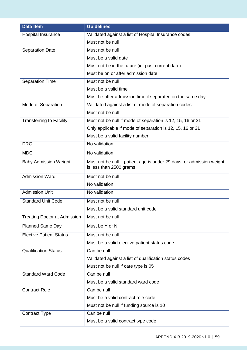| <b>Data Item</b>                    | <b>Guidelines</b>                                                                                |
|-------------------------------------|--------------------------------------------------------------------------------------------------|
| Hospital Insurance                  | Validated against a list of Hospital Insurance codes                                             |
|                                     | Must not be null                                                                                 |
| <b>Separation Date</b>              | Must not be null                                                                                 |
|                                     | Must be a valid date                                                                             |
|                                     | Must not be in the future (ie. past current date)                                                |
|                                     | Must be on or after admission date                                                               |
| <b>Separation Time</b>              | Must not be null                                                                                 |
|                                     | Must be a valid time                                                                             |
|                                     | Must be after admission time if separated on the same day                                        |
| Mode of Separation                  | Validated against a list of mode of separation codes                                             |
|                                     | Must not be null                                                                                 |
| <b>Transferring to Facility</b>     | Must not be null if mode of separation is 12, 15, 16 or 31                                       |
|                                     | Only applicable if mode of separation is 12, 15, 16 or 31                                        |
|                                     | Must be a valid facility number                                                                  |
| <b>DRG</b>                          | No validation                                                                                    |
| <b>MDC</b>                          | No validation                                                                                    |
| <b>Baby Admission Weight</b>        | Must not be null if patient age is under 29 days, or admission weight<br>is less than 2500 grams |
| <b>Admission Ward</b>               | Must not be null                                                                                 |
|                                     | No validation                                                                                    |
| <b>Admission Unit</b>               | No validation                                                                                    |
| <b>Standard Unit Code</b>           | Must not be null                                                                                 |
|                                     | Must be a valid standard unit code                                                               |
| <b>Treating Doctor at Admission</b> | Must not be null                                                                                 |
| Planned Same Day                    | Must be Y or N                                                                                   |
| <b>Elective Patient Status</b>      | Must not be null                                                                                 |
|                                     | Must be a valid elective patient status code                                                     |
| <b>Qualification Status</b>         | Can be null                                                                                      |
|                                     | Validated against a list of qualification status codes                                           |
|                                     | Must not be null if care type is 05                                                              |
| <b>Standard Ward Code</b>           | Can be null                                                                                      |
|                                     | Must be a valid standard ward code                                                               |
| <b>Contract Role</b>                | Can be null                                                                                      |
|                                     | Must be a valid contract role code                                                               |
|                                     | Must not be null if funding source is 10                                                         |
| <b>Contract Type</b>                | Can be null                                                                                      |
|                                     | Must be a valid contract type code                                                               |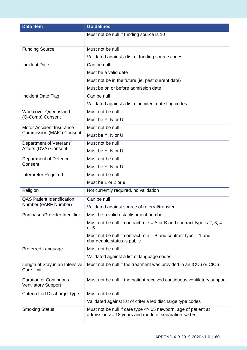| <b>Data Item</b>                                            | <b>Guidelines</b>                                                                                                          |
|-------------------------------------------------------------|----------------------------------------------------------------------------------------------------------------------------|
|                                                             | Must not be null if funding source is 10                                                                                   |
|                                                             |                                                                                                                            |
| <b>Funding Source</b>                                       | Must not be null                                                                                                           |
|                                                             | Validated against a list of funding source codes                                                                           |
| <b>Incident Date</b>                                        | Can be null                                                                                                                |
|                                                             | Must be a valid date                                                                                                       |
|                                                             | Must not be in the future (ie. past current date)                                                                          |
|                                                             | Must be on or before admission date                                                                                        |
| Incident Date Flag                                          | Can be null                                                                                                                |
|                                                             | Validated against a list of incident date flag codes                                                                       |
| <b>Workcover Queensland</b>                                 | Must not be null                                                                                                           |
| (Q-Comp) Consent                                            | Must be Y, N or U                                                                                                          |
| <b>Motor Accident Insurance</b>                             | Must not be null                                                                                                           |
| <b>Commission (MAIC) Consent</b>                            | Must be Y, N or U                                                                                                          |
| Department of Veterans'                                     | Must not be null                                                                                                           |
| Affairs (DVA) Consent                                       | Must be Y, N or U                                                                                                          |
| Department of Defence                                       | Must not be null                                                                                                           |
| Consent                                                     | Must be Y, N or U                                                                                                          |
| <b>Interpreter Required</b>                                 | Must not be null                                                                                                           |
|                                                             | Must be 1 or 2 or 9                                                                                                        |
| Religion                                                    | Not currently required, no validation                                                                                      |
| <b>QAS Patient Identification</b>                           | Can be null                                                                                                                |
| Number (eARF Number)                                        | Validated against source of referral/transfer                                                                              |
| Purchaser/Provider Identifier                               | Must be a valid establishment number                                                                                       |
|                                                             | Must not be null if contract role = A or B and contract type is 2, 3, 4<br>or $5$                                          |
|                                                             | Must not be null if contract role = B and contract type = 1 and<br>chargeable status is public                             |
| <b>Preferred Language</b>                                   | Must not be null                                                                                                           |
|                                                             | Validated against a list of language codes                                                                                 |
| Length of Stay in an Intensive<br><b>Care Unit</b>          | Must not be null if the treatment was provided in an ICU6 or CIC6                                                          |
| <b>Duration of Continuous</b><br><b>Ventilatory Support</b> | Must not be null if the patient received continuous ventilatory support                                                    |
| Criteria Led Discharge Type                                 | Must not be null                                                                                                           |
|                                                             | Validated against list of criteria led discharge type codes                                                                |
| <b>Smoking Status</b>                                       | Must not be null if care type <> 05 newborn, age of patient at<br>admission $>= 18$ years and mode of separation $\leq 05$ |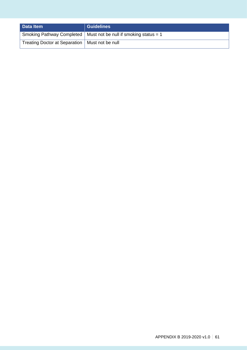| Data Item                                        | <b>Guidelines</b>                                                  |
|--------------------------------------------------|--------------------------------------------------------------------|
|                                                  | Smoking Pathway Completed   Must not be null if smoking status = 1 |
| Treating Doctor at Separation   Must not be null |                                                                    |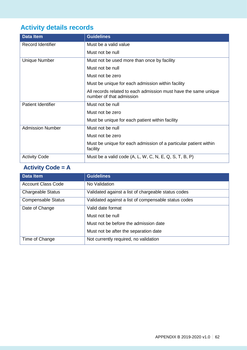# **Activity details records**

| <b>Data Item</b>          | <b>Guidelines</b>                                                                           |
|---------------------------|---------------------------------------------------------------------------------------------|
| Record Identifier         | Must be a valid value                                                                       |
|                           | Must not be null                                                                            |
| <b>Unique Number</b>      | Must not be used more than once by facility                                                 |
|                           | Must not be null                                                                            |
|                           | Must not be zero                                                                            |
|                           | Must be unique for each admission within facility                                           |
|                           | All records related to each admission must have the same unique<br>number of that admission |
| <b>Patient Identifier</b> | Must not be null                                                                            |
|                           | Must not be zero                                                                            |
|                           | Must be unique for each patient within facility                                             |
| <b>Admission Number</b>   | Must not be null                                                                            |
|                           | Must not be zero                                                                            |
|                           | Must be unique for each admission of a particular patient within<br>facility                |
| <b>Activity Code</b>      | Must be a valid code (A, L, W, C, N, E, Q, S, T, B, P)                                      |

## **Activity Code = A**

| <b>Data Item</b>          | <b>Guidelines</b>                                    |
|---------------------------|------------------------------------------------------|
| <b>Account Class Code</b> | No Validation                                        |
| <b>Chargeable Status</b>  | Validated against a list of chargeable status codes  |
| <b>Compensable Status</b> | Validated against a list of compensable status codes |
| Date of Change            | Valid date format                                    |
|                           | Must not be null                                     |
|                           | Must not be before the admission date                |
|                           | Must not be after the separation date                |
| Time of Change            | Not currently required, no validation                |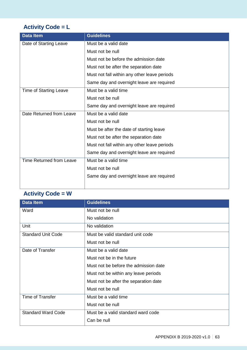# **Activity Code = L**

| <b>Data Item</b>                | <b>Guidelines</b>                            |
|---------------------------------|----------------------------------------------|
| Date of Starting Leave          | Must be a valid date                         |
|                                 | Must not be null                             |
|                                 | Must not be before the admission date        |
|                                 | Must not be after the separation date        |
|                                 | Must not fall within any other leave periods |
|                                 | Same day and overnight leave are required    |
| <b>Time of Starting Leave</b>   | Must be a valid time                         |
|                                 | Must not be null                             |
|                                 | Same day and overnight leave are required    |
| Date Returned from Leave        | Must be a valid date                         |
|                                 | Must not be null                             |
|                                 | Must be after the date of starting leave     |
|                                 | Must not be after the separation date        |
|                                 | Must not fall within any other leave periods |
|                                 | Same day and overnight leave are required    |
| <b>Time Returned from Leave</b> | Must be a valid time                         |
|                                 | Must not be null                             |
|                                 | Same day and overnight leave are required    |
|                                 |                                              |

# **Activity Code = W**

| <b>Data Item</b>          | <b>Guidelines</b>                     |
|---------------------------|---------------------------------------|
| Ward                      | Must not be null                      |
|                           | No validation                         |
| Unit                      | No validation                         |
| <b>Standard Unit Code</b> | Must be valid standard unit code      |
|                           | Must not be null                      |
| Date of Transfer          | Must be a valid date                  |
|                           | Must not be in the future             |
|                           | Must not be before the admission date |
|                           | Must not be within any leave periods  |
|                           | Must not be after the separation date |
|                           | Must not be null                      |
| Time of Transfer          | Must be a valid time                  |
|                           | Must not be null                      |
| <b>Standard Ward Code</b> | Must be a valid standard ward code    |
|                           | Can be null                           |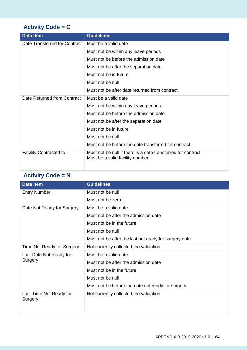# **Activity Code = C**

| <b>Data Item</b>              | <b>Guidelines</b>                                                                               |
|-------------------------------|-------------------------------------------------------------------------------------------------|
| Date Transferred for Contract | Must be a valid date                                                                            |
|                               | Must not be within any leave periods                                                            |
|                               | Must not be before the admission date                                                           |
|                               | Must not be after the separation date                                                           |
|                               | Must not be in future                                                                           |
|                               | Must not be null                                                                                |
|                               | Must not be after date returned from contract                                                   |
| Date Returned from Contract   | Must be a valid date                                                                            |
|                               | Must not be within any leave periods                                                            |
|                               | Must not be before the admission date                                                           |
|                               | Must not be after the separation date                                                           |
|                               | Must not be in future                                                                           |
|                               | Must not be null                                                                                |
|                               | Must not be before the date transferred for contract                                            |
| <b>Facility Contracted to</b> | Must not be null if there is a date transferred for contract<br>Must be a valid facility number |

# **Activity Code = N**

| <b>Data Item</b>                   | <b>Guidelines</b>                                     |
|------------------------------------|-------------------------------------------------------|
| <b>Entry Number</b>                | Must not be null                                      |
|                                    | Must not be zero                                      |
| Date Not Ready for Surgery         | Must be a valid date                                  |
|                                    | Must not be after the admission date                  |
|                                    | Must not be in the future                             |
|                                    | Must not be null                                      |
|                                    | Must not be after the last not ready for surgery date |
| Time Not Ready for Surgery         | Not currently collected, no validation                |
| Last Date Not Ready for            | Must be a valid date                                  |
| Surgery                            | Must not be after the admission date                  |
|                                    | Must not be in the future                             |
|                                    | Must not be null                                      |
|                                    | Must not be before the date not ready for surgery     |
| Last Time Not Ready for<br>Surgery | Not currently collected, no validation                |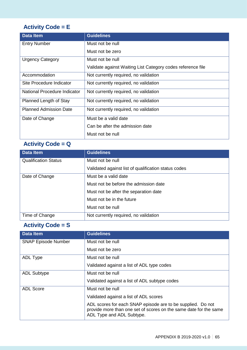# **Activity Code = E**

| <b>Data Item</b>              | <b>Guidelines</b>                                           |
|-------------------------------|-------------------------------------------------------------|
| <b>Entry Number</b>           | Must not be null                                            |
|                               | Must not be zero                                            |
| <b>Urgency Category</b>       | Must not be null                                            |
|                               | Validate against Waiting List Category codes reference file |
| Accommodation                 | Not currently required, no validation                       |
| Site Procedure Indicator      | Not currently required, no validation                       |
| National Procedure Indicator  | Not currently required, no validation                       |
| Planned Length of Stay        | Not currently required, no validation                       |
| <b>Planned Admission Date</b> | Not currently required, no validation                       |
| Date of Change                | Must be a valid date                                        |
|                               | Can be after the admission date                             |
|                               | Must not be null                                            |

# **Activity Code = Q**

| <b>Data Item</b>            | <b>Guidelines</b>                                    |
|-----------------------------|------------------------------------------------------|
| <b>Qualification Status</b> | Must not be null                                     |
|                             | Validated against list of qualification status codes |
| Date of Change              | Must be a valid date                                 |
|                             | Must not be before the admission date                |
|                             | Must not be after the separation date                |
|                             | Must not be in the future                            |
|                             | Must not be null                                     |
| Time of Change              | Not currently required, no validation                |

## **Activity Code = S**

| <b>Data Item</b>           | <b>Guidelines</b>                                                                                                                                             |
|----------------------------|---------------------------------------------------------------------------------------------------------------------------------------------------------------|
| <b>SNAP Episode Number</b> | Must not be null                                                                                                                                              |
|                            | Must not be zero                                                                                                                                              |
| ADL Type                   | Must not be null                                                                                                                                              |
|                            | Validated against a list of ADL type codes                                                                                                                    |
| <b>ADL Subtype</b>         | Must not be null                                                                                                                                              |
|                            | Validated against a list of ADL subtype codes                                                                                                                 |
| <b>ADL Score</b>           | Must not be null                                                                                                                                              |
|                            | Validated against a list of ADL scores                                                                                                                        |
|                            | ADL scores for each SNAP episode are to be supplied. Do not<br>provide more than one set of scores on the same date for the same<br>ADL Type and ADL Subtype. |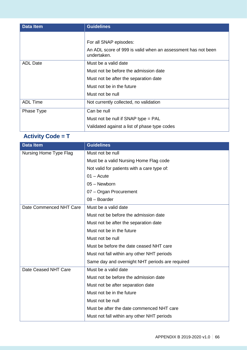| <b>Data Item</b> | <b>Guidelines</b>                                                           |
|------------------|-----------------------------------------------------------------------------|
|                  |                                                                             |
|                  | For all SNAP episodes:                                                      |
|                  | An ADL score of 999 is valid when an assessment has not been<br>undertaken. |
| <b>ADL Date</b>  | Must be a valid date                                                        |
|                  | Must not be before the admission date                                       |
|                  | Must not be after the separation date                                       |
|                  | Must not be in the future                                                   |
|                  | Must not be null                                                            |
| <b>ADL Time</b>  | Not currently collected, no validation                                      |
| Phase Type       | Can be null                                                                 |
|                  | Must not be null if SNAP type $=$ PAL                                       |
|                  | Validated against a list of phase type codes                                |

#### **Activity Code = T**

| <b>Data Item</b>        | <b>Guidelines</b>                               |
|-------------------------|-------------------------------------------------|
| Nursing Home Type Flag  | Must not be null                                |
|                         | Must be a valid Nursing Home Flag code          |
|                         | Not valid for patients with a care type of:     |
|                         | $01 - Acute$                                    |
|                         | 05 - Newborn                                    |
|                         | 07 - Organ Procurement                          |
|                         | $08 -$ Boarder                                  |
| Date Commenced NHT Care | Must be a valid date                            |
|                         | Must not be before the admission date           |
|                         | Must not be after the separation date           |
|                         | Must not be in the future                       |
|                         | Must not be null                                |
|                         | Must be before the date ceased NHT care         |
|                         | Must not fall within any other NHT periods      |
|                         | Same day and overnight NHT periods are required |
| Date Ceased NHT Care    | Must be a valid date                            |
|                         | Must not be before the admission date           |
|                         | Must not be after separation date               |
|                         | Must not be in the future                       |
|                         | Must not be null                                |
|                         | Must be after the date commenced NHT care       |
|                         | Must not fall within any other NHT periods      |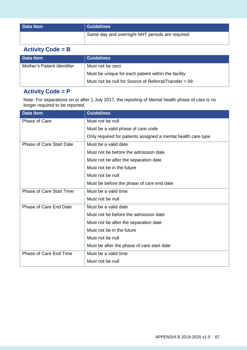| Data Item                                                   | Guidelines                                      |
|-------------------------------------------------------------|-------------------------------------------------|
|                                                             | Same day and overnight NHT periods are required |
| $\bullet$ $\bullet$ $\bullet$ $\bullet$ $\bullet$ $\bullet$ |                                                 |

#### **Activity Code = B**

| Data Item                   | <b>Guidelines</b>                                       |
|-----------------------------|---------------------------------------------------------|
| Mother's Patient Identifier | Must not be zero                                        |
|                             | Must be unique for each patient within the facility     |
|                             | Must not be null for Source of Referral/Transfer $= 09$ |

## **Activity Code = P**

Note: For separations on or after 1 July 2017, the reporting of Mental health phase of care is no longer required to be reported.

| <b>Data Item</b>                | <b>Guidelines</b>                                             |
|---------------------------------|---------------------------------------------------------------|
| Phase of Care                   | Must not be null                                              |
|                                 | Must be a valid phase of care code                            |
|                                 | Only required for patients assigned a mental health care type |
| <b>Phase of Care Start Date</b> | Must be a valid date                                          |
|                                 | Must not be before the admission date                         |
|                                 | Must not be after the separation date                         |
|                                 | Must not be in the future                                     |
|                                 | Must not be null                                              |
|                                 | Must be before the phase of care end date                     |
| <b>Phase of Care Start Time</b> | Must be a valid time                                          |
|                                 | Must not be null                                              |
| Phase of Care End Date          | Must be a valid date                                          |
|                                 | Must not be before the admission date                         |
|                                 | Must not be after the separation date                         |
|                                 | Must not be in the future                                     |
|                                 | Must not be null                                              |
|                                 | Must be after the phase of care start date                    |
| Phase of Care End Time          | Must be a valid time                                          |
|                                 | Must not be null                                              |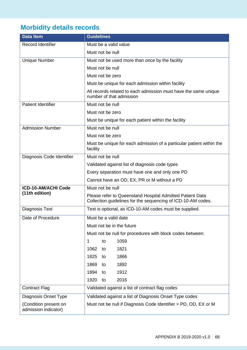# **Morbidity details records**

| <b>Data Item</b>                              | <b>Guidelines</b>                                                                                                         |
|-----------------------------------------------|---------------------------------------------------------------------------------------------------------------------------|
| <b>Record Identifier</b>                      | Must be a valid value                                                                                                     |
|                                               | Must not be null                                                                                                          |
| <b>Unique Number</b>                          | Must not be used more than once by the facility                                                                           |
|                                               | Must not be null                                                                                                          |
|                                               | Must not be zero                                                                                                          |
|                                               | Must be unique for each admission within facility                                                                         |
|                                               | All records related to each admission must have the same unique<br>number of that admission                               |
| <b>Patient Identifier</b>                     | Must not be null                                                                                                          |
|                                               | Must not be zero                                                                                                          |
|                                               | Must be unique for each patient within the facility                                                                       |
| <b>Admission Number</b>                       | Must not be null                                                                                                          |
|                                               | Must not be zero                                                                                                          |
|                                               | Must be unique for each admission of a particular patient within the<br>facility                                          |
| Diagnosis Code Identifier                     | Must not be null                                                                                                          |
|                                               | Validated against list of diagnosis code types                                                                            |
|                                               | Every separation must have one and only one PD                                                                            |
|                                               | Cannot have an OD, EX, PR or M without a PD                                                                               |
| ICD-10-AM/ACHI Code                           | Must not be null                                                                                                          |
| (11th edition)                                | Please refer to Queensland Hospital Admitted Patient Data<br>Collection guidelines for the sequencing of ICD-10-AM codes. |
| Diagnosis Text                                | Text is optional, as ICD-10-AM codes must be supplied.                                                                    |
| Date of Procedure                             | Must be a valid date                                                                                                      |
|                                               | Must not be in the future                                                                                                 |
|                                               | Must not be null for procedures with block codes between:                                                                 |
|                                               | 1<br>1059<br>to                                                                                                           |
|                                               | 1821<br>1062<br>to                                                                                                        |
|                                               | 1825<br>1866<br>to                                                                                                        |
|                                               | 1869<br>1892<br>to                                                                                                        |
|                                               | 1894<br>1912<br>to                                                                                                        |
|                                               | 2016<br>1920<br>to                                                                                                        |
| <b>Contract Flag</b>                          | Validated against a list of contract flag codes                                                                           |
| Diagnosis Onset Type                          | Validated against a list of Diagnosis Onset Type codes                                                                    |
| (Condition present on<br>admission indicator) | Must not be null if Diagnosis Code Identifier = $PD$ , $OD$ , $EX$ or M                                                   |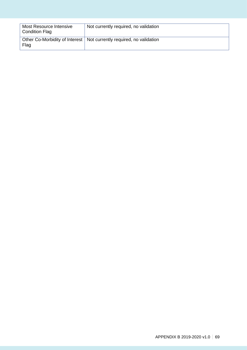| Most Resource Intensive<br><b>Condition Flag</b> | Not currently required, no validation                                  |
|--------------------------------------------------|------------------------------------------------------------------------|
| Flag                                             | Other Co-Morbidity of Interest   Not currently required, no validation |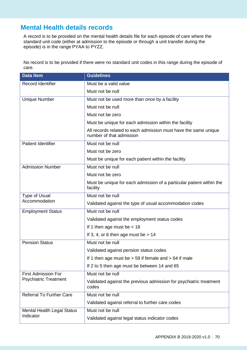#### **Mental Health details records**

A record is to be provided on the mental health details file for each episode of care where the standard unit code (either at admission to the episode or through a unit transfer during the episode) is in the range PYAA to PYZZ.

No record is to be provided if there were no standard unit codes in this range during the episode of care.

| <b>Data Item</b>                                           | <b>Guidelines</b>                                                                           |
|------------------------------------------------------------|---------------------------------------------------------------------------------------------|
| <b>Record Identifier</b>                                   | Must be a valid value                                                                       |
|                                                            | Must not be null                                                                            |
| <b>Unique Number</b>                                       | Must not be used more than once by a facility                                               |
|                                                            | Must not be null                                                                            |
|                                                            | Must not be zero                                                                            |
|                                                            | Must be unique for each admission within the facility                                       |
|                                                            | All records related to each admission must have the same unique<br>number of that admission |
| <b>Patient Identifier</b>                                  | Must not be null                                                                            |
|                                                            | Must not be zero                                                                            |
|                                                            | Must be unique for each patient within the facility                                         |
| <b>Admission Number</b>                                    | Must not be null                                                                            |
|                                                            | Must not be zero                                                                            |
|                                                            | Must be unique for each admission of a particular patient within the<br>facility            |
| <b>Type of Usual</b>                                       | Must not be null                                                                            |
| Accommodation                                              | Validated against the type of usual accommodation codes                                     |
| <b>Employment Status</b>                                   | Must not be null                                                                            |
|                                                            | Validated against the employment status codes                                               |
|                                                            | If 1 then age must be $<$ 18                                                                |
|                                                            | If 3, 4, or 6 then age must be $> 14$                                                       |
| <b>Pension Status</b>                                      | Must not be null                                                                            |
|                                                            | Validated against pension status codes                                                      |
|                                                            | If 1 then age must be $> 59$ if female and $> 64$ if male                                   |
|                                                            | If 2 to 5 then age must be between 14 and 65                                                |
| <b>First Admission For</b><br><b>Psychiatric Treatment</b> | Must not be null                                                                            |
|                                                            | Validated against the previous admission for psychiatric treatment<br>codes                 |
| <b>Referral To Further Care</b>                            | Must not be null                                                                            |
|                                                            | Validated against referral to further care codes                                            |
| Mental Health Legal Status<br>Indicator                    | Must not be null                                                                            |
|                                                            | Validated against legal status indicator codes                                              |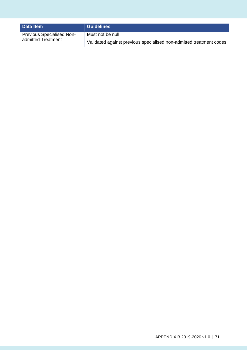| Data Item                        | <b>Guidelines</b>                                                   |
|----------------------------------|---------------------------------------------------------------------|
| <b>Previous Specialised Non-</b> | Must not be null                                                    |
| admitted Treatment               | Validated against previous specialised non-admitted treatment codes |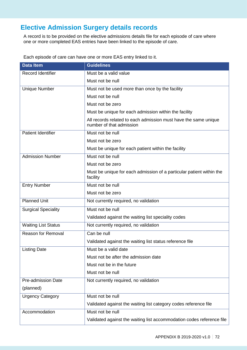## **Elective Admission Surgery details records**

A record is to be provided on the elective admissions details file for each episode of care where one or more completed EAS entries have been linked to the episode of care.

| Data Item                  | <b>Guidelines</b>                                                                           |
|----------------------------|---------------------------------------------------------------------------------------------|
| <b>Record Identifier</b>   | Must be a valid value                                                                       |
|                            | Must not be null                                                                            |
| <b>Unique Number</b>       | Must not be used more than once by the facility                                             |
|                            | Must not be null                                                                            |
|                            | Must not be zero                                                                            |
|                            | Must be unique for each admission within the facility                                       |
|                            | All records related to each admission must have the same unique<br>number of that admission |
| <b>Patient Identifier</b>  | Must not be null                                                                            |
|                            | Must not be zero                                                                            |
|                            | Must be unique for each patient within the facility                                         |
| <b>Admission Number</b>    | Must not be null                                                                            |
|                            | Must not be zero                                                                            |
|                            | Must be unique for each admission of a particular patient within the<br>facility            |
| <b>Entry Number</b>        | Must not be null                                                                            |
|                            | Must not be zero                                                                            |
| <b>Planned Unit</b>        | Not currently required, no validation                                                       |
| <b>Surgical Speciality</b> | Must not be null                                                                            |
|                            | Validated against the waiting list speciality codes                                         |
| <b>Waiting List Status</b> | Not currently required, no validation                                                       |
| <b>Reason for Removal</b>  | Can be null                                                                                 |
|                            | Validated against the waiting list status reference file                                    |
| <b>Listing Date</b>        | Must be a valid date                                                                        |
|                            | Must not be after the admission date                                                        |
|                            | Must not be in the future                                                                   |
|                            | Must not be null                                                                            |
| <b>Pre-admission Date</b>  | Not currently required, no validation                                                       |
| (planned)                  |                                                                                             |
| <b>Urgency Category</b>    | Must not be null                                                                            |
|                            | Validated against the waiting list category codes reference file                            |
| Accommodation              | Must not be null                                                                            |
|                            | Validated against the waiting list accommodation codes reference file                       |

Each episode of care can have one or more EAS entry linked to it.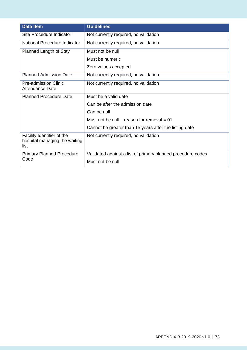| <b>Data Item</b>                                                    | <b>Guidelines</b>                                           |  |
|---------------------------------------------------------------------|-------------------------------------------------------------|--|
| Site Procedure Indicator                                            | Not currently required, no validation                       |  |
| National Procedure Indicator                                        | Not currently required, no validation                       |  |
| Planned Length of Stay                                              | Must not be null                                            |  |
|                                                                     | Must be numeric                                             |  |
|                                                                     | Zero values accepted                                        |  |
| <b>Planned Admission Date</b>                                       | Not currently required, no validation                       |  |
| <b>Pre-admission Clinic</b><br><b>Attendance Date</b>               | Not currently required, no validation                       |  |
| <b>Planned Procedure Date</b>                                       | Must be a valid date                                        |  |
|                                                                     | Can be after the admission date                             |  |
|                                                                     | Can be null                                                 |  |
|                                                                     | Must not be null if reason for removal $= 01$               |  |
|                                                                     | Cannot be greater than 15 years after the listing date      |  |
| Facility Identifier of the<br>hospital managing the waiting<br>list | Not currently required, no validation                       |  |
| <b>Primary Planned Procedure</b>                                    | Validated against a list of primary planned procedure codes |  |
| Code                                                                | Must not be null                                            |  |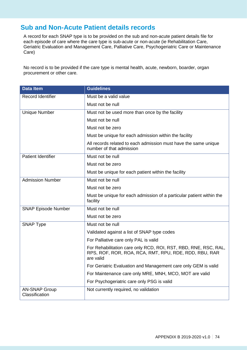## **Sub and Non-Acute Patient details records**

A record for each SNAP type is to be provided on the sub and non-acute patient details file for each episode of care where the care type is sub-acute or non-acute (ie Rehabilitation Care, Geriatric Evaluation and Management Care, Palliative Care, Psychogeriatric Care or Maintenance Care)

No record is to be provided if the care type is mental health, acute, newborn, boarder, organ procurement or other care.

| <b>Data Item</b>                       | <b>Guidelines</b>                                                                                                                     |
|----------------------------------------|---------------------------------------------------------------------------------------------------------------------------------------|
| <b>Record Identifier</b>               | Must be a valid value                                                                                                                 |
|                                        | Must not be null                                                                                                                      |
| <b>Unique Number</b>                   | Must not be used more than once by the facility                                                                                       |
|                                        | Must not be null                                                                                                                      |
|                                        | Must not be zero                                                                                                                      |
|                                        | Must be unique for each admission within the facility                                                                                 |
|                                        | All records related to each admission must have the same unique<br>number of that admission                                           |
| <b>Patient Identifier</b>              | Must not be null                                                                                                                      |
|                                        | Must not be zero                                                                                                                      |
|                                        | Must be unique for each patient within the facility                                                                                   |
| <b>Admission Number</b>                | Must not be null                                                                                                                      |
|                                        | Must not be zero                                                                                                                      |
|                                        | Must be unique for each admission of a particular patient within the<br>facility                                                      |
| <b>SNAP Episode Number</b>             | Must not be null                                                                                                                      |
|                                        | Must not be zero                                                                                                                      |
| <b>SNAP Type</b>                       | Must not be null                                                                                                                      |
|                                        | Validated against a list of SNAP type codes                                                                                           |
|                                        | For Palliative care only PAL is valid                                                                                                 |
|                                        | For Rehabilitation care only RCD, ROI, RST, RBD, RNE, RSC, RAL,<br>RPS, ROF, ROR, ROA, RCA, RMT, RPU, RDE, RDD, RBU, RAR<br>are valid |
|                                        | For Geriatric Evaluation and Management care only GEM is valid                                                                        |
|                                        | For Maintenance care only MRE, MNH, MCO, MOT are valid                                                                                |
|                                        | For Psychogeriatric care only PSG is valid                                                                                            |
| <b>AN-SNAP Group</b><br>Classification | Not currently required, no validation                                                                                                 |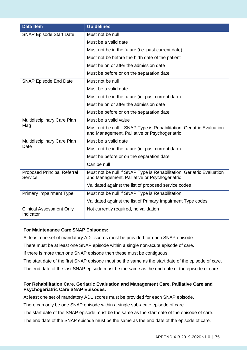| <b>Data Item</b>                              | <b>Guidelines</b>                                                                                                      |
|-----------------------------------------------|------------------------------------------------------------------------------------------------------------------------|
| <b>SNAP Episode Start Date</b>                | Must not be null                                                                                                       |
|                                               | Must be a valid date                                                                                                   |
|                                               | Must not be in the future (i.e. past current date)                                                                     |
|                                               | Must not be before the birth date of the patient                                                                       |
|                                               | Must be on or after the admission date                                                                                 |
|                                               | Must be before or on the separation date                                                                               |
| <b>SNAP Episode End Date</b>                  | Must not be null                                                                                                       |
|                                               | Must be a valid date                                                                                                   |
|                                               | Must not be in the future (ie. past current date)                                                                      |
|                                               | Must be on or after the admission date                                                                                 |
|                                               | Must be before or on the separation date                                                                               |
| Multidisciplinary Care Plan                   | Must be a valid value                                                                                                  |
| Flag                                          | Must not be null if SNAP Type is Rehabilitation, Geriatric Evaluation<br>and Management, Palliative or Psychogeriatric |
| Multidisciplinary Care Plan                   | Must be a valid date                                                                                                   |
| Date                                          | Must not be in the future (ie. past current date)                                                                      |
|                                               | Must be before or on the separation date                                                                               |
|                                               | Can be null                                                                                                            |
| <b>Proposed Principal Referral</b><br>Service | Must not be null if SNAP Type is Rehabilitation, Geriatric Evaluation<br>and Management, Palliative or Psychogeriatric |
|                                               | Validated against the list of proposed service codes                                                                   |
| <b>Primary Impairment Type</b>                | Must not be null if SNAP Type is Rehabilitation                                                                        |
|                                               | Validated against the list of Primary Impairment Type codes                                                            |
| <b>Clinical Assessment Only</b><br>Indicator  | Not currently required, no validation                                                                                  |

#### **For Maintenance Care SNAP Episodes:**

At least one set of mandatory ADL scores must be provided for each SNAP episode.

There must be at least one SNAP episode within a single non-acute episode of care.

If there is more than one SNAP episode then these must be contiguous.

The start date of the first SNAP episode must be the same as the start date of the episode of care.

The end date of the last SNAP episode must be the same as the end date of the episode of care.

#### **For Rehabilitation Care, Geriatric Evaluation and Management Care, Palliative Care and Psychogeriatric Care SNAP Episodes:**

At least one set of mandatory ADL scores must be provided for each SNAP episode.

There can only be one SNAP episode within a single sub-acute episode of care.

The start date of the SNAP episode must be the same as the start date of the episode of care.

The end date of the SNAP episode must be the same as the end date of the episode of care.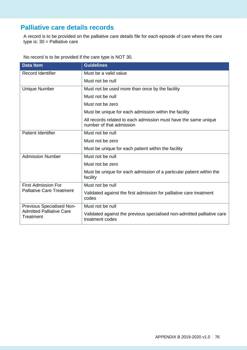# **Palliative care details records**

A record is to be provided on the palliative care details file for each episode of care where the care type is:  $30 =$  Palliative care

|  | No record is to be provided if the care type is NOT 30. |  |
|--|---------------------------------------------------------|--|
|--|---------------------------------------------------------|--|

| <b>Data Item</b>                             | <b>Guidelines</b>                                                                           |
|----------------------------------------------|---------------------------------------------------------------------------------------------|
| <b>Record Identifier</b>                     | Must be a valid value                                                                       |
|                                              | Must not be null                                                                            |
| <b>Unique Number</b>                         | Must not be used more than once by the facility                                             |
|                                              | Must not be null                                                                            |
|                                              | Must not be zero                                                                            |
|                                              | Must be unique for each admission within the facility                                       |
|                                              | All records related to each admission must have the same unique<br>number of that admission |
| <b>Patient Identifier</b>                    | Must not be null                                                                            |
|                                              | Must not be zero                                                                            |
|                                              | Must be unique for each patient within the facility                                         |
| <b>Admission Number</b>                      | Must not be null                                                                            |
|                                              | Must not be zero                                                                            |
|                                              | Must be unique for each admission of a particular patient within the<br>facility            |
| <b>First Admission For</b>                   | Must not be null                                                                            |
| <b>Palliative Care Treatment</b>             | Validated against the first admission for palliative care treatment<br>codes                |
| Previous Specialised Non-                    | Must not be null                                                                            |
| <b>Admitted Palliative Care</b><br>Treatment | Validated against the previous specialised non-admitted palliative care<br>treatment codes  |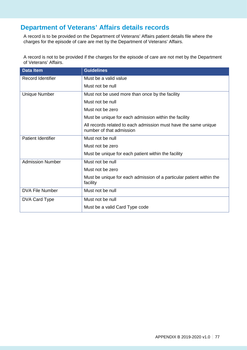# **Department of Veterans' Affairs details records**

A record is to be provided on the Department of Veterans' Affairs patient details file where the charges for the episode of care are met by the Department of Veterans' Affairs.

A record is not to be provided if the charges for the episode of care are not met by the Department of Veterans' Affairs.

| <b>Data Item</b>          | <b>Guidelines</b>                                                                           |
|---------------------------|---------------------------------------------------------------------------------------------|
| <b>Record Identifier</b>  | Must be a valid value                                                                       |
|                           | Must not be null                                                                            |
| <b>Unique Number</b>      | Must not be used more than once by the facility                                             |
|                           | Must not be null                                                                            |
|                           | Must not be zero                                                                            |
|                           | Must be unique for each admission within the facility                                       |
|                           | All records related to each admission must have the same unique<br>number of that admission |
| <b>Patient Identifier</b> | Must not be null                                                                            |
|                           | Must not be zero                                                                            |
|                           | Must be unique for each patient within the facility                                         |
| <b>Admission Number</b>   | Must not be null                                                                            |
|                           | Must not be zero                                                                            |
|                           | Must be unique for each admission of a particular patient within the<br>facility            |
| <b>DVA File Number</b>    | Must not be null                                                                            |
| DVA Card Type             | Must not be null                                                                            |
|                           | Must be a valid Card Type code                                                              |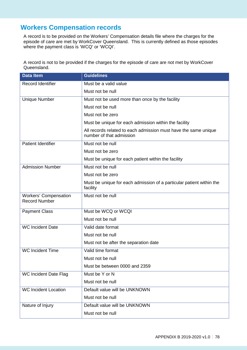# **Workers Compensation records**

A record is to be provided on the Workers' Compensation details file where the charges for the episode of care are met by WorkCover Queensland. This is currently defined as those episodes where the payment class is 'WCQ' or 'WCQI'.

A record is not to be provided if the charges for the episode of care are not met by WorkCover Queensland.

| <b>Data Item</b>                                     | <b>Guidelines</b>                                                                           |  |  |
|------------------------------------------------------|---------------------------------------------------------------------------------------------|--|--|
| <b>Record Identifier</b>                             | Must be a valid value                                                                       |  |  |
|                                                      | Must not be null                                                                            |  |  |
| <b>Unique Number</b>                                 | Must not be used more than once by the facility                                             |  |  |
|                                                      | Must not be null                                                                            |  |  |
|                                                      | Must not be zero                                                                            |  |  |
|                                                      | Must be unique for each admission within the facility                                       |  |  |
|                                                      | All records related to each admission must have the same unique<br>number of that admission |  |  |
| <b>Patient Identifier</b>                            | Must not be null                                                                            |  |  |
|                                                      | Must not be zero                                                                            |  |  |
|                                                      | Must be unique for each patient within the facility                                         |  |  |
| <b>Admission Number</b>                              | Must not be null                                                                            |  |  |
|                                                      | Must not be zero                                                                            |  |  |
|                                                      | Must be unique for each admission of a particular patient within the<br>facility            |  |  |
| <b>Workers' Compensation</b><br><b>Record Number</b> | Must not be null                                                                            |  |  |
| <b>Payment Class</b>                                 | Must be WCQ or WCQI                                                                         |  |  |
|                                                      | Must not be null                                                                            |  |  |
| <b>WC Incident Date</b>                              | Valid date format                                                                           |  |  |
|                                                      | Must not be null                                                                            |  |  |
|                                                      | Must not be after the separation date                                                       |  |  |
| <b>WC Incident Time</b>                              | Valid time format                                                                           |  |  |
|                                                      | Must not be null                                                                            |  |  |
|                                                      | Must be between 0000 and 2359                                                               |  |  |
| <b>WC Incident Date Flag</b>                         | Must be Y or N                                                                              |  |  |
|                                                      | Must not be null                                                                            |  |  |
| <b>WC Incident Location</b>                          | Default value will be UNKNOWN                                                               |  |  |
|                                                      | Must not be null                                                                            |  |  |
| Nature of Injury                                     | Default value will be UNKNOWN                                                               |  |  |
|                                                      | Must not be null                                                                            |  |  |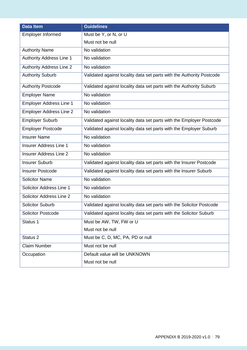| <b>Data Item</b>                | <b>Guidelines</b>                                                     |
|---------------------------------|-----------------------------------------------------------------------|
| <b>Employer Informed</b>        | Must be Y, or N, or U                                                 |
|                                 | Must not be null                                                      |
| <b>Authority Name</b>           | No validation                                                         |
| <b>Authority Address Line 1</b> | No validation                                                         |
| <b>Authority Address Line 2</b> | No validation                                                         |
| <b>Authority Suburb</b>         | Validated against locality data set parts with the Authority Postcode |
| <b>Authority Postcode</b>       | Validated against locality data set parts with the Authority Suburb   |
| <b>Employer Name</b>            | No validation                                                         |
| <b>Employer Address Line 1</b>  | No validation                                                         |
| <b>Employer Address Line 2</b>  | No validation                                                         |
| <b>Employer Suburb</b>          | Validated against locality data set parts with the Employer Postcode  |
| <b>Employer Postcode</b>        | Validated against locality data set parts with the Employer Suburb    |
| <b>Insurer Name</b>             | No validation                                                         |
| <b>Insurer Address Line 1</b>   | No validation                                                         |
| <b>Insurer Address Line 2</b>   | No validation                                                         |
| <b>Insurer Suburb</b>           | Validated against locality data set parts with the Insurer Postcode   |
| <b>Insurer Postcode</b>         | Validated against locality data set parts with the Insurer Suburb     |
| <b>Solicitor Name</b>           | No validation                                                         |
| Solicitor Address Line 1        | No validation                                                         |
| <b>Solicitor Address Line 2</b> | No validation                                                         |
| <b>Solicitor Suburb</b>         | Validated against locality data set parts with the Solicitor Postcode |
| <b>Solicitor Postcode</b>       | Validated against locality data set parts with the Solicitor Suburb   |
| Status 1                        | Must be AW, TW, FW or U                                               |
|                                 | Must not be null                                                      |
| Status <sub>2</sub>             | Must be C, D, MC, PA, PD or null                                      |
| <b>Claim Number</b>             | Must not be null                                                      |
| Occupation                      | Default value will be UNKNOWN                                         |
|                                 | Must not be null                                                      |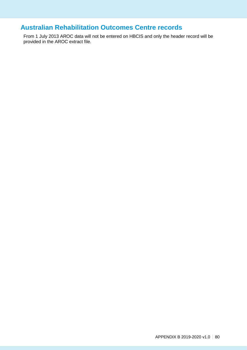# **Australian Rehabilitation Outcomes Centre records**

From 1 July 2013 AROC data will not be entered on HBCIS and only the header record will be provided in the AROC extract file.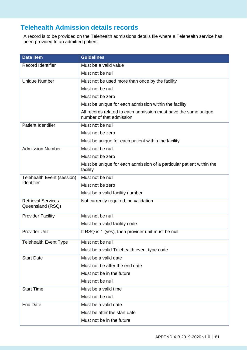# **Telehealth Admission details records**

A record is to be provided on the Telehealth admissions details file where a Telehealth service has been provided to an admitted patient.

| <b>Data Item</b>                              | <b>Guidelines</b>                                                                           |
|-----------------------------------------------|---------------------------------------------------------------------------------------------|
| <b>Record Identifier</b>                      | Must be a valid value                                                                       |
|                                               | Must not be null                                                                            |
| <b>Unique Number</b>                          | Must not be used more than once by the facility                                             |
|                                               | Must not be null                                                                            |
|                                               | Must not be zero                                                                            |
|                                               | Must be unique for each admission within the facility                                       |
|                                               | All records related to each admission must have the same unique<br>number of that admission |
| <b>Patient Identifier</b>                     | Must not be null                                                                            |
|                                               | Must not be zero                                                                            |
|                                               | Must be unique for each patient within the facility                                         |
| <b>Admission Number</b>                       | Must not be null                                                                            |
|                                               | Must not be zero                                                                            |
|                                               | Must be unique for each admission of a particular patient within the<br>facility            |
| Telehealth Event (session)                    | Must not be null                                                                            |
| <b>Identifier</b>                             | Must not be zero                                                                            |
|                                               | Must be a valid facility number                                                             |
| <b>Retrieval Services</b><br>Queensland (RSQ) | Not currently required, no validation                                                       |
| <b>Provider Facility</b>                      | Must not be null                                                                            |
|                                               | Must be a valid facility code                                                               |
| <b>Provider Unit</b>                          | If RSQ is 1 (yes), then provider unit must be null                                          |
| <b>Telehealth Event Type</b>                  | Must not be null                                                                            |
|                                               | Must be a valid Telehealth event type code                                                  |
| <b>Start Date</b>                             | Must be a valid date                                                                        |
|                                               | Must not be after the end date                                                              |
|                                               | Must not be in the future                                                                   |
|                                               | Must not be null                                                                            |
| <b>Start Time</b>                             | Must be a valid time                                                                        |
|                                               | Must not be null                                                                            |
| <b>End Date</b>                               | Must be a valid date                                                                        |
|                                               | Must be after the start date                                                                |
|                                               | Must not be in the future                                                                   |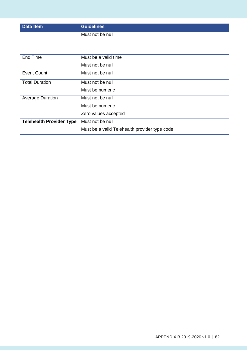| <b>Data Item</b>                | <b>Guidelines</b>                             |
|---------------------------------|-----------------------------------------------|
|                                 | Must not be null                              |
|                                 |                                               |
| End Time                        | Must be a valid time                          |
|                                 | Must not be null                              |
| <b>Event Count</b>              | Must not be null                              |
| <b>Total Duration</b>           | Must not be null                              |
|                                 | Must be numeric                               |
| <b>Average Duration</b>         | Must not be null                              |
|                                 | Must be numeric                               |
|                                 | Zero values accepted                          |
| <b>Telehealth Provider Type</b> | Must not be null                              |
|                                 | Must be a valid Telehealth provider type code |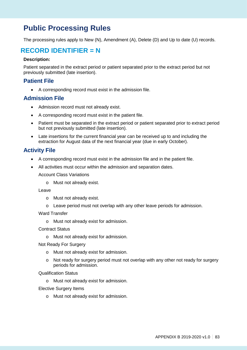# **Public Processing Rules**

The processing rules apply to New (N), Amendment (A), Delete (D) and Up to date (U) records.

## **RECORD IDENTIFIER = N**

#### **Description:**

Patient separated in the extract period or patient separated prior to the extract period but not previously submitted (late insertion).

## **Patient File**

• A corresponding record must exist in the admission file.

## **Admission File**

- Admission record must not already exist.
- A corresponding record must exist in the patient file.
- Patient must be separated in the extract period or patient separated prior to extract period but not previously submitted (late insertion).
- Late insertions for the current financial year can be received up to and including the extraction for August data of the next financial year (due in early October).

## **Activity File**

- A corresponding record must exist in the admission file and in the patient file.
- All activities must occur within the admission and separation dates.

Account Class Variations

o Must not already exist.

Leave

- o Must not already exist.
- o Leave period must not overlap with any other leave periods for admission.

Ward Transfer

o Must not already exist for admission.

Contract Status

- o Must not already exist for admission.
- Not Ready For Surgery
	- o Must not already exist for admission.
	- $\circ$  Not ready for surgery period must not overlap with any other not ready for surgery periods for admission.
- Qualification Status
	- o Must not already exist for admission.
- Elective Surgery Items
	- o Must not already exist for admission.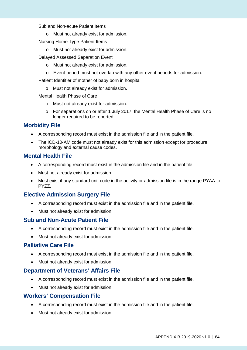#### Sub and Non-acute Patient Items

- o Must not already exist for admission.
- Nursing Home Type Patient Items
	- o Must not already exist for admission.
- Delayed Assessed Separation Event
	- o Must not already exist for admission.
	- o Event period must not overlap with any other event periods for admission.

Patient Identifier of mother of baby born in hospital

o Must not already exist for admission.

Mental Health Phase of Care

- o Must not already exist for admission.
- o For separations on or after 1 July 2017, the Mental Health Phase of Care is no longer required to be reported.

## **Morbidity File**

- A corresponding record must exist in the admission file and in the patient file.
- The ICD-10-AM code must not already exist for this admission except for procedure, morphology and external cause codes.

#### **Mental Health File**

- A corresponding record must exist in the admission file and in the patient file.
- Must not already exist for admission.
- Must exist if any standard unit code in the activity or admission file is in the range PYAA to PYZZ.

## **Elective Admission Surgery File**

- A corresponding record must exist in the admission file and in the patient file.
- Must not already exist for admission.

#### **Sub and Non-Acute Patient File**

- A corresponding record must exist in the admission file and in the patient file.
- Must not already exist for admission.

#### **Palliative Care File**

- A corresponding record must exist in the admission file and in the patient file.
- Must not already exist for admission.

#### **Department of Veterans' Affairs File**

- A corresponding record must exist in the admission file and in the patient file.
- Must not already exist for admission.

## **Workers' Compensation File**

- A corresponding record must exist in the admission file and in the patient file.
- Must not already exist for admission.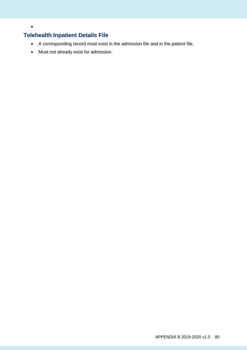## **Telehealth Inpatient Details File**

•

- A corresponding record must exist in the admission file and in the patient file.
- Must not already exist for admission.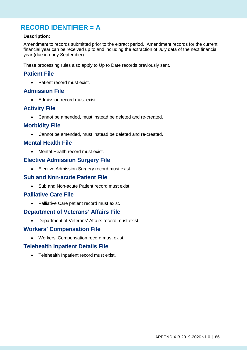# **RECORD IDENTIFIER = A**

#### **Description:**

Amendment to records submitted prior to the extract period. Amendment records for the current financial year can be received up to and including the extraction of July data of the next financial year (due in early September).

These processing rules also apply to Up to Date records previously sent.

#### **Patient File**

• Patient record must exist.

## **Admission File**

• Admission record must exist

#### **Activity File**

• Cannot be amended, must instead be deleted and re-created.

#### **Morbidity File**

• Cannot be amended, must instead be deleted and re-created.

#### **Mental Health File**

• Mental Health record must exist.

#### **Elective Admission Surgery File**

• Elective Admission Surgery record must exist.

#### **Sub and Non-acute Patient File**

• Sub and Non-acute Patient record must exist.

## **Palliative Care File**

• Palliative Care patient record must exist.

#### **Department of Veterans' Affairs File**

• Department of Veterans' Affairs record must exist.

#### **Workers' Compensation File**

• Workers' Compensation record must exist.

#### **Telehealth Inpatient Details File**

• Telehealth Inpatient record must exist.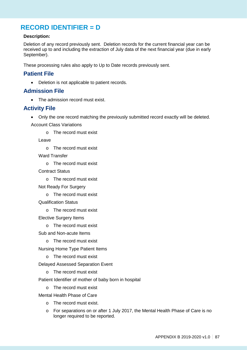# **RECORD IDENTIFIER = D**

#### **Description:**

Deletion of any record previously sent. Deletion records for the current financial year can be received up to and including the extraction of July data of the next financial year (due in early September).

These processing rules also apply to Up to Date records previously sent.

#### **Patient File**

• Deletion is not applicable to patient records.

#### **Admission File**

• The admission record must exist.

#### **Activity File**

• Only the one record matching the previously submitted record exactly will be deleted.

Account Class Variations

o The record must exist

Leave

o The record must exist

Ward Transfer

o The record must exist

Contract Status

o The record must exist

Not Ready For Surgery

- o The record must exist
- Qualification Status
	- o The record must exist

Elective Surgery Items

o The record must exist

Sub and Non-acute Items

o The record must exist

Nursing Home Type Patient Items

o The record must exist

Delayed Assessed Separation Event

o The record must exist

Patient Identifier of mother of baby born in hospital

o The record must exist

Mental Health Phase of Care

- o The record must exist.
- o For separations on or after 1 July 2017, the Mental Health Phase of Care is no longer required to be reported.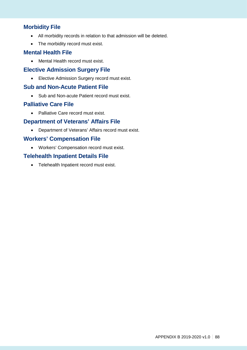## **Morbidity File**

- All morbidity records in relation to that admission will be deleted.
- The morbidity record must exist.

### **Mental Health File**

• Mental Health record must exist.

## **Elective Admission Surgery File**

• Elective Admission Surgery record must exist.

#### **Sub and Non-Acute Patient File**

• Sub and Non-acute Patient record must exist.

## **Palliative Care File**

• Palliative Care record must exist.

## **Department of Veterans' Affairs File**

• Department of Veterans' Affairs record must exist.

## **Workers' Compensation File**

• Workers' Compensation record must exist.

## **Telehealth Inpatient Details File**

• Telehealth Inpatient record must exist.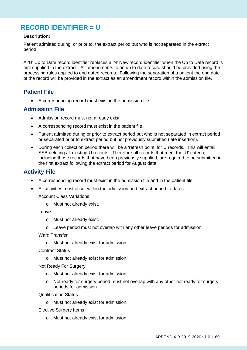# **RECORD IDENTIFIER = U**

#### **Description:**

Patient admitted during, or prior to, the extract period but who is not separated in the extract period.

A 'U' Up to Date record identifier replaces a 'N' New record identifier when the Up to Date record is first supplied in the extract. All amendments to an up to date record should be provided using the processing rules applied to end dated records. Following the separation of a patient the end date of the record will be provided in the extract as an amendment record within the admission file.

## **Patient File**

• A corresponding record must exist in the admission file.

#### **Admission File**

- Admission record must not already exist.
- A corresponding record must exist in the patient file.
- Patient admitted during or prior to extract period but who is not separated in extract period or separated prior to extract period but not previously submitted (late insertion).
- During each collection period there will be a 'refresh point' for U records. This will entail SSB deleting all existing U records. Therefore all records that meet the 'U' criteria, including those records that have been previously supplied, are required to be submitted in the first extract following the extract period for August data.

## **Activity File**

- A corresponding record must exist in the admission file and in the patient file.
- All activities must occur within the admission and extract period to dates.

Account Class Variations

o Must not already exist.

#### Leave

- o Must not already exist.
- o Leave period must not overlap with any other leave periods for admission.

Ward Transfer

- o Must not already exist for admission.
- Contract Status
	- o Must not already exist for admission.
- Not Ready For Surgery
	- o Must not already exist for admission.
	- o Not ready for surgery period must not overlap with any other not ready for surgery periods for admission.
- Qualification Status
	- o Must not already exist for admission.
- Elective Surgery Items
	- o Must not already exist for admission.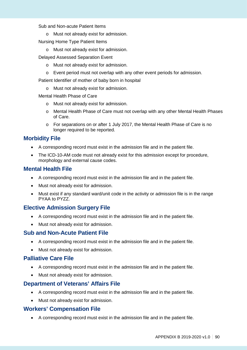#### Sub and Non-acute Patient Items

- o Must not already exist for admission.
- Nursing Home Type Patient Items
	- o Must not already exist for admission.
- Delayed Assessed Separation Event
	- o Must not already exist for admission.
	- o Event period must not overlap with any other event periods for admission.

Patient Identifier of mother of baby born in hospital

o Must not already exist for admission.

Mental Health Phase of Care

- o Must not already exist for admission.
- o Mental Health Phase of Care must not overlap with any other Mental Health Phases of Care.
- o For separations on or after 1 July 2017, the Mental Health Phase of Care is no longer required to be reported.

## **Morbidity File**

- A corresponding record must exist in the admission file and in the patient file.
- The ICD-10-AM code must not already exist for this admission except for procedure, morphology and external cause codes.

## **Mental Health File**

- A corresponding record must exist in the admission file and in the patient file.
- Must not already exist for admission.
- Must exist if any standard ward/unit code in the activity or admission file is in the range PYAA to PYZZ.

## **Elective Admission Surgery File**

- A corresponding record must exist in the admission file and in the patient file.
- Must not already exist for admission.

#### **Sub and Non-Acute Patient File**

- A corresponding record must exist in the admission file and in the patient file.
- Must not already exist for admission.

#### **Palliative Care File**

- A corresponding record must exist in the admission file and in the patient file.
- Must not already exist for admission.

#### **Department of Veterans' Affairs File**

- A corresponding record must exist in the admission file and in the patient file.
- Must not already exist for admission.

## **Workers' Compensation File**

• A corresponding record must exist in the admission file and in the patient file.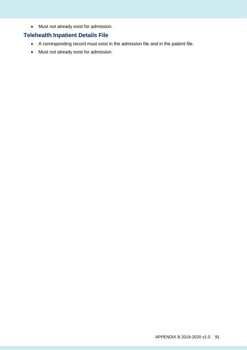• Must not already exist for admission.

## **Telehealth Inpatient Details File**

- A corresponding record must exist in the admission file and in the patient file.
- Must not already exist for admission.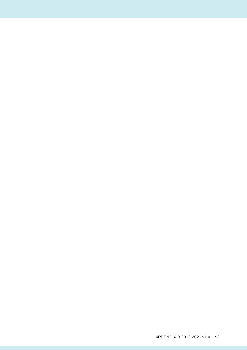#### APPENDIX B 2019-2020 v1.0 | 92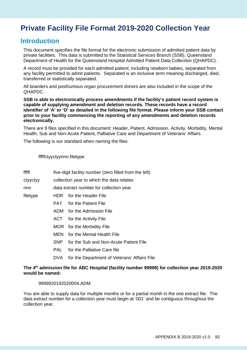# **Private Facility File Format 2019-2020 Collection Year**

## **Introduction**

This document specifies the file format for the electronic submission of admitted patient data by private facilities. This data is submitted to the Statistical Services Branch (SSB), Queensland Department of Health for the Queensland Hospital Admitted Patient Data Collection (QHAPDC).

A record must be provided for each admitted patient, including newborn babies, separated from any facility permitted to admit patients. Separated is an inclusive term meaning discharged, died, transferred or statistically separated.

All boarders and posthumous organ procurement donors are also included in the scope of the QHAPDC.

**SSB is able to electronically process amendments if the facility's patient record system is capable of supplying amendment and deletion records. These records have a record identifier of 'A' or 'D' as detailed in the following file format. Please inform your SSB contact prior to your facility commencing the reporting of any amendments and deletion records electronically.**

There are 9 files specified in this document: Header, Patient, Admission, Activity, Morbidity, Mental Health, Sub and Non-Acute Patient, Palliative Care and Department of Veterans' Affairs.

The following is our standard when naming the files:

#### fffffctyyctyynnn.filetype

- fffff five-digit facility number (zero filled from the left)
- ctyyctyy collection year to which the data relates
- nnn data extract number for collection year
- filetype HDR for the Header File
	-
	- PAT for the Patient File
	- ADM for the Admission File
	- ACT for the Activity File
	- MOR for the Morbidity File
	- MEN for the Mental Health File
	- SNP for the Sub and Non-Acute Patient File
	- PAL for the Palliative Care file
	- DVA for the Department of Veterans' Affairs File

#### **The 4th admission file for ABC Hospital (facility number 99999) for collection year 2019-2020 would be named:**

#### 9999920192020004.ADM

You are able to supply data for multiple months or for a partial month in the one extract file. The data extract number for a collection year must begin at '001' and be contiguous throughout the collection year.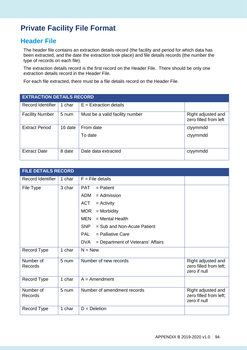# **Private Facility File Format**

## **Header File**

The header file contains an extraction details record (the facility and period for which data has been extracted, and the date the extraction took place) and file details records (the number the type of records on each file).

The extraction details record is the first record on the Header File. There should be only one extraction details record in the Header File.

For each file extracted, there must be a file details record on the Header File.

| <b>EXTRACTION DETAILS RECORD</b> |         |                                 |                                             |
|----------------------------------|---------|---------------------------------|---------------------------------------------|
| Record Identifier                | 1 char  | $E =$ Extraction details        |                                             |
| <b>Facility Number</b>           | 5 num   | Must be a valid facility number | Right adjusted and<br>zero filled from left |
| <b>Extract Period</b>            | 16 date | From date                       | ctyymmdd                                    |
|                                  |         | To date                         | ctyymmdd                                    |
| <b>Extract Date</b>              | 8 date  | Date data extracted             | ctyymmdd                                    |

| <b>FILE DETAILS RECORD</b>  |        |                                                 |                                                              |
|-----------------------------|--------|-------------------------------------------------|--------------------------------------------------------------|
| Record Identifier           | 1 char | $F =$ File details                              |                                                              |
| File Type                   | 3 char | <b>PAT</b><br>$=$ Patient                       |                                                              |
|                             |        | <b>ADM</b><br>$=$ Admission                     |                                                              |
|                             |        | ACT<br>$=$ Activity                             |                                                              |
|                             |        | <b>MOR</b><br>$=$ Morbidity                     |                                                              |
|                             |        | <b>MEN</b><br>$=$ Mental Health                 |                                                              |
|                             |        | <b>SNP</b><br>$=$ Sub and Non-Acute Patient     |                                                              |
|                             |        | <b>PAL</b><br>$=$ Palliative Care               |                                                              |
|                             |        | <b>DVA</b><br>= Department of Veterans' Affairs |                                                              |
| Record Type                 | 1 char | $N = New$                                       |                                                              |
| Number of<br><b>Records</b> | 5 num  | Number of new records                           | Right adjusted and<br>zero filled from left;<br>zero if null |
| Record Type                 | 1 char | $A =$ Amendment                                 |                                                              |
| Number of<br>Records        | 5 num  | Number of amendment records                     | Right adjusted and<br>zero filled from left;<br>zero if null |
| Record Type                 | 1 char | $D = Deletion$                                  |                                                              |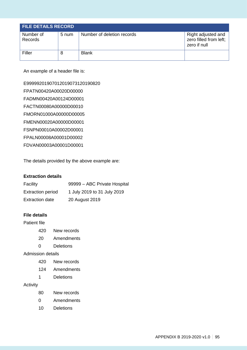| <b>FILE DETAILS RECORD</b> |       |                            |                                                              |  |
|----------------------------|-------|----------------------------|--------------------------------------------------------------|--|
| Number of<br>Records       | 5 num | Number of deletion records | Right adjusted and<br>zero filled from left;<br>zero if null |  |
| Filler                     | 8     | <b>Blank</b>               |                                                              |  |

An example of a header file is:

E99999201907012019073120190820 FPATN00420A00020D00000 FADMN00420A00124D00001 FACTN00080A00000D00010 FMORN01000A00000D00005 FMENN00020A00000D00001 FSNPN00010A00002D00001 FPALN00008A00001D00002 FDVAN00003A00001D00001

The details provided by the above example are:

#### **Extraction details**

| Facility                 | 99999 - ABC Private Hospital |
|--------------------------|------------------------------|
| <b>Extraction period</b> | 1 July 2019 to 31 July 2019  |
| <b>Extraction date</b>   | 20 August 2019               |

#### **File details**

Patient file

- 420 New records
- 20 Amendments
- 0 Deletions

#### Admission details

- 420 New records
- 124 Amendments
- 1 Deletions

#### Activity

- 80 New records
- 0 Amendments
- 10 Deletions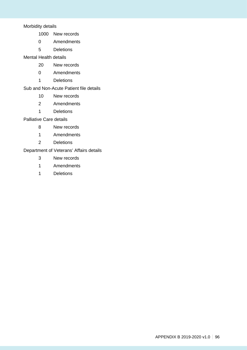#### Morbidity details

- 1000 New records
- 0 Amendments
- 5 Deletions

#### Mental Health details

- 20 New records
- 0 Amendments
- 1 Deletions

#### Sub and Non-Acute Patient file details

- 10 New records
- 2 Amendments
- 1 Deletions

#### Palliative Care details

- 8 New records
- 1 Amendments
- 2 Deletions

## Department of Veterans' Affairs details

- 3 New records
- 1 Amendments
- 1 Deletions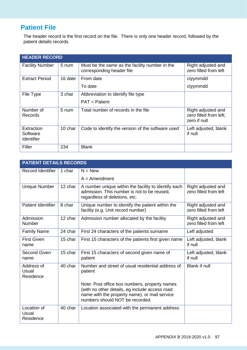# **Patient File**

The header record is the first record on the file. There is only one header record, followed by the patient details records.

| <b>HEADER RECORD</b>                        |                 |                                                                             |                                                              |  |
|---------------------------------------------|-----------------|-----------------------------------------------------------------------------|--------------------------------------------------------------|--|
| <b>Facility Number</b>                      | $5 \text{ num}$ | Must be the same as the facility number in the<br>corresponding header file | Right adjusted and<br>zero filled from left                  |  |
| <b>Extract Period</b>                       | 16 date         | From date                                                                   | ctyymmdd                                                     |  |
|                                             |                 | To date                                                                     | ctyymmdd                                                     |  |
| File Type                                   | 3 char          | Abbreviation to identify file type                                          |                                                              |  |
|                                             |                 | $PAT =$ Patient                                                             |                                                              |  |
| Number of<br>Records                        | 5 num           | Total number of records in the file                                         | Right adjusted and<br>zero filled from left;<br>zero if null |  |
| Extraction<br>Software<br><b>Identifier</b> | 10 char         | Code to identify the version of the software used                           | Left adjusted, blank<br>if null                              |  |
| Filler                                      | 234             | <b>Blank</b>                                                                |                                                              |  |

| <b>PATIENT DETAILS RECORDS</b>    |         |                                                                                                                                                                                     |                                             |
|-----------------------------------|---------|-------------------------------------------------------------------------------------------------------------------------------------------------------------------------------------|---------------------------------------------|
| <b>Record Identifier</b>          | 1 char  | $N = New$                                                                                                                                                                           |                                             |
|                                   |         | $A =$ Amendment                                                                                                                                                                     |                                             |
| Unique Number                     | 12 char | A number unique within the facility to identify each<br>admission. This number is not to be reused,<br>regardless of deletions, etc.                                                | Right adjusted and<br>zero filled from left |
| <b>Patient Identifier</b>         | 8 char  | Unique number to identify the patient within the<br>facility (e.g. Unit record number)                                                                                              | Right adjusted and<br>zero filled from left |
| Admission<br>Number               | 12 char | Admission number allocated by the facility                                                                                                                                          | Right adjusted and<br>zero filled from left |
| <b>Family Name</b>                | 24 char | First 24 characters of the patients surname                                                                                                                                         | Left adjusted                               |
| <b>First Given</b><br>name        | 15 char | First 15 characters of the patients first given name                                                                                                                                | Left adjusted, blank<br>if null             |
| Second Given<br>name              | 15 char | First 15 characters of second given name of<br>patient                                                                                                                              | Left adjusted, blank<br>if null             |
| Address of<br>Usual<br>Residence  | 40 char | Number and street of usual residential address of<br>patient                                                                                                                        | <b>Blank if null</b>                        |
|                                   |         | Note: Post office box numbers, property names<br>(with no other details, eg include access road<br>name with the property name), or mail service<br>numbers should NOT be recorded. |                                             |
| Location of<br>Usual<br>Residence | 40 char | Location associated with the permanent address                                                                                                                                      |                                             |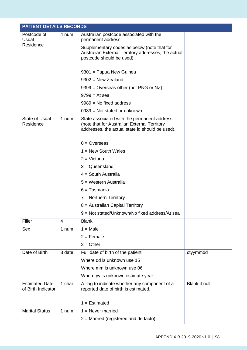| <b>PATIENT DETAILS RECORDS</b>              |                |                                                                                                                                                |                      |
|---------------------------------------------|----------------|------------------------------------------------------------------------------------------------------------------------------------------------|----------------------|
| Postcode of<br>Usual                        | 4 num          | Australian postcode associated with the<br>permanent address.                                                                                  |                      |
| Residence                                   |                | Supplementary codes as below (note that for<br>Australian External Territory addresses, the actual<br>postcode should be used).                |                      |
|                                             |                | 9301 = Papua New Guinea                                                                                                                        |                      |
|                                             |                | $9302$ = New Zealand                                                                                                                           |                      |
|                                             |                | 9399 = Overseas other (not PNG or NZ)                                                                                                          |                      |
|                                             |                | $9799 = At sea$                                                                                                                                |                      |
|                                             |                | $9989$ = No fixed address                                                                                                                      |                      |
|                                             |                | $0989$ = Not stated or unknown                                                                                                                 |                      |
| State of Usual<br>Residence                 | 1 num          | State associated with the permanent address<br>(note that for Australian External Territory<br>addresses, the actual state id should be used). |                      |
|                                             |                | $0 =$ Overseas                                                                                                                                 |                      |
|                                             |                | $1 = New South Wales$                                                                                                                          |                      |
|                                             |                | $2 = Victoria$                                                                                                                                 |                      |
|                                             |                | $3 =$ Queensland                                                                                                                               |                      |
|                                             |                | $4 =$ South Australia                                                                                                                          |                      |
|                                             |                | 5 = Western Australia                                                                                                                          |                      |
|                                             |                | $6 =$ Tasmania                                                                                                                                 |                      |
|                                             |                | $7 =$ Northern Territory                                                                                                                       |                      |
|                                             |                | 8 = Australian Capital Territory                                                                                                               |                      |
|                                             |                | 9 = Not stated/Unknown/No fixed address/At sea                                                                                                 |                      |
| Filler                                      | $\overline{4}$ | <b>Blank</b>                                                                                                                                   |                      |
| <b>Sex</b>                                  | 1 num          | $1 = Male$                                                                                                                                     |                      |
|                                             |                | $2 =$ Female                                                                                                                                   |                      |
|                                             |                | $3 = Other$                                                                                                                                    |                      |
| Date of Birth                               | 8 date         | Full date of birth of the patient                                                                                                              | ctyymmdd             |
|                                             |                | Where dd is unknown use 15                                                                                                                     |                      |
|                                             |                | Where mm is unknown use 06                                                                                                                     |                      |
|                                             |                | Where yy is unknown estimate year                                                                                                              |                      |
| <b>Estimated Date</b><br>of Birth Indicator | 1 char         | A flag to indicate whether any component of a<br>reported date of birth is estimated.                                                          | <b>Blank if null</b> |
|                                             |                | $1 =$ Estimated                                                                                                                                |                      |
| <b>Marital Status</b>                       | 1 num          | $1 =$ Never married                                                                                                                            |                      |
|                                             |                | $2$ = Married (registered and de facto)                                                                                                        |                      |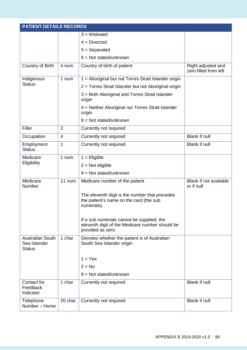| <b>PATIENT DETAILS RECORDS</b>                           |                |                                                                                                                   |                                             |  |
|----------------------------------------------------------|----------------|-------------------------------------------------------------------------------------------------------------------|---------------------------------------------|--|
|                                                          |                | $3 = Widowed$                                                                                                     |                                             |  |
|                                                          |                | $4 = Divorced$                                                                                                    |                                             |  |
|                                                          |                | $5 =$ Separated                                                                                                   |                                             |  |
|                                                          |                | $9 = Not stated/unknown$                                                                                          |                                             |  |
| Country of Birth                                         | 4 num          | Country of birth of patient                                                                                       | Right adjusted and<br>zero filled from left |  |
| Indigenous                                               | 1 num          | 1 = Aboriginal but not Torres Strait Islander origin                                                              |                                             |  |
| <b>Status</b>                                            |                | 2 = Torres Strait Islander but not Aboriginal origin                                                              |                                             |  |
|                                                          |                | 3 = Both Aboriginal and Torres Strait Islander<br>origin                                                          |                                             |  |
|                                                          |                | 4 = Neither Aboriginal nor Torres Strait Islander<br>origin                                                       |                                             |  |
|                                                          |                | $9 = Not stated/unknown$                                                                                          |                                             |  |
| Filler                                                   | $\overline{2}$ | Currently not required                                                                                            |                                             |  |
| Occupation                                               | 4              | Currently not required                                                                                            | <b>Blank if null</b>                        |  |
| Employment<br><b>Status</b>                              | 1              | Currently not required                                                                                            | <b>Blank if null</b>                        |  |
| Medicare                                                 | 1 num          | $1 =$ Eligible                                                                                                    |                                             |  |
| Eligibility                                              |                | $2 = Not$ eligible                                                                                                |                                             |  |
|                                                          |                | $9 = Not stated/unknown$                                                                                          |                                             |  |
| Medicare<br>Number                                       | 11 num         | Medicare number of the patient                                                                                    | Blank if not available<br>or if null        |  |
|                                                          |                | The eleventh digit is the number that precedes<br>the patient's name on the card (the sub<br>numerate).           |                                             |  |
|                                                          |                | If a sub numerate cannot be supplied, the<br>eleventh digit of the Medicare number should be<br>provided as zero. |                                             |  |
| <b>Australian South</b><br>Sea Islander<br><b>Status</b> | 1 char         | Denotes whether the patient is of Australian<br>South Sea Islander origin                                         |                                             |  |
|                                                          |                | $1 = Yes$                                                                                                         |                                             |  |
|                                                          |                | $2 = No$                                                                                                          |                                             |  |
|                                                          |                | $9 = Not stated/unknown$                                                                                          |                                             |  |
| Contact for<br>Feedback<br>Indicator                     | 1 char         | Currently not required                                                                                            | Blank if null                               |  |
| Telephone<br>Number - Home                               | 20 char        | Currently not required                                                                                            | <b>Blank if null</b>                        |  |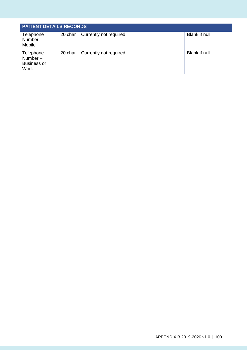| <b>PATIENT DETAILS RECORDS</b>                        |         |                        |                      |  |
|-------------------------------------------------------|---------|------------------------|----------------------|--|
| Telephone<br>Number $-$<br>Mobile                     | 20 char | Currently not required | <b>Blank if null</b> |  |
| Telephone<br>Number $-$<br><b>Business or</b><br>Work | 20 char | Currently not required | <b>Blank if null</b> |  |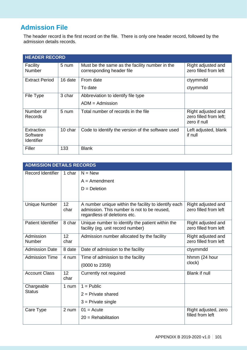# **Admission File**

The header record is the first record on the file. There is only one header record, followed by the admission details records.

|                                             | <b>HEADER RECORD</b> |                                                                             |                                                              |  |  |
|---------------------------------------------|----------------------|-----------------------------------------------------------------------------|--------------------------------------------------------------|--|--|
| Facility<br><b>Number</b>                   | 5 num                | Must be the same as the facility number in the<br>corresponding header file | Right adjusted and<br>zero filled from left                  |  |  |
| <b>Extract Period</b>                       | 16 date              | From date                                                                   | ctyymmdd                                                     |  |  |
|                                             |                      | To date                                                                     | ctyymmdd                                                     |  |  |
| File Type                                   | 3 char               | Abbreviation to identify file type<br>$ADM =$ Admission                     |                                                              |  |  |
| Number of<br>Records                        | 5 num                | Total number of records in the file                                         | Right adjusted and<br>zero filled from left;<br>zero if null |  |  |
| Extraction<br>Software<br><b>Identifier</b> | 10 char              | Code to identify the version of the software used                           | Left adjusted, blank<br>if null                              |  |  |
| Filler                                      | 133                  | <b>Blank</b>                                                                |                                                              |  |  |

| <b>ADMISSION DETAILS RECORDS</b> |                         |                                                                                                                                     |                                             |
|----------------------------------|-------------------------|-------------------------------------------------------------------------------------------------------------------------------------|---------------------------------------------|
| <b>Record Identifier</b>         | 1 char                  | $N = New$<br>$A =$ Amendment<br>$D = Deletion$                                                                                      |                                             |
| Unique Number                    | 12 <sup>2</sup><br>char | A number unique within the facility to identify each<br>admission. This number is not to be reused,<br>regardless of deletions etc. | Right adjusted and<br>zero filled from left |
| Patient Identifier               | 8 char                  | Unique number to identify the patient within the<br>facility (eg. unit record number)                                               | Right adjusted and<br>zero filled from left |
| Admission<br><b>Number</b>       | 12 <sup>2</sup><br>char | Admission number allocated by the facility                                                                                          | Right adjusted and<br>zero filled from left |
| <b>Admission Date</b>            | 8 date                  | Date of admission to the facility                                                                                                   | ctyymmdd                                    |
| <b>Admission Time</b>            | 4 num                   | Time of admission to the facility<br>(0000 to 2359)                                                                                 | hhmm (24 hour<br>clock)                     |
| <b>Account Class</b>             | 12<br>char              | Currently not required                                                                                                              | <b>Blank if null</b>                        |
| Chargeable<br><b>Status</b>      | 1 num                   | $1 =$ Public<br>$2$ = Private shared<br>$3$ = Private single                                                                        |                                             |
| Care Type                        | 2 num                   | $01 = Acute$<br>$20 =$ Rehabilitation                                                                                               | Right adjusted, zero<br>filled from left    |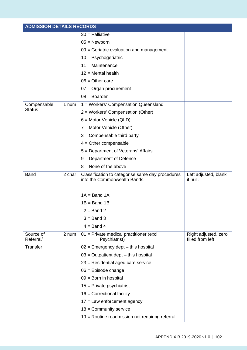| <b>ADMISSION DETAILS RECORDS</b> |        |                                                                                  |                                          |
|----------------------------------|--------|----------------------------------------------------------------------------------|------------------------------------------|
|                                  |        | $30$ = Palliative                                                                |                                          |
|                                  |        | $05 =$ Newborn                                                                   |                                          |
|                                  |        | 09 = Geriatric evaluation and management                                         |                                          |
|                                  |        | $10 =$ Psychogeriatric                                                           |                                          |
|                                  |        | $11 =$ Maintenance                                                               |                                          |
|                                  |        | $12$ = Mental health                                                             |                                          |
|                                  |        | $06 =$ Other care                                                                |                                          |
|                                  |        | $07 =$ Organ procurement                                                         |                                          |
|                                  |        | $08 =$ Boarder                                                                   |                                          |
| Compensable                      | 1 num  | 1 = Workers' Compensation Queensland                                             |                                          |
| <b>Status</b>                    |        | 2 = Workers' Compensation (Other)                                                |                                          |
|                                  |        | $6 =$ Motor Vehicle (QLD)                                                        |                                          |
|                                  |        | $7 =$ Motor Vehicle (Other)                                                      |                                          |
|                                  |        | $3 =$ Compensable third party                                                    |                                          |
|                                  |        | $4 =$ Other compensable                                                          |                                          |
|                                  |        | 5 = Department of Veterans' Affairs                                              |                                          |
|                                  |        | $9 = Department of Defense$                                                      |                                          |
|                                  |        | $8 =$ None of the above                                                          |                                          |
| <b>Band</b>                      | 2 char | Classification to categorise same day procedures<br>into the Commonwealth Bands. | Left adjusted, blank<br>if null.         |
|                                  |        | $1A = Band 1A$                                                                   |                                          |
|                                  |        | $1B = Band 1B$                                                                   |                                          |
|                                  |        | $2 =$ Band 2                                                                     |                                          |
|                                  |        | $3 =$ Band 3                                                                     |                                          |
|                                  |        | $4 =$ Band 4                                                                     |                                          |
| Source of<br>Referral/           | 2 num  | 01 = Private medical practitioner (excl.<br>Psychiatrist)                        | Right adjusted, zero<br>filled from left |
| Transfer                         |        | $02$ = Emergency dept – this hospital                                            |                                          |
|                                  |        | $03$ = Outpatient dept $-$ this hospital                                         |                                          |
|                                  |        | 23 = Residential aged care service                                               |                                          |
|                                  |        | $06$ = Episode change                                                            |                                          |
|                                  |        | $09 =$ Born in hospital                                                          |                                          |
|                                  |        | $15$ = Private psychiatrist                                                      |                                          |
|                                  |        | $16$ = Correctional facility                                                     |                                          |
|                                  |        | $17$ = Law enforcement agency                                                    |                                          |
|                                  |        | $18 =$ Community service                                                         |                                          |
|                                  |        | 19 = Routine readmission not requiring referral                                  |                                          |
|                                  |        |                                                                                  |                                          |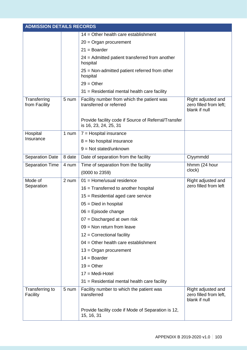| <b>ADMISSION DETAILS RECORDS</b> |        |                                                                               |                                                               |
|----------------------------------|--------|-------------------------------------------------------------------------------|---------------------------------------------------------------|
|                                  |        | $14 =$ Other health care establishment                                        |                                                               |
|                                  |        | $20 =$ Organ procurement                                                      |                                                               |
|                                  |        | $21 = Boarder$                                                                |                                                               |
|                                  |        | 24 = Admitted patient transferred from another<br>hospital                    |                                                               |
|                                  |        | $25$ = Non-admitted patient referred from other<br>hospital                   |                                                               |
|                                  |        | $29 = Other$                                                                  |                                                               |
|                                  |        | 31 = Residential mental health care facility                                  |                                                               |
| Transferring<br>from Facility    | 5 num  | Facility number from which the patient was<br>transferred or referred         | Right adjusted and<br>zero filled from left;<br>blank if null |
|                                  |        | Provide facility code if Source of Referral/Transfer<br>is 16, 23, 24, 25, 31 |                                                               |
| Hospital                         | 1 num  | $7 =$ Hospital insurance                                                      |                                                               |
| Insurance                        |        | $8 = No$ hospital insurance                                                   |                                                               |
|                                  |        | $9 = Not stated/unknown$                                                      |                                                               |
| <b>Separation Date</b>           | 8 date | Date of separation from the facility                                          | Ctyymmdd                                                      |
| <b>Separation Time</b>           | 4 num  | Time of separation from the facility                                          | hhmm (24 hour                                                 |
|                                  |        | (0000 to 2359)                                                                | clock)                                                        |
| Mode of                          | 2 num  | $01$ = Home/usual residence                                                   | Right adjusted and                                            |
| Separation                       |        | $16$ = Transferred to another hospital                                        | zero filled from left                                         |
|                                  |        | $15$ = Residential aged care service                                          |                                                               |
|                                  |        | $05 =$ Died in hospital                                                       |                                                               |
|                                  |        | $06$ = Episode change                                                         |                                                               |
|                                  |        | 07 = Discharged at own risk                                                   |                                                               |
|                                  |        | $09$ = Non return from leave                                                  |                                                               |
|                                  |        | $12$ = Correctional facility                                                  |                                                               |
|                                  |        | $04 =$ Other health care establishment                                        |                                                               |
|                                  |        | $13 =$ Organ procurement                                                      |                                                               |
|                                  |        | $14 = \text{Boarder}$                                                         |                                                               |
|                                  |        | $19 = Other$                                                                  |                                                               |
|                                  |        | $17 = Medi-Hotel$                                                             |                                                               |
|                                  |        | 31 = Residential mental health care facility                                  |                                                               |
| Transferring to<br>Facility      | 5 num  | Facility number to which the patient was<br>transferred                       | Right adjusted and<br>zero filled from left,<br>blank if null |
|                                  |        | Provide facility code if Mode of Separation is 12,<br>15, 16, 31              |                                                               |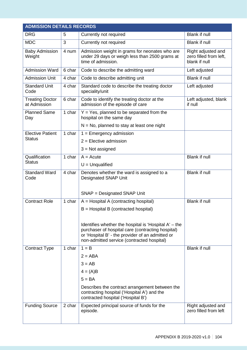| <b>ADMISSION DETAILS RECORDS</b>       |        |                                                                                                                                                                                                                |                                                               |  |
|----------------------------------------|--------|----------------------------------------------------------------------------------------------------------------------------------------------------------------------------------------------------------------|---------------------------------------------------------------|--|
| <b>DRG</b>                             | 5      | Currently not required                                                                                                                                                                                         | Blank if null                                                 |  |
| <b>MDC</b>                             | 3      | Currently not required                                                                                                                                                                                         | <b>Blank if null</b>                                          |  |
| <b>Baby Admission</b><br>Weight        | 4 num  | Admission weight in grams for neonates who are<br>under 29 days or weigh less than 2500 grams at<br>time of admission.                                                                                         | Right adjusted and<br>zero filled from left,<br>blank if null |  |
| <b>Admission Ward</b>                  | 6 char | Code to describe the admitting ward                                                                                                                                                                            | Left adjusted                                                 |  |
| <b>Admission Unit</b>                  | 4 char | Code to describe admitting unit                                                                                                                                                                                | <b>Blank if null</b>                                          |  |
| <b>Standard Unit</b><br>Code           | 4 char | Standard code to describe the treating doctor<br>speciality/unit                                                                                                                                               | Left adjusted                                                 |  |
| <b>Treating Doctor</b><br>at Admission | 6 char | Code to identify the treating doctor at the<br>admission of the episode of care                                                                                                                                | Left adjusted, blank<br>if null                               |  |
| <b>Planned Same</b><br>Day             | 1 char | $Y = Yes$ , planned to be separated from the<br>hospital on the same day                                                                                                                                       |                                                               |  |
|                                        |        | $N = No$ , planned to stay at least one night                                                                                                                                                                  |                                                               |  |
| <b>Elective Patient</b>                | 1 char | $1 =$ Emergency admission                                                                                                                                                                                      |                                                               |  |
| <b>Status</b>                          |        | $2$ = Elective admission                                                                                                                                                                                       |                                                               |  |
|                                        |        | $3 = Not assigned$                                                                                                                                                                                             |                                                               |  |
| Qualification                          | 1 char | $A = Acute$                                                                                                                                                                                                    | <b>Blank if null</b>                                          |  |
| <b>Status</b>                          |        | $U =$ Unqualified                                                                                                                                                                                              |                                                               |  |
| <b>Standard Ward</b><br>Code           | 4 char | Denotes whether the ward is assigned to a<br><b>Designated SNAP Unit</b>                                                                                                                                       | Blank if null                                                 |  |
|                                        |        | SNAP = Designated SNAP Unit                                                                                                                                                                                    |                                                               |  |
| <b>Contract Role</b>                   | 1 char | $A = Hospital A (contracting hospital)$                                                                                                                                                                        | Blank if null                                                 |  |
|                                        |        | $B =$ Hospital B (contracted hospital)                                                                                                                                                                         |                                                               |  |
|                                        |        | Identifies whether the hospital is 'Hospital $A'$ – the<br>purchaser of hospital care (contracting hospital)<br>or 'Hospital B' - the provider of an admitted or<br>non-admitted service (contracted hospital) |                                                               |  |
| <b>Contract Type</b>                   | 1 char | $1 = B$                                                                                                                                                                                                        | Blank if null                                                 |  |
|                                        |        | $2 = ABA$                                                                                                                                                                                                      |                                                               |  |
|                                        |        | $3 = AB$                                                                                                                                                                                                       |                                                               |  |
|                                        |        | $4 = (A)B$                                                                                                                                                                                                     |                                                               |  |
|                                        |        | $5 = BA$                                                                                                                                                                                                       |                                                               |  |
|                                        |        | Describes the contract arrangement between the<br>contracting hospital ('Hospital A') and the<br>contracted hospital ('Hospital B')                                                                            |                                                               |  |
| <b>Funding Source</b>                  | 2 char | Expected principal source of funds for the<br>episode.                                                                                                                                                         | Right adjusted and<br>zero filled from left                   |  |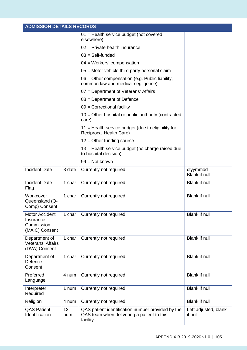| <b>ADMISSION DETAILS RECORDS</b>                            |           |                                                                                                              |                                  |
|-------------------------------------------------------------|-----------|--------------------------------------------------------------------------------------------------------------|----------------------------------|
|                                                             |           | 01 = Health service budget (not covered<br>elsewhere)                                                        |                                  |
|                                                             |           | $02$ = Private health insurance                                                                              |                                  |
|                                                             |           | $03 = Self$ -funded                                                                                          |                                  |
|                                                             |           | $04 = \text{Works}'$ compensation                                                                            |                                  |
|                                                             |           | 05 = Motor vehicle third party personal claim                                                                |                                  |
|                                                             |           | $06$ = Other compensation (e.g. Public liability,<br>common law and medical negligence)                      |                                  |
|                                                             |           | 07 = Department of Veterans' Affairs                                                                         |                                  |
|                                                             |           | $08 = Department of Defense$                                                                                 |                                  |
|                                                             |           | $09$ = Correctional facility                                                                                 |                                  |
|                                                             |           | $10 =$ Other hospital or public authority (contracted<br>care)                                               |                                  |
|                                                             |           | $11$ = Health service budget (due to eligibility for<br>Reciprocal Health Care)                              |                                  |
|                                                             |           | $12$ = Other funding source                                                                                  |                                  |
|                                                             |           | 13 = Health service budget (no charge raised due<br>to hospital decision)                                    |                                  |
|                                                             |           | $99 = Not known$                                                                                             |                                  |
| <b>Incident Date</b>                                        | 8 date    | Currently not required                                                                                       | ctyymmdd<br><b>Blank if null</b> |
| <b>Incident Date</b><br>Flag                                | 1 char    | Currently not required                                                                                       | <b>Blank if null</b>             |
| Workcover<br>Queensland (Q-<br>Comp) Consent                | 1 char    | Currently not required                                                                                       | Blank if null                    |
| Motor Accident<br>Insurance<br>Commission<br>(MAIC) Consent | 1 char    | Currently not required                                                                                       | Blank if null                    |
| Department of<br>Veterans' Affairs<br>(DVA) Consent         | 1 char    | Currently not required                                                                                       | Blank if null                    |
| Department of<br>Defence<br>Consent                         | 1 char    | Currently not required                                                                                       | Blank if null                    |
| Preferred<br>Language                                       | 4 num     | Currently not required                                                                                       | <b>Blank if null</b>             |
| Interpreter<br>Required                                     | 1 num     | Currently not required                                                                                       | Blank if null                    |
| Religion                                                    | 4 num     | Currently not required                                                                                       | <b>Blank if null</b>             |
| <b>QAS Patient</b><br>Identification                        | 12<br>num | QAS patient identification number provided by the<br>QAS team when delivering a patient to this<br>facility. | Left adjusted, blank<br>if null  |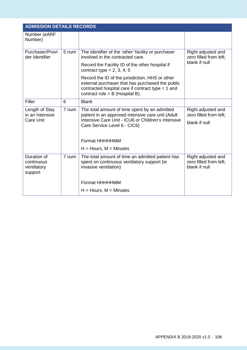| <b>ADMISSION DETAILS RECORDS</b>                      |       |                                                                                                                                                                                                 |                                                               |
|-------------------------------------------------------|-------|-------------------------------------------------------------------------------------------------------------------------------------------------------------------------------------------------|---------------------------------------------------------------|
| Number (eARF<br>Number)                               |       |                                                                                                                                                                                                 |                                                               |
| Purchaser/Provi<br>der Identifier                     | 5 num | The identifier of the 'other' facility or purchaser<br>involved in the contracted care.                                                                                                         | Right adjusted and<br>zero filled from left;<br>blank if null |
|                                                       |       | Record the Facility ID of the other hospital if<br>contract type = $2, 3, 4, 5$                                                                                                                 |                                                               |
|                                                       |       | Record the ID of the jurisdiction, HHS or other<br>external purchaser that has purchased the public<br>contracted hospital care if contract type $= 1$ and<br>contract role = $B$ (Hospital B). |                                                               |
| Filler                                                | 6     | <b>Blank</b>                                                                                                                                                                                    |                                                               |
| Length of Stay<br>in an Intensive<br><b>Care Unit</b> | 7 num | The total amount of time spent by an admitted<br>patient in an approved intensive care unit (Adult<br>Intensive Care Unit - ICU6 or Children's Intensive                                        | Right adjusted and<br>zero filled from left;                  |
|                                                       |       | Care Service Level 6 - CIC6)                                                                                                                                                                    | blank if null                                                 |
|                                                       |       | Format HHHHHMM                                                                                                                                                                                  |                                                               |
|                                                       |       | $H =$ Hours, M = Minutes                                                                                                                                                                        |                                                               |
| Duration of<br>continuous<br>ventilatory<br>support   | 7 num | The total amount of time an admitted patient has<br>spent on continuous ventilatory support (ie<br>invasive ventilation)                                                                        | Right adjusted and<br>zero filled from left;<br>blank if null |
|                                                       |       | Format HHHHHMM                                                                                                                                                                                  |                                                               |
|                                                       |       | $H =$ Hours, M = Minutes                                                                                                                                                                        |                                                               |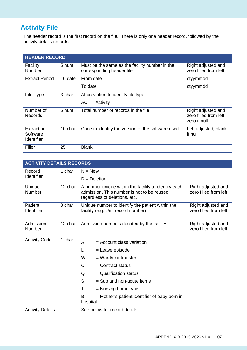# **Activity File**

The header record is the first record on the file. There is only one header record, followed by the activity details records.

| <b>HEADER RECORD</b>                        |         |                                                                             |                                                              |
|---------------------------------------------|---------|-----------------------------------------------------------------------------|--------------------------------------------------------------|
| Facility<br><b>Number</b>                   | 5 num   | Must be the same as the facility number in the<br>corresponding header file | Right adjusted and<br>zero filled from left                  |
| <b>Extract Period</b>                       | 16 date | From date                                                                   | ctyymmdd                                                     |
|                                             |         | To date                                                                     | ctyymmdd                                                     |
| File Type                                   | 3 char  | Abbreviation to identify file type                                          |                                                              |
|                                             |         | $ACT = Activity$                                                            |                                                              |
| Number of<br>Records                        | 5 num   | Total number of records in the file                                         | Right adjusted and<br>zero filled from left;<br>zero if null |
| Extraction<br>Software<br><b>Identifier</b> | 10 char | Code to identify the version of the software used                           | Left adjusted, blank<br>if null                              |
| Filler                                      | 25      | <b>Blank</b>                                                                |                                                              |

| <b>ACTIVITY DETAILS RECORDS</b> |         |                                                                                                                                      |                                             |
|---------------------------------|---------|--------------------------------------------------------------------------------------------------------------------------------------|---------------------------------------------|
| Record<br><b>Identifier</b>     | 1 char  | $N = New$                                                                                                                            |                                             |
|                                 |         | $D = Deletion$                                                                                                                       |                                             |
| Unique<br><b>Number</b>         | 12 char | A number unique within the facility to identify each<br>admission. This number is not to be reused,<br>regardless of deletions, etc. | Right adjusted and<br>zero filled from left |
| Patient<br>Identifier           | 8 char  | Unique number to identify the patient within the<br>facility (e.g. Unit record number)                                               | Right adjusted and<br>zero filled from left |
| Admission<br><b>Number</b>      | 12 char | Admission number allocated by the facility                                                                                           | Right adjusted and<br>zero filled from left |
| <b>Activity Code</b>            | 1 char  | A<br>$=$ Account class variation                                                                                                     |                                             |
|                                 |         | = Leave episode<br>L                                                                                                                 |                                             |
|                                 |         | $=$ Ward/unit transfer<br>W                                                                                                          |                                             |
|                                 |         | $\mathsf{C}$<br>$=$ Contract status                                                                                                  |                                             |
|                                 |         | $=$ Qualification status<br>Q                                                                                                        |                                             |
|                                 |         | S<br>$=$ Sub and non-acute items                                                                                                     |                                             |
|                                 |         | T<br>$=$ Nursing home type                                                                                                           |                                             |
|                                 |         | B<br>= Mother's patient identifier of baby born in<br>hospital                                                                       |                                             |
| <b>Activity Details</b>         |         | See below for record details                                                                                                         |                                             |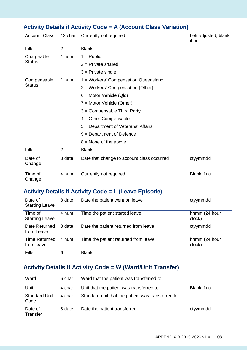# **Activity Details if Activity Code = A (Account Class Variation)**

| <b>Account Class</b> | 12 char | Currently not required                     | Left adjusted, blank<br>if null |
|----------------------|---------|--------------------------------------------|---------------------------------|
| Filler               | 2       | <b>Blank</b>                               |                                 |
| Chargeable           | 1 num   | $1 =$ Public                               |                                 |
| <b>Status</b>        |         | $2$ = Private shared                       |                                 |
|                      |         | $3$ = Private single                       |                                 |
| Compensable          | 1 num   | 1 = Workers' Compensation Queensland       |                                 |
| <b>Status</b>        |         | 2 = Workers' Compensation (Other)          |                                 |
|                      |         | $6 =$ Motor Vehicle (Qld)                  |                                 |
|                      |         | $7 =$ Motor Vehicle (Other)                |                                 |
|                      |         | 3 = Compensable Third Party                |                                 |
|                      |         | $4 =$ Other Compensable                    |                                 |
|                      |         | 5 = Department of Veterans' Affairs        |                                 |
|                      |         | $9 = Department of Defense$                |                                 |
|                      |         | $8 =$ None of the above                    |                                 |
| Filler               | 2       | <b>Blank</b>                               |                                 |
| Date of<br>Change    | 8 date  | Date that change to account class occurred | ctyymmdd                        |
| Time of<br>Change    | 4 num   | Currently not required                     | Blank if null                   |

# **Activity Details if Activity Code = L (Leave Episode)**

| Date of<br><b>Starting Leave</b>   | 8 date | Date the patient went on leave       | ctyymmdd                |
|------------------------------------|--------|--------------------------------------|-------------------------|
| Time of<br><b>Starting Leave</b>   | 4 num  | Time the patient started leave       | hhmm (24 hour<br>clock) |
| Date Returned<br>from Leave        | 8 date | Date the patient returned from leave | ctyymmdd                |
| <b>Time Returned</b><br>from leave | 4 num  | Time the patient returned from leave | hhmm (24 hour<br>clock) |
| Filler                             | 6      | <b>Blank</b>                         |                         |

# **Activity Details if Activity Code = W (Ward/Unit Transfer)**

| Ward                         | 6 char | Ward that the patient was transferred to          |               |
|------------------------------|--------|---------------------------------------------------|---------------|
| Unit                         | 4 char | Unit that the patient was transferred to          | Blank if null |
| <b>Standard Unit</b><br>Code | 4 char | Standard unit that the patient was transferred to |               |
| Date of<br>Transfer          | 8 date | Date the patient transferred                      | ctyymmdd      |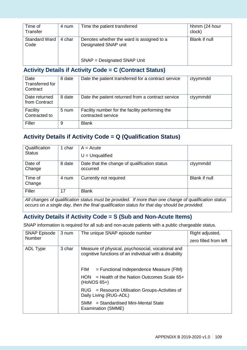| Time of<br>Transfer          | 4 num  | Time the patient transferred                                      | hhmm (24 hour<br>clock) |
|------------------------------|--------|-------------------------------------------------------------------|-------------------------|
| <b>Standard Ward</b><br>Code | 4 char | Denotes whether the ward is assigned to a<br>Designated SNAP unit | Blank if null           |
|                              |        | SNAP = Designated SNAP Unit                                       |                         |

#### **Activity Details if Activity Code = C (Contract Status)**

| Date<br>Transferred for<br>Contract | 8 date | Date the patient transferred for a contract service                   | ctyymmdd |
|-------------------------------------|--------|-----------------------------------------------------------------------|----------|
| Date returned<br>from Contract      | 8 date | Date the patient returned from a contract service                     | ctyymmdd |
| Facility<br>Contracted to           | 5 num  | Facility number for the facility performing the<br>contracted service |          |
| Filler                              | 9      | <b>Blank</b>                                                          |          |

### **Activity Details if Activity Code = Q (Qualification Status)**

| Qualification<br><b>Status</b>                                                                          | 1 char | $A = Acute$                                  |               |  |
|---------------------------------------------------------------------------------------------------------|--------|----------------------------------------------|---------------|--|
|                                                                                                         |        | $U =$ Unqualified                            |               |  |
| Date of                                                                                                 | 8 date | Date that the change of qualification status | ctyymmdd      |  |
| Change                                                                                                  |        | occurred                                     |               |  |
| Time of                                                                                                 | 4 num  | Currently not required                       | Blank if null |  |
| Change                                                                                                  |        |                                              |               |  |
| Filler                                                                                                  | 17     | <b>Blank</b>                                 |               |  |
| all ekonomia de la citization atotua per del de la constitución de la constanza de quelification atotua |        |                                              |               |  |

*All changes of qualification status must be provided. If more than one change of qualification status occurs on a single day, then the final qualification status for that day should be provided.*

#### **Activity Details if Activity Code = S (Sub and Non-Acute Items)**

SNAP information is required for all sub and non-acute patients with a public chargeable status.

| <b>SNAP Episode</b><br><b>Number</b> | 3 num  | The unique SNAP episode number                                                                              | Right adjusted,       |
|--------------------------------------|--------|-------------------------------------------------------------------------------------------------------------|-----------------------|
|                                      |        |                                                                                                             | zero filled from left |
| ADL Type                             | 3 char | Measure of physical, psychosocial, vocational and<br>cognitive functions of an individual with a disability |                       |
|                                      |        | <b>FIM</b><br>$=$ Functional Independence Measure (FIM)                                                     |                       |
|                                      |        | $=$ Health of the Nation Outcomes Scale 65+<br>HON.<br>$(HoNOS 65+)$                                        |                       |
|                                      |        | RUG = Resource Utilisation Groups-Activities of<br>Daily Living (RUG-ADL)                                   |                       |
|                                      |        | $SMM = Standardised Mini-Mental State$<br>Examination (SMME)                                                |                       |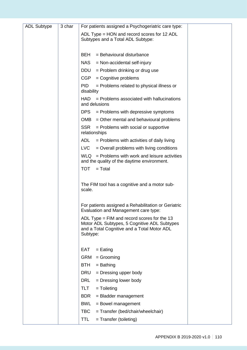| <b>ADL Subtype</b> | 3 char | For patients assigned a Psychogeriatric care type:                                                                                                       |
|--------------------|--------|----------------------------------------------------------------------------------------------------------------------------------------------------------|
|                    |        | ADL Type = HON and record scores for 12 ADL<br>Subtypes and a Total ADL Subtype:                                                                         |
|                    |        |                                                                                                                                                          |
|                    |        | = Behavioural disturbance<br>BEH                                                                                                                         |
|                    |        | <b>NAS</b><br>$=$ Non-accidental self-injury                                                                                                             |
|                    |        | <b>DDU</b><br>= Problem drinking or drug use                                                                                                             |
|                    |        | <b>CGP</b><br>$=$ Cognitive problems                                                                                                                     |
|                    |        | <b>PID</b><br>= Problems related to physical illness or<br>disability                                                                                    |
|                    |        | = Problems associated with hallucinations<br>HAD.<br>and delusions                                                                                       |
|                    |        | DPS<br>= Problems with depressive symptoms                                                                                                               |
|                    |        | <b>OMB</b><br>= Other mental and behavioural problems                                                                                                    |
|                    |        | <b>SSR</b><br>= Problems with social or supportive<br>relationships                                                                                      |
|                    |        | ADL<br>$=$ Problems with activities of daily living                                                                                                      |
|                    |        | LVC<br>= Overall problems with living conditions                                                                                                         |
|                    |        | <b>WLQ</b><br>$=$ Problems with work and leisure activities<br>and the quality of the daytime environment.                                               |
|                    |        | <b>TOT</b><br>$=$ Total                                                                                                                                  |
|                    |        | The FIM tool has a cognitive and a motor sub-<br>scale.                                                                                                  |
|                    |        | For patients assigned a Rehabilitation or Geriatric<br>Evaluation and Management care type:                                                              |
|                    |        | ADL Type $=$ FIM and record scores for the 13<br>Motor ADL Subtypes, 5 Cognitive ADL Subtypes<br>and a Total Cognitive and a Total Motor ADL<br>Subtype: |
|                    |        | EAT<br>$=$ Eating                                                                                                                                        |
|                    |        | <b>GRM</b><br>$=$ Grooming                                                                                                                               |
|                    |        | <b>BTH</b><br>$=$ Bathing                                                                                                                                |
|                    |        | <b>DRU</b><br>= Dressing upper body                                                                                                                      |
|                    |        | <b>DRL</b><br>= Dressing lower body                                                                                                                      |
|                    |        | TLT<br>$=$ Toileting                                                                                                                                     |
|                    |        | <b>BDR</b><br>= Bladder management                                                                                                                       |
|                    |        | <b>BWL</b><br>= Bowel management                                                                                                                         |
|                    |        | <b>TBC</b><br>= Transfer (bed/chair/wheelchair)                                                                                                          |
|                    |        | <b>TTL</b><br>$=$ Transfer (toileting)                                                                                                                   |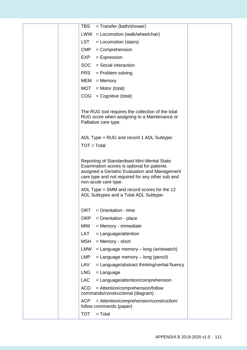| <b>TBS</b><br>= Transfer (bath/shower)                                                                                                                                                                                   |
|--------------------------------------------------------------------------------------------------------------------------------------------------------------------------------------------------------------------------|
| LWW<br>= Locomotion (walk/wheelchair)                                                                                                                                                                                    |
| LST<br>= Locomotion (stairs)                                                                                                                                                                                             |
| $CMP = Comprehension$                                                                                                                                                                                                    |
| EXP<br>= Expression                                                                                                                                                                                                      |
| SOC = Social interaction                                                                                                                                                                                                 |
| $PRS = Problem$ solving                                                                                                                                                                                                  |
| $MEM = Memory$                                                                                                                                                                                                           |
| $MOT = Motor (total)$                                                                                                                                                                                                    |
| $COG = Cognitive (total)$                                                                                                                                                                                                |
|                                                                                                                                                                                                                          |
| The RUG tool requires the collection of the total<br>RUG score when assigning to a Maintenance or<br>Palliative care type.                                                                                               |
| ADL Type = RUG and record 1 ADL Subtype:                                                                                                                                                                                 |
| $TOT = Total$                                                                                                                                                                                                            |
|                                                                                                                                                                                                                          |
| Reporting of Standardised Mini-Mental State<br>Examination scores is optional for patients<br>assigned a Geriatric Evaluation and Management<br>care type and not required for any other sub and<br>non-acute care type. |
| ADL Type $=$ SMM and record scores for the 12<br>ADL Subtypes and a Total ADL Subtype:                                                                                                                                   |
| <b>ORT</b><br>$=$ Orientation - time                                                                                                                                                                                     |
| <b>ORP</b><br>= Orientation - place                                                                                                                                                                                      |
| MIM<br>$=$ Memory - immediate                                                                                                                                                                                            |
| <b>LAT</b><br>$=$ Language/attention                                                                                                                                                                                     |
| <b>MSH</b><br>$=$ Memory - short                                                                                                                                                                                         |
| <b>LMW</b><br>$=$ Language memory $-$ long (wristwatch)                                                                                                                                                                  |
| LMP<br>= Language memory - long (pencil)                                                                                                                                                                                 |
| LAV<br>= Language/abstract thinking/verbal fluency                                                                                                                                                                       |
| <b>LNG</b><br>$=$ Language                                                                                                                                                                                               |
| LAC<br>= Language/attention/comprehension                                                                                                                                                                                |
| <b>ACD</b><br>= Attention/comprehension/follow<br>commands/constructional (diagram)                                                                                                                                      |
| ACP<br>= Attention/comprehension/construction/<br>follow commands (paper)                                                                                                                                                |
| <b>TOT</b><br>$=$ Total                                                                                                                                                                                                  |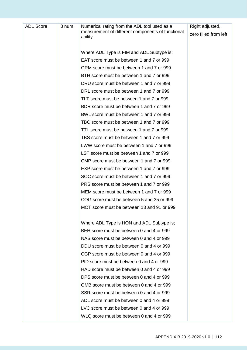| <b>ADL Score</b> | 3 num | Numerical rating from the ADL tool used as a                                         | Right adjusted,       |
|------------------|-------|--------------------------------------------------------------------------------------|-----------------------|
|                  |       | measurement of different components of functional                                    | zero filled from left |
|                  |       | ability                                                                              |                       |
|                  |       | Where ADL Type is FIM and ADL Subtype is;                                            |                       |
|                  |       | EAT score must be between 1 and 7 or 999                                             |                       |
|                  |       | GRM score must be between 1 and 7 or 999                                             |                       |
|                  |       | BTH score must be between 1 and 7 or 999                                             |                       |
|                  |       | DRU score must be between 1 and 7 or 999                                             |                       |
|                  |       | DRL score must be between 1 and 7 or 999                                             |                       |
|                  |       | TLT score must be between 1 and 7 or 999                                             |                       |
|                  |       | BDR score must be between 1 and 7 or 999                                             |                       |
|                  |       | BWL score must be between 1 and 7 or 999                                             |                       |
|                  |       | TBC score must be between 1 and 7 or 999                                             |                       |
|                  |       | TTL score must be between 1 and 7 or 999                                             |                       |
|                  |       | TBS score must be between 1 and 7 or 999                                             |                       |
|                  |       | LWW score must be between 1 and 7 or 999                                             |                       |
|                  |       | LST score must be between 1 and 7 or 999                                             |                       |
|                  |       | CMP score must be between 1 and 7 or 999                                             |                       |
|                  |       | EXP score must be between 1 and 7 or 999                                             |                       |
|                  |       | SOC score must be between 1 and 7 or 999                                             |                       |
|                  |       | PRS score must be between 1 and 7 or 999                                             |                       |
|                  |       | MEM score must be between 1 and 7 or 999                                             |                       |
|                  |       | COG score must be between 5 and 35 or 999                                            |                       |
|                  |       | MOT score must be between 13 and 91 or 999                                           |                       |
|                  |       |                                                                                      |                       |
|                  |       | Where ADL Type is HON and ADL Subtype is;                                            |                       |
|                  |       | BEH score must be between 0 and 4 or 999<br>NAS score must be between 0 and 4 or 999 |                       |
|                  |       | DDU score must be between 0 and 4 or 999                                             |                       |
|                  |       | CGP score must be between 0 and 4 or 999                                             |                       |
|                  |       | PID score must be between 0 and 4 or 999                                             |                       |
|                  |       | HAD score must be between 0 and 4 or 999                                             |                       |
|                  |       | DPS score must be between 0 and 4 or 999                                             |                       |
|                  |       | OMB score must be between 0 and 4 or 999                                             |                       |
|                  |       | SSR score must be between 0 and 4 or 999                                             |                       |
|                  |       | ADL score must be between 0 and 4 or 999                                             |                       |
|                  |       | LVC score must be between 0 and 4 or 999                                             |                       |
|                  |       | WLQ score must be between 0 and 4 or 999                                             |                       |
|                  |       |                                                                                      |                       |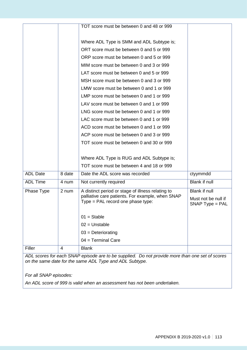|                 |        | TOT score must be between 0 and 48 or 999                                             |                      |
|-----------------|--------|---------------------------------------------------------------------------------------|----------------------|
|                 |        | Where ADL Type is SMM and ADL Subtype is;                                             |                      |
|                 |        | ORT score must be between 0 and 5 or 999                                              |                      |
|                 |        | ORP score must be between 0 and 5 or 999                                              |                      |
|                 |        | MIM score must be between 0 and 3 or 999                                              |                      |
|                 |        | LAT score must be between 0 and 5 or 999                                              |                      |
|                 |        | MSH score must be between 0 and 3 or 999                                              |                      |
|                 |        | LMW score must be between 0 and 1 or 999                                              |                      |
|                 |        | LMP score must be between 0 and 1 or 999                                              |                      |
|                 |        | LAV score must be between 0 and 1 or 999                                              |                      |
|                 |        | LNG score must be between 0 and 1 or 999                                              |                      |
|                 |        | LAC score must be between 0 and 1 or 999                                              |                      |
|                 |        | ACD score must be between 0 and 1 or 999                                              |                      |
|                 |        | ACP score must be between 0 and 3 or 999                                              |                      |
|                 |        | TOT score must be between 0 and 30 or 999                                             |                      |
|                 |        |                                                                                       |                      |
|                 |        | Where ADL Type is RUG and ADL Subtype is;                                             |                      |
|                 |        | TOT score must be between 4 and 18 or 999                                             |                      |
| <b>ADL Date</b> | 8 date | Date the ADL score was recorded                                                       | ctyymmdd             |
| <b>ADL Time</b> | 4 num  | Not currently required                                                                | <b>Blank if null</b> |
| Phase Type      | 2 num  | A distinct period or stage of illness relating to                                     | <b>Blank if null</b> |
|                 |        | palliative care patients. For example, when SNAP<br>Type = PAL record one phase type: | Must not be null if  |
|                 |        |                                                                                       | $SNAP$ Type = PAL    |
|                 |        | $01 =$ Stable                                                                         |                      |
|                 |        | $02 =$ Unstable                                                                       |                      |
|                 |        | $03$ = Deteriorating                                                                  |                      |
|                 |        | $04 = Terminal Care$                                                                  |                      |
| Filler          |        |                                                                                       |                      |
|                 | 4      | <b>Blank</b>                                                                          |                      |

*ADL scores for each SNAP episode are to be supplied. Do not provide more than one set of scores on the same date for the same ADL Type and ADL Subtype.* 

*For all SNAP episodes:* 

*An ADL score of 999 is valid when an assessment has not been undertaken.*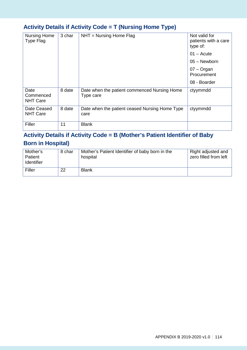## **Activity Details if Activity Code = T (Nursing Home Type)**

| <b>Nursing Home</b><br>Type Flag     | 3 char | $NHT = Nursing Home Flag$                                 | Not valid for<br>patients with a care<br>type of: |
|--------------------------------------|--------|-----------------------------------------------------------|---------------------------------------------------|
|                                      |        |                                                           | $01 -$ Acute                                      |
|                                      |        |                                                           | $05 -$ Newborn                                    |
|                                      |        |                                                           | $07 -$ Organ<br>Procurement                       |
|                                      |        |                                                           | 08 - Boarder                                      |
| Date<br>Commenced<br><b>NHT Care</b> | 8 date | Date when the patient commenced Nursing Home<br>Type care | ctyymmdd                                          |
| Date Ceased<br><b>NHT Care</b>       | 8 date | Date when the patient ceased Nursing Home Type<br>care    | ctyymmdd                                          |
| Filler                               | 11     | <b>Blank</b>                                              |                                                   |

### **Activity Details if Activity Code = B (Mother's Patient Identifier of Baby Born in Hospital)**

| Mother's<br>Patient<br>Identifier | 8 char | Mother's Patient Identifier of baby born in the<br>hospital | Right adjusted and<br>zero filled from left |
|-----------------------------------|--------|-------------------------------------------------------------|---------------------------------------------|
| Filler                            | 22     | <b>Blank</b>                                                |                                             |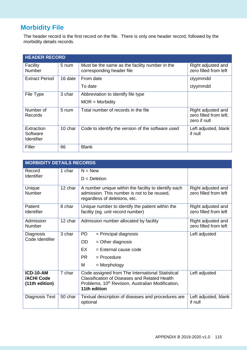# **Morbidity File**

The header record is the first record on the file. There is only one header record, followed by the morbidity details records.

|                                      | <b>HEADER RECORD</b> |                                                                             |                                                              |  |  |
|--------------------------------------|----------------------|-----------------------------------------------------------------------------|--------------------------------------------------------------|--|--|
| Facility<br><b>Number</b>            | 5 num                | Must be the same as the facility number in the<br>corresponding header file | Right adjusted and<br>zero filled from left                  |  |  |
| <b>Extract Period</b>                | 16 date              | From date                                                                   | ctyymmdd                                                     |  |  |
|                                      |                      | To date                                                                     | ctyymmdd                                                     |  |  |
| File Type                            | 3 char               | Abbreviation to identify file type                                          |                                                              |  |  |
|                                      |                      | $MOR = Morbidity$                                                           |                                                              |  |  |
| Number of<br><b>Records</b>          | 5 num                | Total number of records in the file                                         | Right adjusted and<br>zero filled from left;<br>zero if null |  |  |
| Extraction<br>Software<br>Identifier | 10 char              | Code to identify the version of the software used                           | Left adjusted, blank<br>if null                              |  |  |
| Filler                               | 66                   | <b>Blank</b>                                                                |                                                              |  |  |

| <b>MORBIDITY DETAILS RECORDS</b>                 |         |                                                                                                                                                                                           |                                             |
|--------------------------------------------------|---------|-------------------------------------------------------------------------------------------------------------------------------------------------------------------------------------------|---------------------------------------------|
| Record<br><b>Identifier</b>                      | 1 char  | $N = New$<br>$D = Deletion$                                                                                                                                                               |                                             |
|                                                  |         |                                                                                                                                                                                           |                                             |
| Unique<br>Number                                 | 12 char | A number unique within the facility to identify each<br>admission. This number is not to be reused,<br>regardless of deletions, etc.                                                      | Right adjusted and<br>zero filled from left |
| Patient<br>Identifier                            | 8 char  | Unique number to identify the patient within the<br>facility (eg. unit record number)                                                                                                     | Right adjusted and<br>zero filled from left |
| Admission<br>Number                              | 12 char | Admission number allocated by facility                                                                                                                                                    | Right adjusted and<br>zero filled from left |
| Diagnosis<br>Code Identifier                     | 3 char  | <b>PD</b><br>$=$ Principal diagnosis                                                                                                                                                      | Left adjusted                               |
|                                                  |         | OD<br>$=$ Other diagnosis                                                                                                                                                                 |                                             |
|                                                  |         | EX.<br>$=$ External cause code                                                                                                                                                            |                                             |
|                                                  |         | PR.<br>$=$ Procedure                                                                                                                                                                      |                                             |
|                                                  |         | $=$ Morphology<br>м                                                                                                                                                                       |                                             |
| ICD-10-AM<br><b>/ACHI Code</b><br>(11th edition) | 7 char  | Code assigned from The International Statistical<br><b>Classification of Diseases and Related Health</b><br>Problems, 10 <sup>th</sup> Revision, Australian Modification,<br>11th edition | Left adjusted                               |
| Diagnosis Text                                   | 50 char | Textual description of diseases and procedures are<br>optional                                                                                                                            | Left adjusted, blank<br>if null             |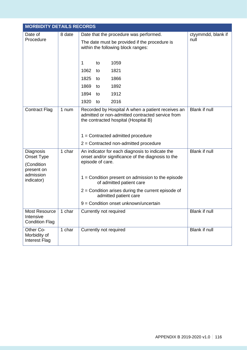|                                                                                | <b>MORBIDITY DETAILS RECORDS</b> |                                                                                                                                                                                                                                                                                                                                       |                      |  |  |
|--------------------------------------------------------------------------------|----------------------------------|---------------------------------------------------------------------------------------------------------------------------------------------------------------------------------------------------------------------------------------------------------------------------------------------------------------------------------------|----------------------|--|--|
| Date of                                                                        | 8 date                           | Date that the procedure was performed.                                                                                                                                                                                                                                                                                                | ctyymmdd, blank if   |  |  |
| Procedure                                                                      |                                  | The date must be provided if the procedure is<br>within the following block ranges:                                                                                                                                                                                                                                                   | null                 |  |  |
|                                                                                |                                  | 1059<br>1<br>to                                                                                                                                                                                                                                                                                                                       |                      |  |  |
|                                                                                |                                  | 1062<br>1821<br>to                                                                                                                                                                                                                                                                                                                    |                      |  |  |
|                                                                                |                                  | 1825<br>1866<br>to                                                                                                                                                                                                                                                                                                                    |                      |  |  |
|                                                                                |                                  | 1869<br>1892<br>to                                                                                                                                                                                                                                                                                                                    |                      |  |  |
|                                                                                |                                  | 1894<br>1912<br>to                                                                                                                                                                                                                                                                                                                    |                      |  |  |
|                                                                                |                                  | 1920<br>2016<br>to                                                                                                                                                                                                                                                                                                                    |                      |  |  |
| <b>Contract Flag</b>                                                           | 1 num                            | Recorded by Hospital A when a patient receives an<br>admitted or non-admitted contracted service from<br>the contracted hospital (Hospital B)<br>$1 =$ Contracted admitted procedure<br>$2 =$ Contracted non-admitted procedure                                                                                                       | <b>Blank if null</b> |  |  |
| Diagnosis<br>Onset Type<br>(Condition<br>present on<br>admission<br>indicator) | 1 char                           | An indicator for each diagnosis to indicate the<br>onset and/or significance of the diagnosis to the<br>episode of care.<br>$1 =$ Condition present on admission to the episode<br>of admitted patient care<br>$2$ = Condition arises during the current episode of<br>admitted patient care<br>9 = Condition onset unknown/uncertain | Blank if null        |  |  |
| Most Resource<br>Intensive<br><b>Condition Flag</b>                            | 1 char                           | Currently not required                                                                                                                                                                                                                                                                                                                | Blank if null        |  |  |
| Other Co-<br>Morbidity of<br><b>Interest Flag</b>                              | 1 char                           | Currently not required                                                                                                                                                                                                                                                                                                                | Blank if null        |  |  |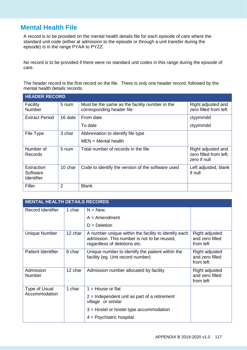### **Mental Health File**

A record is to be provided on the mental health details file for each episode of care where the standard unit code (either at admission to the episode or through a unit transfer during the episode) is in the range PYAA to PYZZ.

No record is to be provided if there were no standard unit codes in this range during the episode of care.

The header record is the first record on the file. There is only one header record, followed by the mental health details records.

| <b>HEADER RECORD</b>                        |                 |                                                                             |                                                              |  |  |
|---------------------------------------------|-----------------|-----------------------------------------------------------------------------|--------------------------------------------------------------|--|--|
| Facility<br>Number                          | 5 num           | Must be the same as the facility number in the<br>corresponding header file | Right adjusted and<br>zero filled from left                  |  |  |
| <b>Extract Period</b>                       | 16 date         | From date                                                                   | ctyymmdd                                                     |  |  |
|                                             |                 | To date                                                                     | ctyymmdd                                                     |  |  |
| File Type                                   | 3 char          | Abbreviation to identify file type                                          |                                                              |  |  |
|                                             |                 | $MEN = Mental$ health                                                       |                                                              |  |  |
| Number of<br>Records                        | $5 \text{ num}$ | Total number of records in the file                                         | Right adjusted and<br>zero filled from left;<br>zero if null |  |  |
| Extraction<br>Software<br><b>Identifier</b> | 10 char         | Code to identify the version of the software used                           | Left adjusted, blank<br>if null                              |  |  |
| Filler                                      | 2               | <b>Blank</b>                                                                |                                                              |  |  |

|                                | <b>MENTAL HEALTH DETAILS RECORDS</b> |                                                                                                                                     |                                                |  |  |
|--------------------------------|--------------------------------------|-------------------------------------------------------------------------------------------------------------------------------------|------------------------------------------------|--|--|
| Record Identifier              | 1 char                               | $N = New$ ,                                                                                                                         |                                                |  |  |
|                                |                                      | $A =$ Amendment                                                                                                                     |                                                |  |  |
|                                |                                      | $D = Deletion$                                                                                                                      |                                                |  |  |
| <b>Unique Number</b>           | 12 char                              | A number unique within the facility to identify each<br>admission. This number is not to be reused,<br>regardless of deletions etc. | Right adjusted<br>and zero filled<br>from left |  |  |
| <b>Patient Identifier</b>      | 8 char                               | Unique number to identify the patient within the<br>facility (eg. Unit record number)                                               | Right adjusted<br>and zero filled<br>from left |  |  |
| Admission<br>Number            | 12 char                              | Admission number allocated by facility                                                                                              | Right adjusted<br>and zero filled<br>from left |  |  |
| Type of Usual<br>Accommodation | 1 char                               | $1 =$ House or flat                                                                                                                 |                                                |  |  |
|                                |                                      | $2$ = Independent unit as part of a retirement<br>village or similar                                                                |                                                |  |  |
|                                |                                      | $3$ = Hostel or hostel type accommodation                                                                                           |                                                |  |  |
|                                |                                      | $4 =$ Psychiatric hospital                                                                                                          |                                                |  |  |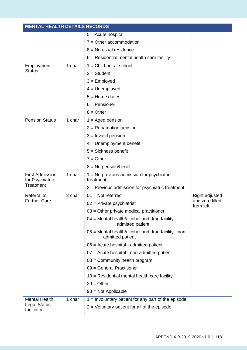| <b>MENTAL HEALTH DETAILS RECORDS</b>      |        |                                                                         |                              |
|-------------------------------------------|--------|-------------------------------------------------------------------------|------------------------------|
|                                           |        | $5 =$ Acute hospital                                                    |                              |
|                                           |        | $7 =$ Other accommodation                                               |                              |
|                                           |        | $8 = No$ usual residence                                                |                              |
|                                           |        | $6$ = Residential mental health care facility                           |                              |
| Employment                                | 1 char | $1 =$ Child not at school                                               |                              |
| <b>Status</b>                             |        | $2 = Student$                                                           |                              |
|                                           |        | $3 =$ Employed                                                          |                              |
|                                           |        | $4 =$ Unemployed                                                        |                              |
|                                           |        | $5 =$ Home duties                                                       |                              |
|                                           |        | $6 =$ Pensioner                                                         |                              |
|                                           |        | $8 = Other$                                                             |                              |
| <b>Pension Status</b>                     | 1 char | $1 =$ Aged pension                                                      |                              |
|                                           |        | $2$ = Repatriation pension                                              |                              |
|                                           |        | $3 =$ Invalid pension                                                   |                              |
|                                           |        | $4 =$ Unemployment benefit                                              |                              |
|                                           |        | $5 = Sickness$ benefit                                                  |                              |
|                                           |        | $7 = Other$                                                             |                              |
|                                           |        | $8 = No$ pension/benefit                                                |                              |
| <b>First Admission</b><br>for Psychiatric | 1 char | $1 = No$ previous admission for psychiatric<br>treatment                |                              |
| Treatment                                 |        | $2$ = Previous admission for psychiatric treatment                      |                              |
| Referral to                               | 2 char | $01 = Not referred$                                                     | Right adjusted               |
| <b>Further Care</b>                       |        | $02$ = Private psychiatrist                                             | and zero filled<br>from left |
|                                           |        | $03$ = Other private medical practitioner                               |                              |
|                                           |        | $04$ = Mental health/alcohol and drug facility -<br>admitted patient    |                              |
|                                           |        | 05 = Mental health/alcohol and drug facility - non-<br>admitted patient |                              |
|                                           |        | $06$ = Acute hospital - admitted patient                                |                              |
|                                           |        | 07 = Acute hospital - non-admitted patient                              |                              |
|                                           |        | $08 =$ Community health program                                         |                              |
|                                           |        | 09 = General Practitioner                                               |                              |
|                                           |        | $10$ = Residential mental health care facility                          |                              |
|                                           |        | $29 = Other$                                                            |                              |
|                                           |        | $98 = Not Applicable$                                                   |                              |
| <b>Mental Health</b>                      | 1 char | $1 =$ Involuntary patient for any part of the episode                   |                              |
| <b>Legal Status</b><br>Indicator          |        | $2$ = Voluntary patient for all of the episode                          |                              |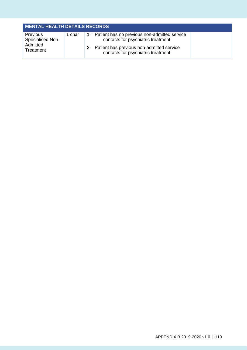| <b>MENTAL HEALTH DETAILS RECORDS</b>                         |        |                                                                                                                                                                                   |  |  |
|--------------------------------------------------------------|--------|-----------------------------------------------------------------------------------------------------------------------------------------------------------------------------------|--|--|
| Previous<br><b>Specialised Non-</b><br>Admitted<br>Treatment | 1 char | $1 =$ Patient has no previous non-admitted service<br>contacts for psychiatric treatment<br>$2$ = Patient has previous non-admitted service<br>contacts for psychiatric treatment |  |  |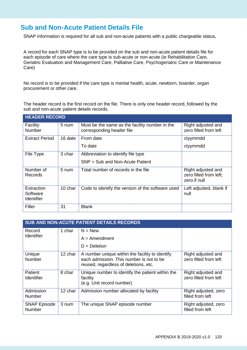### **Sub and Non-Acute Patient Details File**

SNAP information is required for all sub and non-acute patients with a public chargeable status**.**

A record for each SNAP type is to be provided on the sub and non-acute patient details file for each episode of care where the care type is sub-acute or non-acute (ie Rehabilitation Care, Geriatric Evaluation and Management Care, Palliative Care, Psychogeriatric Care or Maintenance Care)

No record is to be provided if the care type is mental health, acute, newborn, boarder, organ procurement or other care.

The header record is the first record on the file. There is only one header record, followed by the sub and non-acute patient details records.

| <b>HEADER RECORD</b>                 |         |                                                                             |                                                              |  |
|--------------------------------------|---------|-----------------------------------------------------------------------------|--------------------------------------------------------------|--|
| Facility<br><b>Number</b>            | 5 num   | Must be the same as the facility number in the<br>corresponding header file | Right adjusted and<br>zero filled from left                  |  |
| <b>Extract Period</b>                | 16 date | From date                                                                   | ctyymmdd                                                     |  |
|                                      |         | To date                                                                     | ctyymmdd                                                     |  |
| File Type                            | 3 char  | Abbreviation to identify file type                                          |                                                              |  |
|                                      |         | $SNP = Sub$ and Non-Acute Patient                                           |                                                              |  |
| Number of<br>Records                 | 5 num   | Total number of records in the file                                         | Right adjusted and<br>zero filled from left;<br>zero if null |  |
| Extraction<br>Software<br>Identifier | 10 char | Code to identify the version of the software used                           | Left adjusted, blank if<br>null                              |  |
| Filler                               | 31      | <b>Blank</b>                                                                |                                                              |  |

| <b>SUB AND NON-ACUTE PATIENT DETAILS RECORDS</b> |         |                                                                                                                                      |                                             |  |
|--------------------------------------------------|---------|--------------------------------------------------------------------------------------------------------------------------------------|---------------------------------------------|--|
| Record                                           | 1 char  | $N = New$                                                                                                                            |                                             |  |
| <b>Identifier</b>                                |         | $A =$ Amendment                                                                                                                      |                                             |  |
|                                                  |         | $D = Deletion$                                                                                                                       |                                             |  |
| Unique<br>Number                                 | 12 char | A number unique within the facility to identify<br>each admission. This number is not to be<br>reused, regardless of deletions, etc. | Right adjusted and<br>zero filled from left |  |
| Patient<br><b>Identifier</b>                     | 8 char  | Unique number to identify the patient within the<br>facility<br>(e.g. Unit record number)                                            | Right adjusted and<br>zero filled from left |  |
| Admission<br><b>Number</b>                       | 12 char | Admission number allocated by facility                                                                                               | Right adjusted, zero<br>filled from left    |  |
| <b>SNAP Episode</b><br>Number                    | 3 num   | The unique SNAP episode number                                                                                                       | Right adjusted, zero<br>filled from left    |  |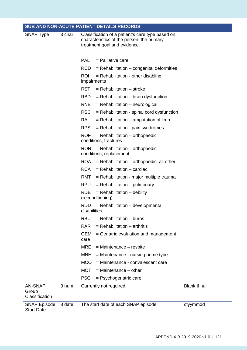|                                           |        | SUB AND NON-ACUTE PATIENT DETAILS RECORDS                                                                                      |                      |
|-------------------------------------------|--------|--------------------------------------------------------------------------------------------------------------------------------|----------------------|
| <b>SNAP Type</b>                          | 3 char | Classification of a patient's care type based on<br>characteristics of the person, the primary<br>treatment goal and evidence. |                      |
|                                           |        | PAL.<br>$=$ Palliative care                                                                                                    |                      |
|                                           |        | <b>RCD</b><br>$=$ Rehabilitation – congenital deformities                                                                      |                      |
|                                           |        | <b>ROI</b><br>$=$ Rehabilitation - other disabling<br>impairments                                                              |                      |
|                                           |        | <b>RST</b><br>$=$ Rehabilitation $-$ stroke                                                                                    |                      |
|                                           |        | RBD<br>$=$ Rehabilitation $-$ brain dysfunction                                                                                |                      |
|                                           |        | <b>RNE</b><br>$=$ Rehabilitation – neurological                                                                                |                      |
|                                           |        | <b>RSC</b><br>$=$ Rehabilitation - spinal cord dysfunction                                                                     |                      |
|                                           |        | <b>RAL</b><br>$=$ Rehabilitation – amputation of limb                                                                          |                      |
|                                           |        | <b>RPS</b><br>$=$ Rehabilitation - pain syndromes                                                                              |                      |
|                                           |        | <b>ROF</b><br>$=$ Rehabilitation $-$ orthopaedic<br>conditions, fractures                                                      |                      |
|                                           |        | <b>ROR</b><br>$=$ Rehabilitation – orthopaedic<br>conditions, replacement                                                      |                      |
|                                           |        | $ROA = Rehabilitation - orthopaedic, all other$                                                                                |                      |
|                                           |        | $RCA = Rehabilitation - cardiac$                                                                                               |                      |
|                                           |        | RMT<br>= Rehabilitation - major multiple trauma                                                                                |                      |
|                                           |        | RPU<br>$=$ Rehabilitation – pulmonary                                                                                          |                      |
|                                           |        | <b>RDE</b><br>$=$ Rehabilitation $-$ debility<br>(reconditioning)                                                              |                      |
|                                           |        | RDD<br>$=$ Rehabilitation $-$ developmental<br>disabilities                                                                    |                      |
|                                           |        | <b>RBU</b><br>$=$ Rehabilitation $-$ burns                                                                                     |                      |
|                                           |        | $=$ Rehabilitation $-$ arthritis<br><b>RAR</b>                                                                                 |                      |
|                                           |        | <b>GEM</b><br>= Geriatric evaluation and management<br>care                                                                    |                      |
|                                           |        | <b>MRE</b><br>$=$ Maintenance $-$ respite                                                                                      |                      |
|                                           |        | <b>MNH</b><br>= Maintenance - nursing home type                                                                                |                      |
|                                           |        | <b>MCO</b><br>= Maintenance - convalescent care                                                                                |                      |
|                                           |        | MOT<br>$=$ Maintenance $-$ other                                                                                               |                      |
|                                           |        | <b>PSG</b><br>= Psychogeriatric care                                                                                           |                      |
| <b>AN-SNAP</b><br>Group<br>Classification | 3 num  | Currently not required                                                                                                         | <b>Blank if null</b> |
| <b>SNAP Episode</b><br><b>Start Date</b>  | 8 date | The start date of each SNAP episode                                                                                            | ctyymmdd             |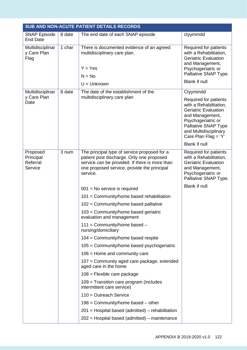| SUB AND NON-ACUTE PATIENT DETAILS RECORDS    |        |                                                                                                                                                                                                        |                                                                                                                                                                                                                     |  |
|----------------------------------------------|--------|--------------------------------------------------------------------------------------------------------------------------------------------------------------------------------------------------------|---------------------------------------------------------------------------------------------------------------------------------------------------------------------------------------------------------------------|--|
| <b>SNAP Episode</b><br><b>End Date</b>       | 8 date | The end date of each SNAP episode                                                                                                                                                                      | ctyymmdd                                                                                                                                                                                                            |  |
| Multidisciplinar<br>y Care Plan<br>Flag      | 1 char | There is documented evidence of an agreed<br>multidisciplinary care plan.                                                                                                                              | Required for patients<br>with a Rehabilitation,<br><b>Geriatric Evaluation</b><br>and Management,                                                                                                                   |  |
|                                              |        | $Y = Yes$                                                                                                                                                                                              | Psychogeriatric or                                                                                                                                                                                                  |  |
|                                              |        | $N = No$                                                                                                                                                                                               | Palliative SNAP Type.                                                                                                                                                                                               |  |
|                                              |        | $U =$ Unknown                                                                                                                                                                                          | Blank if null                                                                                                                                                                                                       |  |
| Multidisciplinar<br>y Care Plan<br>Date      | 8 date | The date of the establishment of the<br>multidisciplinary care plan                                                                                                                                    | Ctyymmdd<br>Required for patients<br>with a Rehabilitation,<br><b>Geriatric Evaluation</b><br>and Management,<br>Psychogeriatric or<br><b>Palliative SNAP Type</b><br>and Multidisciplinary<br>Care Plan Flag = 'Y' |  |
|                                              |        |                                                                                                                                                                                                        | <b>Blank if null</b>                                                                                                                                                                                                |  |
| Proposed<br>Principal<br>Referral<br>Service | 3 num  | The principal type of service proposed for a<br>patient post discharge. Only one proposed<br>service can be provided. If there is more than<br>one proposed service, provide the principal<br>service. | Required for patients<br>with a Rehabilitation,<br><b>Geriatric Evaluation</b><br>and Management,<br>Psychogeriatric or<br>Palliative SNAP Type.                                                                    |  |
|                                              |        | $001$ = No service is required                                                                                                                                                                         | <b>Blank if null</b>                                                                                                                                                                                                |  |
|                                              |        | 101 = Community/home based rehabilitation                                                                                                                                                              |                                                                                                                                                                                                                     |  |
|                                              |        | 102 = Community/home based palliative                                                                                                                                                                  |                                                                                                                                                                                                                     |  |
|                                              |        | 103 = Community/home based geriatric<br>evaluation and management                                                                                                                                      |                                                                                                                                                                                                                     |  |
|                                              |        | $111 =$ Community/home based -<br>nursing/domiciliary                                                                                                                                                  |                                                                                                                                                                                                                     |  |
|                                              |        | 104 = Community/home based respite                                                                                                                                                                     |                                                                                                                                                                                                                     |  |
|                                              |        | $105$ = Community/home based psychogeriatric                                                                                                                                                           |                                                                                                                                                                                                                     |  |
|                                              |        | $106$ = Home and community care                                                                                                                                                                        |                                                                                                                                                                                                                     |  |
|                                              |        | 107 = Community aged care package, extended<br>aged care in the home                                                                                                                                   |                                                                                                                                                                                                                     |  |
|                                              |        | $108$ = Flexible care package                                                                                                                                                                          |                                                                                                                                                                                                                     |  |
|                                              |        | $109$ = Transition care program (includes<br>intermittent care service)                                                                                                                                |                                                                                                                                                                                                                     |  |
|                                              |        | $110 =$ Outreach Service                                                                                                                                                                               |                                                                                                                                                                                                                     |  |
|                                              |        | $198$ = Community/home based – other                                                                                                                                                                   |                                                                                                                                                                                                                     |  |
|                                              |        | 201 = Hospital based (admitted) – rehabilitation                                                                                                                                                       |                                                                                                                                                                                                                     |  |
|                                              |        | 202 = Hospital based (admitted) – maintenance                                                                                                                                                          |                                                                                                                                                                                                                     |  |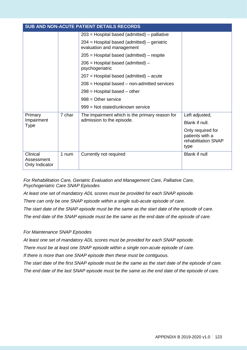| SUB AND NON-ACUTE PATIENT DETAILS RECORDS |        |                                                                            |                                                                     |  |
|-------------------------------------------|--------|----------------------------------------------------------------------------|---------------------------------------------------------------------|--|
|                                           |        | $203$ = Hospital based (admitted) – palliative                             |                                                                     |  |
|                                           |        | $204$ = Hospital based (admitted) – geriatric<br>evaluation and management |                                                                     |  |
|                                           |        | $205$ = Hospital based (admitted) – respite                                |                                                                     |  |
|                                           |        | $206$ = Hospital based (admitted) –<br>psychogeriatric                     |                                                                     |  |
|                                           |        | $207$ = Hospital based (admitted) – acute                                  |                                                                     |  |
|                                           |        | $208$ = Hospital based – non-admitted services                             |                                                                     |  |
|                                           |        | $298$ = Hospital based – other                                             |                                                                     |  |
|                                           |        | $998 =$ Other service                                                      |                                                                     |  |
|                                           |        | $999 = Not stated/unknown service$                                         |                                                                     |  |
| Primary                                   | 7 char | The impairment which is the primary reason for                             | Left adjusted,                                                      |  |
| Impairment<br>Type                        |        | admission to the episode.                                                  | Blank if null.                                                      |  |
|                                           |        |                                                                            | Only required for<br>patients with a<br>rehabilitation SNAP<br>type |  |
| Clinical<br>Assessment<br>Only Indicator  | 1 num  | Currently not required                                                     | Blank if null                                                       |  |

*For Rehabilitation Care, Geriatric Evaluation and Management Care, Palliative Care, Psychogeriatric Care SNAP Episodes*

*At least one set of mandatory ADL scores must be provided for each SNAP episode.*

*There can only be one SNAP episode within a single sub-acute episode of care.* 

*The start date of the SNAP episode must be the same as the start date of the episode of care.*

*The end date of the SNAP episode must be the same as the end date of the episode of care.* 

#### *For Maintenance SNAP Episodes*

*At least one set of mandatory ADL scores must be provided for each SNAP episode.*

*There must be at least one SNAP episode within a single non-acute episode of care.* 

*If there is more than one SNAP episode then these must be contiguous.*

*The start date of the first SNAP episode must be the same as the start date of the episode of care. The end date of the last SNAP episode must be the same as the end date of the episode of care.*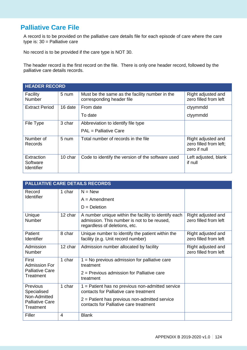### **Palliative Care File**

A record is to be provided on the palliative care details file for each episode of care where the care type is: 30 = Palliative care

No record is to be provided if the care type is NOT 30.

The header record is the first record on the file. There is only one header record, followed by the palliative care details records.

| <b>HEADER RECORD</b>                 |         |                                                                             |                                                              |  |
|--------------------------------------|---------|-----------------------------------------------------------------------------|--------------------------------------------------------------|--|
| Facility<br><b>Number</b>            | 5 num   | Must be the same as the facility number in the<br>corresponding header file | Right adjusted and<br>zero filled from left                  |  |
| <b>Extract Period</b>                | 16 date | From date                                                                   | ctyymmdd                                                     |  |
|                                      |         | To date                                                                     | ctyymmdd                                                     |  |
| File Type                            | 3 char  | Abbreviation to identify file type                                          |                                                              |  |
|                                      |         | <b>PAL</b> = Palliative Care                                                |                                                              |  |
| Number of<br>Records                 | 5 num   | Total number of records in the file                                         | Right adjusted and<br>zero filled from left;<br>zero if null |  |
| Extraction<br>Software<br>Identifier | 10 char | Code to identify the version of the software used                           | Left adjusted, blank<br>if null                              |  |

| <b>PALLIATIVE CARE DETAILS RECORDS</b>              |         |                                                                                                                                      |                                             |
|-----------------------------------------------------|---------|--------------------------------------------------------------------------------------------------------------------------------------|---------------------------------------------|
| Record                                              | 1 char  | $N = New$                                                                                                                            |                                             |
| Identifier                                          |         | $A =$ Amendment                                                                                                                      |                                             |
|                                                     |         | $D = Deletion$                                                                                                                       |                                             |
| Unique<br><b>Number</b>                             | 12 char | A number unique within the facility to identify each<br>admission. This number is not to be reused,<br>regardless of deletions, etc. | Right adjusted and<br>zero filled from left |
| Patient<br>Identifier                               | 8 char  | Unique number to identify the patient within the<br>facility (e.g. Unit record number)                                               | Right adjusted and<br>zero filled from left |
| Admission<br>Number                                 | 12 char | Admission number allocated by facility                                                                                               | Right adjusted and<br>zero filled from left |
| First<br>Admission For                              | 1 char  | $1 = No$ previous admission for palliative care<br>treatment                                                                         |                                             |
| <b>Palliative Care</b><br>Treatment                 |         | 2 = Previous admission for Palliative care<br>treatment                                                                              |                                             |
| Previous<br>Specialised                             | 1 char  | $1 =$ Patient has no previous non-admitted service<br>contacts for Palliative care treatment                                         |                                             |
| Non-Admitted<br><b>Palliative Care</b><br>Treatment |         | $2$ = Patient has previous non-admitted service<br>contacts for Palliative care treatment                                            |                                             |
| Filler                                              | 4       | <b>Blank</b>                                                                                                                         |                                             |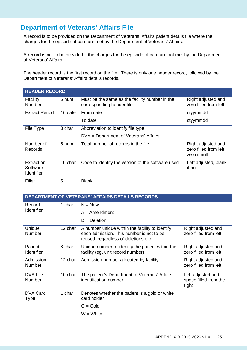## **Department of Veterans' Affairs File**

A record is to be provided on the Department of Veterans' Affairs patient details file where the charges for the episode of care are met by the Department of Veterans' Affairs.

A record is not to be provided if the charges for the episode of care are not met by the Department of Veterans' Affairs.

The header record is the first record on the file. There is only one header record, followed by the Department of Veterans' Affairs details records.

| <b>HEADER RECORD</b>                 |                 |                                                                             |                                                              |
|--------------------------------------|-----------------|-----------------------------------------------------------------------------|--------------------------------------------------------------|
| Facility<br><b>Number</b>            | 5 num           | Must be the same as the facility number in the<br>corresponding header file | Right adjusted and<br>zero filled from left                  |
| <b>Extract Period</b>                | 16 date         | From date                                                                   | ctyymmdd                                                     |
|                                      |                 | To date                                                                     | ctyymmdd                                                     |
| File Type                            | 3 char          | Abbreviation to identify file type                                          |                                                              |
|                                      |                 | DVA = Department of Veterans' Affairs                                       |                                                              |
| Number of<br><b>Records</b>          | $5 \text{ num}$ | Total number of records in the file                                         | Right adjusted and<br>zero filled from left;<br>zero if null |
| Extraction<br>Software<br>Identifier | 10 char         | Code to identify the version of the software used                           | Left adjusted, blank<br>if null                              |
| Filler                               | 5               | <b>Blank</b>                                                                |                                                              |

| <b>DEPARTMENT OF VETERANS' AFFAIRS DETAILS RECORDS</b> |         |                                                                                                                                     |                                                     |
|--------------------------------------------------------|---------|-------------------------------------------------------------------------------------------------------------------------------------|-----------------------------------------------------|
| Record<br><b>Identifier</b>                            | 1 char  | $N = New$                                                                                                                           |                                                     |
|                                                        |         | $A =$ Amendment                                                                                                                     |                                                     |
|                                                        |         | $D = Deletion$                                                                                                                      |                                                     |
| Unique<br>Number                                       | 12 char | A number unique within the facility to identify<br>each admission. This number is not to be<br>reused, regardless of deletions etc. | Right adjusted and<br>zero filled from left         |
| Patient<br><b>Identifier</b>                           | 8 char  | Unique number to identify the patient within the<br>facility (eg. unit record number)                                               | Right adjusted and<br>zero filled from left         |
| Admission<br>Number                                    | 12 char | Admission number allocated by facility                                                                                              | Right adjusted and<br>zero filled from left         |
| <b>DVA File</b><br><b>Number</b>                       | 10 char | The patient's Department of Veterans' Affairs<br>identification number                                                              | Left adjusted and<br>space filled from the<br>right |
| <b>DVA Card</b><br>Type                                | 1 char  | Denotes whether the patient is a gold or white<br>card holder                                                                       |                                                     |
|                                                        |         | $G = Gold$                                                                                                                          |                                                     |
|                                                        |         | $W = White$                                                                                                                         |                                                     |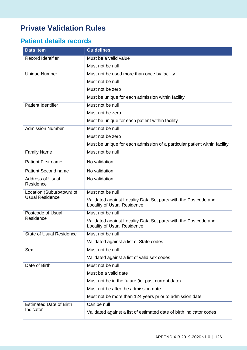# **Private Validation Rules**

### **Patient details records**

| <b>Data Item</b>                     | Guidelines                                                                                            |
|--------------------------------------|-------------------------------------------------------------------------------------------------------|
| <b>Record Identifier</b>             | Must be a valid value                                                                                 |
|                                      | Must not be null                                                                                      |
| <b>Unique Number</b>                 | Must not be used more than once by facility                                                           |
|                                      | Must not be null                                                                                      |
|                                      | Must not be zero                                                                                      |
|                                      | Must be unique for each admission within facility                                                     |
| <b>Patient Identifier</b>            | Must not be null                                                                                      |
|                                      | Must not be zero                                                                                      |
|                                      | Must be unique for each patient within facility                                                       |
| <b>Admission Number</b>              | Must not be null                                                                                      |
|                                      | Must not be zero                                                                                      |
|                                      | Must be unique for each admission of a particular patient within facility                             |
| <b>Family Name</b>                   | Must not be null                                                                                      |
| <b>Patient First name</b>            | No validation                                                                                         |
| <b>Patient Second name</b>           | No validation                                                                                         |
| <b>Address of Usual</b><br>Residence | No validation                                                                                         |
| Location (Suburb/town) of            | Must not be null                                                                                      |
| <b>Usual Residence</b>               | Validated against Locality Data Set parts with the Postcode and<br><b>Locality of Usual Residence</b> |
| Postcode of Usual                    | Must not be null                                                                                      |
| Residence                            | Validated against Locality Data Set parts with the Postcode and<br>Locality of Usual Residence        |
| <b>State of Usual Residence</b>      | Must not be null                                                                                      |
|                                      | Validated against a list of State codes                                                               |
| <b>Sex</b>                           | Must not be null                                                                                      |
|                                      | Validated against a list of valid sex codes                                                           |
| Date of Birth                        | Must not be null                                                                                      |
|                                      | Must be a valid date                                                                                  |
|                                      | Must not be in the future (ie. past current date)                                                     |
|                                      | Must not be after the admission date                                                                  |
|                                      | Must not be more than 124 years prior to admission date                                               |
| <b>Estimated Date of Birth</b>       | Can be null                                                                                           |
| Indicator                            | Validated against a list of estimated date of birth indicator codes                                   |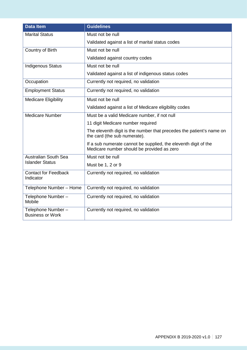| <b>Data Item</b>                             | <b>Guidelines</b>                                                                                             |
|----------------------------------------------|---------------------------------------------------------------------------------------------------------------|
| <b>Marital Status</b>                        | Must not be null                                                                                              |
|                                              | Validated against a list of marital status codes                                                              |
| Country of Birth                             | Must not be null                                                                                              |
|                                              | Validated against country codes                                                                               |
| <b>Indigenous Status</b>                     | Must not be null                                                                                              |
|                                              | Validated against a list of indigenous status codes                                                           |
| Occupation                                   | Currently not required, no validation                                                                         |
| <b>Employment Status</b>                     | Currently not required, no validation                                                                         |
| <b>Medicare Eligibility</b>                  | Must not be null                                                                                              |
|                                              | Validated against a list of Medicare eligibility codes                                                        |
| <b>Medicare Number</b>                       | Must be a valid Medicare number, if not null                                                                  |
|                                              | 11 digit Medicare number required                                                                             |
|                                              | The eleventh digit is the number that precedes the patient's name on<br>the card (the sub numerate).          |
|                                              | If a sub numerate cannot be supplied, the eleventh digit of the<br>Medicare number should be provided as zero |
| <b>Australian South Sea</b>                  | Must not be null                                                                                              |
| <b>Islander Status</b>                       | Must be 1, 2 or 9                                                                                             |
| <b>Contact for Feedback</b><br>Indicator     | Currently not required, no validation                                                                         |
| Telephone Number - Home                      | Currently not required, no validation                                                                         |
| Telephone Number-<br>Mobile                  | Currently not required, no validation                                                                         |
| Telephone Number-<br><b>Business or Work</b> | Currently not required, no validation                                                                         |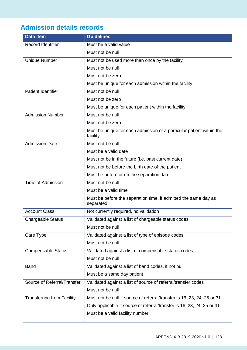# **Admission details records**

| <b>Data Item</b>                  | <b>Guidelines</b>                                                                |
|-----------------------------------|----------------------------------------------------------------------------------|
| <b>Record Identifier</b>          | Must be a valid value                                                            |
|                                   | Must not be null                                                                 |
| <b>Unique Number</b>              | Must not be used more than once by the facility                                  |
|                                   | Must not be null                                                                 |
|                                   | Must not be zero                                                                 |
|                                   | Must be unique for each admission within the facility                            |
| <b>Patient Identifier</b>         | Must not be null                                                                 |
|                                   | Must not be zero                                                                 |
|                                   | Must be unique for each patient within the facility                              |
| <b>Admission Number</b>           | Must not be null                                                                 |
|                                   | Must not be zero                                                                 |
|                                   | Must be unique for each admission of a particular patient within the<br>facility |
| <b>Admission Date</b>             | Must not be null                                                                 |
|                                   | Must be a valid date                                                             |
|                                   | Must not be in the future (i.e. past current date)                               |
|                                   | Must not be before the birth date of the patient                                 |
|                                   | Must be before or on the separation date                                         |
| Time of Admission                 | Must not be null                                                                 |
|                                   | Must be a valid time                                                             |
|                                   | Must be before the separation time, if admitted the same day as<br>separated     |
| <b>Account Class</b>              | Not currently required, no validation                                            |
| <b>Chargeable Status</b>          | Validated against a list of chargeable status codes                              |
|                                   | Must not be null                                                                 |
| Care Type                         | Validated against a list of type of episode codes                                |
|                                   | Must not be null                                                                 |
| <b>Compensable Status</b>         | Validated against a list of compensable status codes                             |
|                                   | Must not be null                                                                 |
| <b>Band</b>                       | Validated against a list of band codes, if not null                              |
|                                   | Must be a same day patient                                                       |
| Source of Referral/Transfer       | Validated against a list of source of referral/transfer codes                    |
|                                   | Must not be null                                                                 |
| <b>Transferring from Facility</b> | Must not be null if source of referral/transfer is 16, 23, 24, 25 or 31          |
|                                   | Only applicable if source of referral/transfer is 16, 23, 24, 25 or 31           |
|                                   | Must be a valid facility number                                                  |
|                                   |                                                                                  |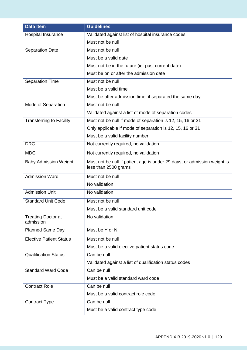| <b>Data Item</b>                       | <b>Guidelines</b>                                                                                |
|----------------------------------------|--------------------------------------------------------------------------------------------------|
| Hospital Insurance                     | Validated against list of hospital insurance codes                                               |
|                                        | Must not be null                                                                                 |
| <b>Separation Date</b>                 | Must not be null                                                                                 |
|                                        | Must be a valid date                                                                             |
|                                        | Must not be in the future (ie. past current date)                                                |
|                                        | Must be on or after the admission date                                                           |
| <b>Separation Time</b>                 | Must not be null                                                                                 |
|                                        | Must be a valid time                                                                             |
|                                        | Must be after admission time, if separated the same day                                          |
| Mode of Separation                     | Must not be null                                                                                 |
|                                        | Validated against a list of mode of separation codes                                             |
| <b>Transferring to Facility</b>        | Must not be null if mode of separation is 12, 15, 16 or 31                                       |
|                                        | Only applicable if mode of separation is 12, 15, 16 or 31                                        |
|                                        | Must be a valid facility number                                                                  |
| <b>DRG</b>                             | Not currently required, no validation                                                            |
| <b>MDC</b>                             | Not currently required, no validation                                                            |
| <b>Baby Admission Weight</b>           | Must not be null if patient age is under 29 days, or admission weight is<br>less than 2500 grams |
| <b>Admission Ward</b>                  | Must not be null                                                                                 |
|                                        | No validation                                                                                    |
| <b>Admission Unit</b>                  | No validation                                                                                    |
| <b>Standard Unit Code</b>              | Must not be null                                                                                 |
|                                        | Must be a valid standard unit code                                                               |
| <b>Treating Doctor at</b><br>admission | No validation                                                                                    |
| <b>Planned Same Day</b>                | Must be Y or N                                                                                   |
| <b>Elective Patient Status</b>         | Must not be null                                                                                 |
|                                        | Must be a valid elective patient status code                                                     |
| <b>Qualification Status</b>            | Can be null                                                                                      |
|                                        | Validated against a list of qualification status codes                                           |
| <b>Standard Ward Code</b>              | Can be null                                                                                      |
|                                        | Must be a valid standard ward code                                                               |
| <b>Contract Role</b>                   | Can be null                                                                                      |
|                                        | Must be a valid contract role code                                                               |
| <b>Contract Type</b>                   | Can be null                                                                                      |
|                                        | Must be a valid contract type code                                                               |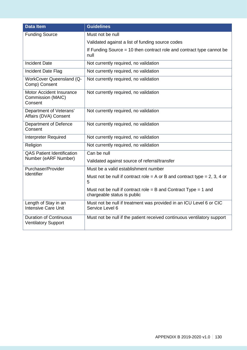| <b>Data Item</b>                                                | <b>Guidelines</b>                                                                              |
|-----------------------------------------------------------------|------------------------------------------------------------------------------------------------|
| <b>Funding Source</b>                                           | Must not be null                                                                               |
|                                                                 | Validated against a list of funding source codes                                               |
|                                                                 | If Funding Source $= 10$ then contract role and contract type cannot be<br>null                |
| <b>Incident Date</b>                                            | Not currently required, no validation                                                          |
| Incident Date Flag                                              | Not currently required, no validation                                                          |
| <b>WorkCover Queensland (Q-</b><br>Comp) Consent                | Not currently required, no validation                                                          |
| <b>Motor Accident Insurance</b><br>Commission (MAIC)<br>Consent | Not currently required, no validation                                                          |
| Department of Veterans'<br>Affairs (DVA) Consent                | Not currently required, no validation                                                          |
| Department of Defence<br>Consent                                | Not currently required, no validation                                                          |
| <b>Interpreter Required</b>                                     | Not currently required, no validation                                                          |
| Religion                                                        | Not currently required, no validation                                                          |
| <b>QAS Patient Identification</b>                               | Can be null                                                                                    |
| Number (eARF Number)                                            | Validated against source of referral/transfer                                                  |
| Purchaser/Provider                                              | Must be a valid establishment number                                                           |
| Identifier                                                      | Must not be null if contract role = A or B and contract type = 2, 3, 4 or<br>5                 |
|                                                                 | Must not be null if contract role = B and Contract Type = 1 and<br>chargeable status is public |
| Length of Stay in an<br><b>Intensive Care Unit</b>              | Must not be null if treatment was provided in an ICU Level 6 or CIC<br>Service Level 6         |
| <b>Duration of Continuous</b><br><b>Ventilatory Support</b>     | Must not be null if the patient received continuous ventilatory support                        |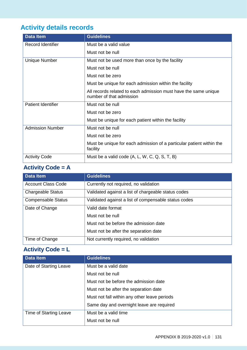# **Activity details records**

| <b>Data Item</b>          | <b>Guidelines</b>                                                                           |
|---------------------------|---------------------------------------------------------------------------------------------|
| Record Identifier         | Must be a valid value                                                                       |
|                           | Must not be null                                                                            |
| <b>Unique Number</b>      | Must not be used more than once by the facility                                             |
|                           | Must not be null                                                                            |
|                           | Must not be zero                                                                            |
|                           | Must be unique for each admission within the facility                                       |
|                           | All records related to each admission must have the same unique<br>number of that admission |
| <b>Patient Identifier</b> | Must not be null                                                                            |
|                           | Must not be zero                                                                            |
|                           | Must be unique for each patient within the facility                                         |
| <b>Admission Number</b>   | Must not be null                                                                            |
|                           | Must not be zero                                                                            |
|                           | Must be unique for each admission of a particular patient within the<br>facility            |
| <b>Activity Code</b>      | Must be a valid code (A, L, W, C, Q, S, T, B)                                               |

## **Activity Code = A**

| <b>Data Item</b>          | <b>Guidelines</b>                                    |
|---------------------------|------------------------------------------------------|
| <b>Account Class Code</b> | Currently not required, no validation                |
| <b>Chargeable Status</b>  | Validated against a list of chargeable status codes  |
| <b>Compensable Status</b> | Validated against a list of compensable status codes |
| Date of Change            | Valid date format                                    |
|                           | Must not be null                                     |
|                           | Must not be before the admission date                |
|                           | Must not be after the separation date                |
| Time of Change            | Not currently required, no validation                |

## **Activity Code = L**

| <b>Data Item</b>              | <b>Guidelines</b>                            |
|-------------------------------|----------------------------------------------|
| Date of Starting Leave        | Must be a valid date                         |
|                               | Must not be null                             |
|                               | Must not be before the admission date        |
|                               | Must not be after the separation date        |
|                               | Must not fall within any other leave periods |
|                               | Same day and overnight leave are required    |
| <b>Time of Starting Leave</b> | Must be a valid time                         |
|                               | Must not be null                             |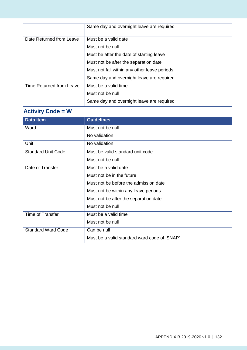|                          | Same day and overnight leave are required    |
|--------------------------|----------------------------------------------|
| Date Returned from Leave | Must be a valid date                         |
|                          | Must not be null                             |
|                          | Must be after the date of starting leave     |
|                          | Must not be after the separation date        |
|                          | Must not fall within any other leave periods |
|                          | Same day and overnight leave are required    |
| Time Returned from Leave | Must be a valid time                         |
|                          | Must not be null                             |
|                          | Same day and overnight leave are required    |

# **Activity Code = W**

| <b>Data Item</b>          | <b>Guidelines</b>                            |
|---------------------------|----------------------------------------------|
| Ward                      | Must not be null                             |
|                           | No validation                                |
| Unit                      | No validation                                |
| <b>Standard Unit Code</b> | Must be valid standard unit code             |
|                           | Must not be null                             |
| Date of Transfer          | Must be a valid date                         |
|                           | Must not be in the future                    |
|                           | Must not be before the admission date        |
|                           | Must not be within any leave periods         |
|                           | Must not be after the separation date        |
|                           | Must not be null                             |
| Time of Transfer          | Must be a valid time                         |
|                           | Must not be null                             |
| <b>Standard Ward Code</b> | Can be null                                  |
|                           | Must be a valid standard ward code of 'SNAP' |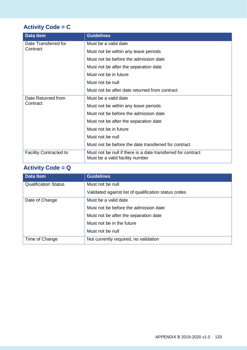# **Activity Code = C**

| <b>Data Item</b>                 | <b>Guidelines</b>                                                                               |
|----------------------------------|-------------------------------------------------------------------------------------------------|
| Date Transferred for<br>Contract | Must be a valid date                                                                            |
|                                  | Must not be within any leave periods                                                            |
|                                  | Must not be before the admission date                                                           |
|                                  | Must not be after the separation date                                                           |
|                                  | Must not be in future                                                                           |
|                                  | Must not be null                                                                                |
|                                  | Must not be after date returned from contract                                                   |
| Date Returned from               | Must be a valid date                                                                            |
| Contract                         | Must not be within any leave periods                                                            |
|                                  | Must not be before the admission date                                                           |
|                                  | Must not be after the separation date                                                           |
|                                  | Must not be in future                                                                           |
|                                  | Must not be null                                                                                |
|                                  | Must not be before the date transferred for contract                                            |
| <b>Facility Contracted to</b>    | Must not be null if there is a date transferred for contract<br>Must be a valid facility number |

# **Activity Code = Q**

| <b>Data Item</b>            | <b>Guidelines</b>                                    |
|-----------------------------|------------------------------------------------------|
| <b>Qualification Status</b> | Must not be null                                     |
|                             | Validated against list of qualification status codes |
| Date of Change              | Must be a valid date                                 |
|                             | Must not be before the admission date                |
|                             | Must not be after the separation date                |
|                             | Must not be in the future                            |
|                             | Must not be null                                     |
| Time of Change              | Not currently required, no validation                |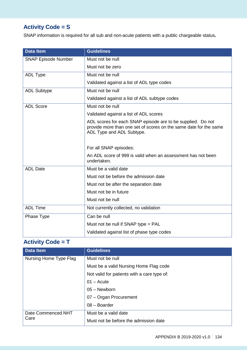## **Activity Code = S**

SNAP information is required for all sub and non-acute patients with a public chargeable status**.**

| <b>Data Item</b>           | <b>Guidelines</b>                                                                                                                                             |
|----------------------------|---------------------------------------------------------------------------------------------------------------------------------------------------------------|
| <b>SNAP Episode Number</b> | Must not be null                                                                                                                                              |
|                            | Must not be zero                                                                                                                                              |
| <b>ADL Type</b>            | Must not be null                                                                                                                                              |
|                            | Validated against a list of ADL type codes                                                                                                                    |
| <b>ADL Subtype</b>         | Must not be null                                                                                                                                              |
|                            | Validated against a list of ADL subtype codes                                                                                                                 |
| <b>ADL Score</b>           | Must not be null                                                                                                                                              |
|                            | Validated against a list of ADL scores                                                                                                                        |
|                            | ADL scores for each SNAP episode are to be supplied. Do not<br>provide more than one set of scores on the same date for the same<br>ADL Type and ADL Subtype. |
|                            | For all SNAP episodes:                                                                                                                                        |
|                            | An ADL score of 999 is valid when an assessment has not been<br>undertaken.                                                                                   |
| <b>ADL Date</b>            | Must be a valid date                                                                                                                                          |
|                            | Must not be before the admission date                                                                                                                         |
|                            | Must not be after the separation date                                                                                                                         |
|                            | Must not be in future                                                                                                                                         |
|                            | Must not be null                                                                                                                                              |
| <b>ADL Time</b>            | Not currently collected, no validation                                                                                                                        |
| Phase Type                 | Can be null                                                                                                                                                   |
|                            | Must not be null if SNAP type = PAL                                                                                                                           |
|                            | Validated against list of phase type codes                                                                                                                    |

## **Activity Code = T**

| <b>Data Item</b>       | <b>Guidelines</b>                           |
|------------------------|---------------------------------------------|
| Nursing Home Type Flag | Must not be null                            |
|                        | Must be a valid Nursing Home Flag code      |
|                        | Not valid for patients with a care type of: |
|                        | $01 -$ Acute                                |
|                        | $05 -$ Newborn                              |
|                        | 07 - Organ Procurement                      |
|                        | $08 - Boarder$                              |
| Date Commenced NHT     | Must be a valid date                        |
| Care                   | Must not be before the admission date       |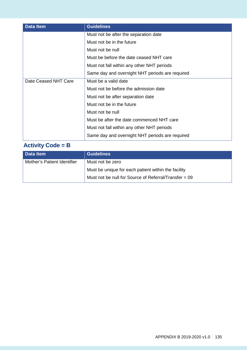| <b>Data Item</b>     | <b>Guidelines</b>                               |
|----------------------|-------------------------------------------------|
|                      | Must not be after the separation date           |
|                      | Must not be in the future                       |
|                      | Must not be null                                |
|                      | Must be before the date ceased NHT care         |
|                      | Must not fall within any other NHT periods      |
|                      | Same day and overnight NHT periods are required |
| Date Ceased NHT Care | Must be a valid date                            |
|                      | Must not be before the admission date           |
|                      | Must not be after separation date               |
|                      | Must not be in the future                       |
|                      | Must not be null                                |
|                      | Must be after the date commenced NHT care       |
|                      | Must not fall within any other NHT periods      |
|                      | Same day and overnight NHT periods are required |

# **Activity Code = B**

| Data Item                   | <b>Guidelines</b>                                       |
|-----------------------------|---------------------------------------------------------|
| Mother's Patient Identifier | Must not be zero                                        |
|                             | Must be unique for each patient within the facility     |
|                             | Must not be null for Source of Referral/Transfer $= 09$ |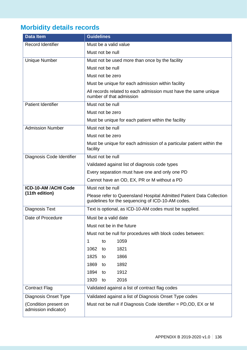# **Morbidity details records**

| <b>Data Item</b>                              | <b>Guidelines</b>                                                                                                         |
|-----------------------------------------------|---------------------------------------------------------------------------------------------------------------------------|
| <b>Record Identifier</b>                      | Must be a valid value                                                                                                     |
|                                               | Must not be null                                                                                                          |
| <b>Unique Number</b>                          | Must not be used more than once by the facility                                                                           |
|                                               | Must not be null                                                                                                          |
|                                               | Must not be zero                                                                                                          |
|                                               | Must be unique for each admission within facility                                                                         |
|                                               | All records related to each admission must have the same unique<br>number of that admission                               |
| <b>Patient Identifier</b>                     | Must not be null                                                                                                          |
|                                               | Must not be zero                                                                                                          |
|                                               | Must be unique for each patient within the facility                                                                       |
| <b>Admission Number</b>                       | Must not be null                                                                                                          |
|                                               | Must not be zero                                                                                                          |
|                                               | Must be unique for each admission of a particular patient within the<br>facility                                          |
| Diagnosis Code Identifier                     | Must not be null                                                                                                          |
|                                               | Validated against list of diagnosis code types                                                                            |
|                                               | Every separation must have one and only one PD                                                                            |
|                                               | Cannot have an OD, EX, PR or M without a PD                                                                               |
| <b>ICD-10-AM /ACHI Code</b>                   | Must not be null                                                                                                          |
| (11th edition)                                | Please refer to Queensland Hospital Admitted Patient Data Collection<br>guidelines for the sequencing of ICD-10-AM codes. |
| <b>Diagnosis Text</b>                         | Text is optional, as ICD-10-AM codes must be supplied.                                                                    |
| Date of Procedure                             | Must be a valid date                                                                                                      |
|                                               | Must not be in the future                                                                                                 |
|                                               | Must not be null for procedures with block codes between:                                                                 |
|                                               | 1059<br>1<br>to                                                                                                           |
|                                               | 1821<br>1062<br>to                                                                                                        |
|                                               | 1825<br>1866<br>to                                                                                                        |
|                                               | 1869<br>1892<br>to                                                                                                        |
|                                               | 1894<br>1912<br>to                                                                                                        |
|                                               | 1920<br>2016<br>to                                                                                                        |
| <b>Contract Flag</b>                          | Validated against a list of contract flag codes                                                                           |
| Diagnosis Onset Type                          | Validated against a list of Diagnosis Onset Type codes                                                                    |
| (Condition present on<br>admission indicator) | Must not be null if Diagnosis Code Identifier = PD, OD, EX or M                                                           |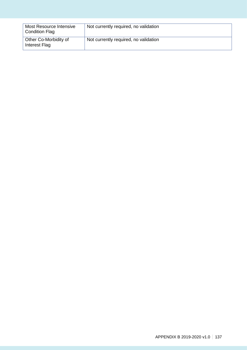| Most Resource Intensive<br><b>Condition Flag</b> | Not currently required, no validation |
|--------------------------------------------------|---------------------------------------|
| Other Co-Morbidity of<br>Interest Flag           | Not currently required, no validation |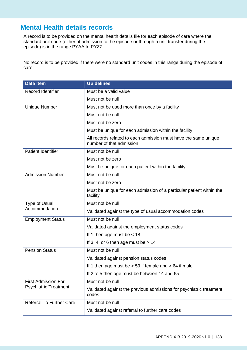### **Mental Health details records**

A record is to be provided on the mental health details file for each episode of care where the standard unit code (either at admission to the episode or through a unit transfer during the episode) is in the range PYAA to PYZZ.

No record is to be provided if there were no standard unit codes in this range during the episode of care.

| <b>Data Item</b>                                           | <b>Guidelines</b>                                                                           |
|------------------------------------------------------------|---------------------------------------------------------------------------------------------|
| <b>Record Identifier</b>                                   | Must be a valid value                                                                       |
|                                                            | Must not be null                                                                            |
| <b>Unique Number</b>                                       | Must not be used more than once by a facility                                               |
|                                                            | Must not be null                                                                            |
|                                                            | Must not be zero                                                                            |
|                                                            | Must be unique for each admission within the facility                                       |
|                                                            | All records related to each admission must have the same unique<br>number of that admission |
| <b>Patient Identifier</b>                                  | Must not be null                                                                            |
|                                                            | Must not be zero                                                                            |
|                                                            | Must be unique for each patient within the facility                                         |
| <b>Admission Number</b>                                    | Must not be null                                                                            |
|                                                            | Must not be zero                                                                            |
|                                                            | Must be unique for each admission of a particular patient within the<br>facility            |
| <b>Type of Usual</b>                                       | Must not be null                                                                            |
| Accommodation                                              | Validated against the type of usual accommodation codes                                     |
| <b>Employment Status</b>                                   | Must not be null                                                                            |
|                                                            | Validated against the employment status codes                                               |
|                                                            | If 1 then age must be $<$ 18                                                                |
|                                                            | If 3, 4, or 6 then age must be $> 14$                                                       |
| <b>Pension Status</b>                                      | Must not be null                                                                            |
|                                                            | Validated against pension status codes                                                      |
|                                                            | If 1 then age must be $> 59$ if female and $> 64$ if male                                   |
|                                                            | If 2 to 5 then age must be between 14 and 65                                                |
| <b>First Admission For</b><br><b>Psychiatric Treatment</b> | Must not be null                                                                            |
|                                                            | Validated against the previous admissions for psychiatric treatment<br>codes                |
| <b>Referral To Further Care</b>                            | Must not be null                                                                            |
|                                                            | Validated against referral to further care codes                                            |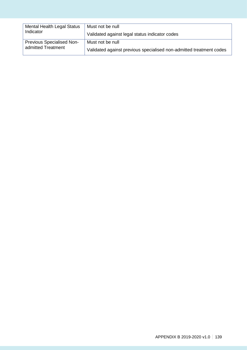| <b>Mental Health Legal Status</b> | Must not be null                                                    |
|-----------------------------------|---------------------------------------------------------------------|
| Indicator                         | Validated against legal status indicator codes                      |
| <b>Previous Specialised Non-</b>  | Must not be null                                                    |
| admitted Treatment                | Validated against previous specialised non-admitted treatment codes |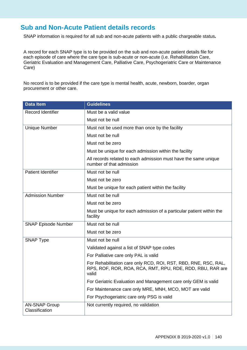### **Sub and Non-Acute Patient details records**

SNAP information is required for all sub and non-acute patients with a public chargeable status**.**

A record for each SNAP type is to be provided on the sub and non-acute patient details file for each episode of care where the care type is sub-acute or non-acute (i.e. Rehabilitation Care, Geriatric Evaluation and Management Care, Palliative Care, Psychogeriatric Care or Maintenance Care)

No record is to be provided if the care type is mental health, acute, newborn, boarder, organ procurement or other care.

| <b>Data Item</b>                       | <b>Guidelines</b>                                                                                                                     |
|----------------------------------------|---------------------------------------------------------------------------------------------------------------------------------------|
| <b>Record Identifier</b>               | Must be a valid value                                                                                                                 |
|                                        | Must not be null                                                                                                                      |
| <b>Unique Number</b>                   | Must not be used more than once by the facility                                                                                       |
|                                        | Must not be null                                                                                                                      |
|                                        | Must not be zero                                                                                                                      |
|                                        | Must be unique for each admission within the facility                                                                                 |
|                                        | All records related to each admission must have the same unique<br>number of that admission                                           |
| <b>Patient Identifier</b>              | Must not be null                                                                                                                      |
|                                        | Must not be zero                                                                                                                      |
|                                        | Must be unique for each patient within the facility                                                                                   |
| <b>Admission Number</b>                | Must not be null                                                                                                                      |
|                                        | Must not be zero                                                                                                                      |
|                                        | Must be unique for each admission of a particular patient within the<br>facility                                                      |
| <b>SNAP Episode Number</b>             | Must not be null                                                                                                                      |
|                                        | Must not be zero                                                                                                                      |
| <b>SNAP Type</b>                       | Must not be null                                                                                                                      |
|                                        | Validated against a list of SNAP type codes                                                                                           |
|                                        | For Palliative care only PAL is valid                                                                                                 |
|                                        | For Rehabilitation care only RCD, ROI, RST, RBD, RNE, RSC, RAL,<br>RPS, ROF, ROR, ROA, RCA, RMT, RPU, RDE, RDD, RBU, RAR are<br>valid |
|                                        | For Geriatric Evaluation and Management care only GEM is valid                                                                        |
|                                        | For Maintenance care only MRE, MNH, MCO, MOT are valid                                                                                |
|                                        | For Psychogeriatric care only PSG is valid                                                                                            |
| <b>AN-SNAP Group</b><br>Classification | Not currently required, no validation                                                                                                 |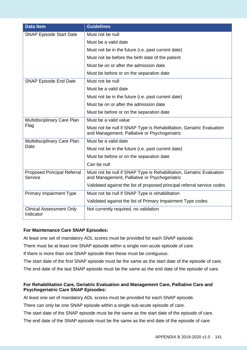| <b>Data Item</b>                              | <b>Guidelines</b>                                                                                                      |
|-----------------------------------------------|------------------------------------------------------------------------------------------------------------------------|
| <b>SNAP Episode Start Date</b>                | Must not be null                                                                                                       |
|                                               | Must be a valid date                                                                                                   |
|                                               | Must not be in the future (i.e. past current date)                                                                     |
|                                               | Must not be before the birth date of the patient                                                                       |
|                                               | Must be on or after the admission date                                                                                 |
|                                               | Must be before or on the separation date                                                                               |
| <b>SNAP Episode End Date</b>                  | Must not be null                                                                                                       |
|                                               | Must be a valid date                                                                                                   |
|                                               | Must not be in the future (i.e. past current date)                                                                     |
|                                               | Must be on or after the admission date                                                                                 |
|                                               | Must be before or on the separation date                                                                               |
| Multidisciplinary Care Plan                   | Must be a valid value                                                                                                  |
| Flag                                          | Must not be null if SNAP Type is Rehabilitation, Geriatric Evaluation<br>and Management, Palliative or Psychogeriatric |
| Multidisciplinary Care Plan                   | Must be a valid date                                                                                                   |
| Date                                          | Must not be in the future (i.e. past current date)                                                                     |
|                                               | Must be before or on the separation date                                                                               |
|                                               | Can be null                                                                                                            |
| <b>Proposed Principal Referral</b><br>Service | Must not be null if SNAP Type is Rehabilitation, Geriatric Evaluation<br>and Management, Palliative or Psychogeriatric |
|                                               | Validated against the list of proposed principal referral service codes                                                |
| <b>Primary Impairment Type</b>                | Must not be null if SNAP Type is rehabilitation                                                                        |
|                                               | Validated against the list of Primary Impairment Type codes                                                            |
| <b>Clinical Assessment Only</b><br>Indicator  | Not currently required, no validation                                                                                  |

#### **For Maintenance Care SNAP Episodes:**

At least one set of mandatory ADL scores must be provided for each SNAP episode.

There must be at least one SNAP episode within a single non-acute episode of care.

If there is more than one SNAP episode then these must be contiguous.

The start date of the first SNAP episode must be the same as the start date of the episode of care.

The end date of the last SNAP episode must be the same as the end date of the episode of care.

#### **For Rehabilitation Care, Geriatric Evaluation and Management Care, Palliative Care and Psychogeriatric Care SNAP Episodes:**

At least one set of mandatory ADL scores must be provided for each SNAP episode.

There can only be one SNAP episode within a single sub-acute episode of care.

The start date of the SNAP episode must be the same as the start date of the episode of care.

The end date of the SNAP episode must be the same as the end date of the episode of care.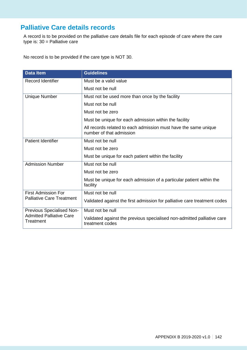## **Palliative Care details records**

A record is to be provided on the palliative care details file for each episode of care where the care type is: 30 = Palliative care

No record is to be provided if the care type is NOT 30.

| <b>Data Item</b>                                                          | <b>Guidelines</b>                                                                           |
|---------------------------------------------------------------------------|---------------------------------------------------------------------------------------------|
| <b>Record Identifier</b>                                                  | Must be a valid value                                                                       |
|                                                                           | Must not be null                                                                            |
| <b>Unique Number</b>                                                      | Must not be used more than once by the facility                                             |
|                                                                           | Must not be null                                                                            |
|                                                                           | Must not be zero                                                                            |
|                                                                           | Must be unique for each admission within the facility                                       |
|                                                                           | All records related to each admission must have the same unique<br>number of that admission |
| <b>Patient Identifier</b>                                                 | Must not be null                                                                            |
|                                                                           | Must not be zero                                                                            |
|                                                                           | Must be unique for each patient within the facility                                         |
| <b>Admission Number</b>                                                   | Must not be null                                                                            |
|                                                                           | Must not be zero                                                                            |
|                                                                           | Must be unique for each admission of a particular patient within the<br>facility            |
| <b>First Admission For</b><br><b>Palliative Care Treatment</b>            | Must not be null                                                                            |
|                                                                           | Validated against the first admission for palliative care treatment codes                   |
| Previous Specialised Non-<br><b>Admitted Palliative Care</b><br>Treatment | Must not be null                                                                            |
|                                                                           | Validated against the previous specialised non-admitted palliative care<br>treatment codes  |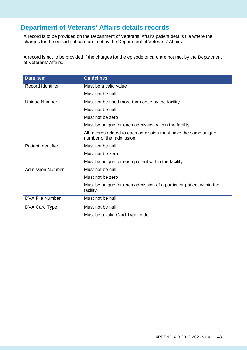## **Department of Veterans' Affairs details records**

A record is to be provided on the Department of Veterans' Affairs patient details file where the charges for the episode of care are met by the Department of Veterans' Affairs.

A record is not to be provided if the charges for the episode of care are not met by the Department of Veterans' Affairs.

| <b>Data Item</b>          | <b>Guidelines</b>                                                                           |
|---------------------------|---------------------------------------------------------------------------------------------|
| <b>Record Identifier</b>  | Must be a valid value                                                                       |
|                           | Must not be null                                                                            |
| <b>Unique Number</b>      | Must not be used more than once by the facility                                             |
|                           | Must not be null                                                                            |
|                           | Must not be zero                                                                            |
|                           | Must be unique for each admission within the facility                                       |
|                           | All records related to each admission must have the same unique<br>number of that admission |
| <b>Patient Identifier</b> | Must not be null                                                                            |
|                           | Must not be zero                                                                            |
|                           | Must be unique for each patient within the facility                                         |
| <b>Admission Number</b>   | Must not be null                                                                            |
|                           | Must not be zero                                                                            |
|                           | Must be unique for each admission of a particular patient within the<br>facility            |
| <b>DVA File Number</b>    | Must not be null                                                                            |
| DVA Card Type             | Must not be null                                                                            |
|                           | Must be a valid Card Type code                                                              |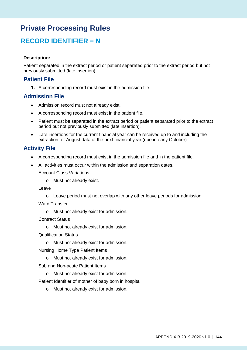# **Private Processing Rules**

### **RECORD IDENTIFIER = N**

#### **Description:**

Patient separated in the extract period or patient separated prior to the extract period but not previously submitted (late insertion).

#### **Patient File**

**1.** A corresponding record must exist in the admission file.

#### **Admission File**

- Admission record must not already exist.
- A corresponding record must exist in the patient file.
- Patient must be separated in the extract period or patient separated prior to the extract period but not previously submitted (late insertion).
- Late insertions for the current financial year can be received up to and including the extraction for August data of the next financial year (due in early October).

#### **Activity File**

- A corresponding record must exist in the admission file and in the patient file.
- All activities must occur within the admission and separation dates.

Account Class Variations

o Must not already exist.

Leave

- o Leave period must not overlap with any other leave periods for admission.
- Ward Transfer
	- o Must not already exist for admission.

Contract Status

o Must not already exist for admission.

Qualification Status

o Must not already exist for admission.

Nursing Home Type Patient Items

o Must not already exist for admission.

Sub and Non-acute Patient Items

o Must not already exist for admission.

Patient Identifier of mother of baby born in hospital

o Must not already exist for admission.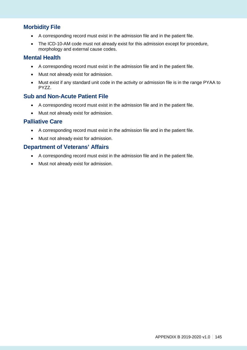## **Morbidity File**

- A corresponding record must exist in the admission file and in the patient file.
- The ICD-10-AM code must not already exist for this admission except for procedure, morphology and external cause codes.

## **Mental Health**

- A corresponding record must exist in the admission file and in the patient file.
- Must not already exist for admission.
- Must exist if any standard unit code in the activity or admission file is in the range PYAA to PYZZ.

## **Sub and Non-Acute Patient File**

- A corresponding record must exist in the admission file and in the patient file.
- Must not already exist for admission.

## **Palliative Care**

- A corresponding record must exist in the admission file and in the patient file.
- Must not already exist for admission.

## **Department of Veterans' Affairs**

- A corresponding record must exist in the admission file and in the patient file.
- Must not already exist for admission.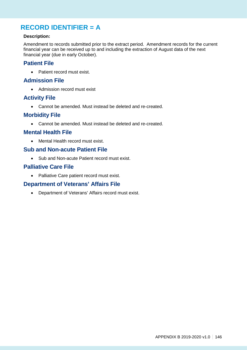# **RECORD IDENTIFIER = A**

#### **Description:**

Amendment to records submitted prior to the extract period. Amendment records for the current financial year can be received up to and including the extraction of August data of the next financial year (due in early October).

#### **Patient File**

• Patient record must exist.

#### **Admission File**

• Admission record must exist

### **Activity File**

• Cannot be amended. Must instead be deleted and re-created.

#### **Morbidity File**

• Cannot be amended. Must instead be deleted and re-created.

#### **Mental Health File**

• Mental Health record must exist.

### **Sub and Non-acute Patient File**

• Sub and Non-acute Patient record must exist.

#### **Palliative Care File**

• Palliative Care patient record must exist.

### **Department of Veterans' Affairs File**

• Department of Veterans' Affairs record must exist.